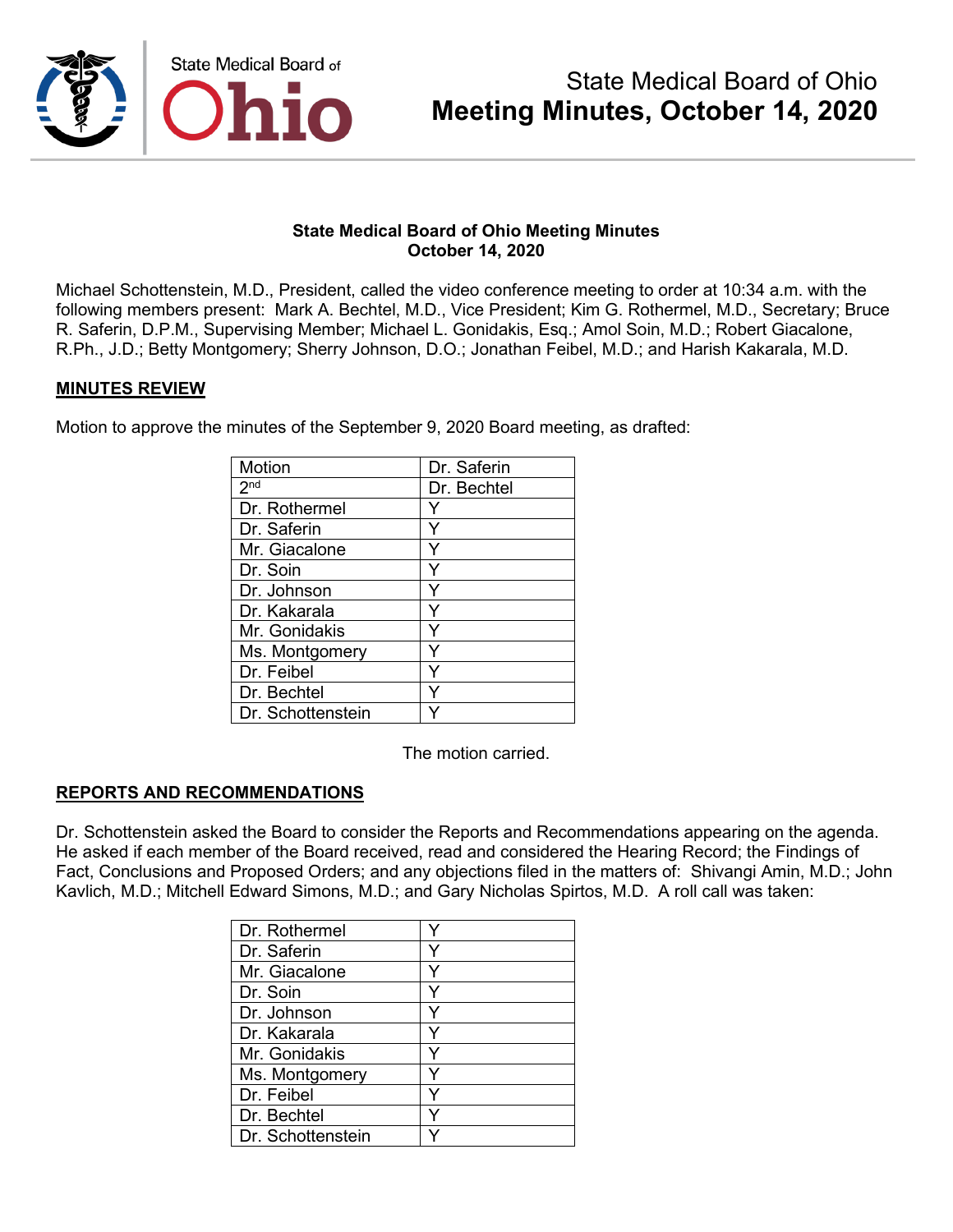

Michael Schottenstein, M.D., President, called the video conference meeting to order at 10:34 a.m. with the following members present: Mark A. Bechtel, M.D., Vice President; Kim G. Rothermel, M.D., Secretary; Bruce R. Saferin, D.P.M., Supervising Member; Michael L. Gonidakis, Esq.; Amol Soin, M.D.; Robert Giacalone, R.Ph., J.D.; Betty Montgomery; Sherry Johnson, D.O.; Jonathan Feibel, M.D.; and Harish Kakarala, M.D.

#### **MINUTES REVIEW**

Motion to approve the minutes of the September 9, 2020 Board meeting, as drafted:

| Motion                     | Dr. Saferin |
|----------------------------|-------------|
| $2^{\overline{\text{nd}}}$ | Dr. Bechtel |
| Dr. Rothermel              |             |
| Dr. Saferin                | Υ           |
| Mr. Giacalone              |             |
| Dr. Soin                   |             |
| Dr. Johnson                | Y           |
| Dr. Kakarala               | Y           |
| Mr. Gonidakis              |             |
| Ms. Montgomery             |             |
| Dr. Feibel                 | Y           |
| Dr. Bechtel                |             |
| Dr. Schottenstein          |             |

The motion carried.

## **REPORTS AND RECOMMENDATIONS**

Dr. Schottenstein asked the Board to consider the Reports and Recommendations appearing on the agenda. He asked if each member of the Board received, read and considered the Hearing Record; the Findings of Fact, Conclusions and Proposed Orders; and any objections filed in the matters of: Shivangi Amin, M.D.; John Kavlich, M.D.; Mitchell Edward Simons, M.D.; and Gary Nicholas Spirtos, M.D. A roll call was taken:

| Dr. Rothermel     |  |
|-------------------|--|
| Dr. Saferin       |  |
| Mr. Giacalone     |  |
| Dr. Soin          |  |
| Dr. Johnson       |  |
| Dr. Kakarala      |  |
| Mr. Gonidakis     |  |
| Ms. Montgomery    |  |
| Dr. Feibel        |  |
| Dr. Bechtel       |  |
| Dr. Schottenstein |  |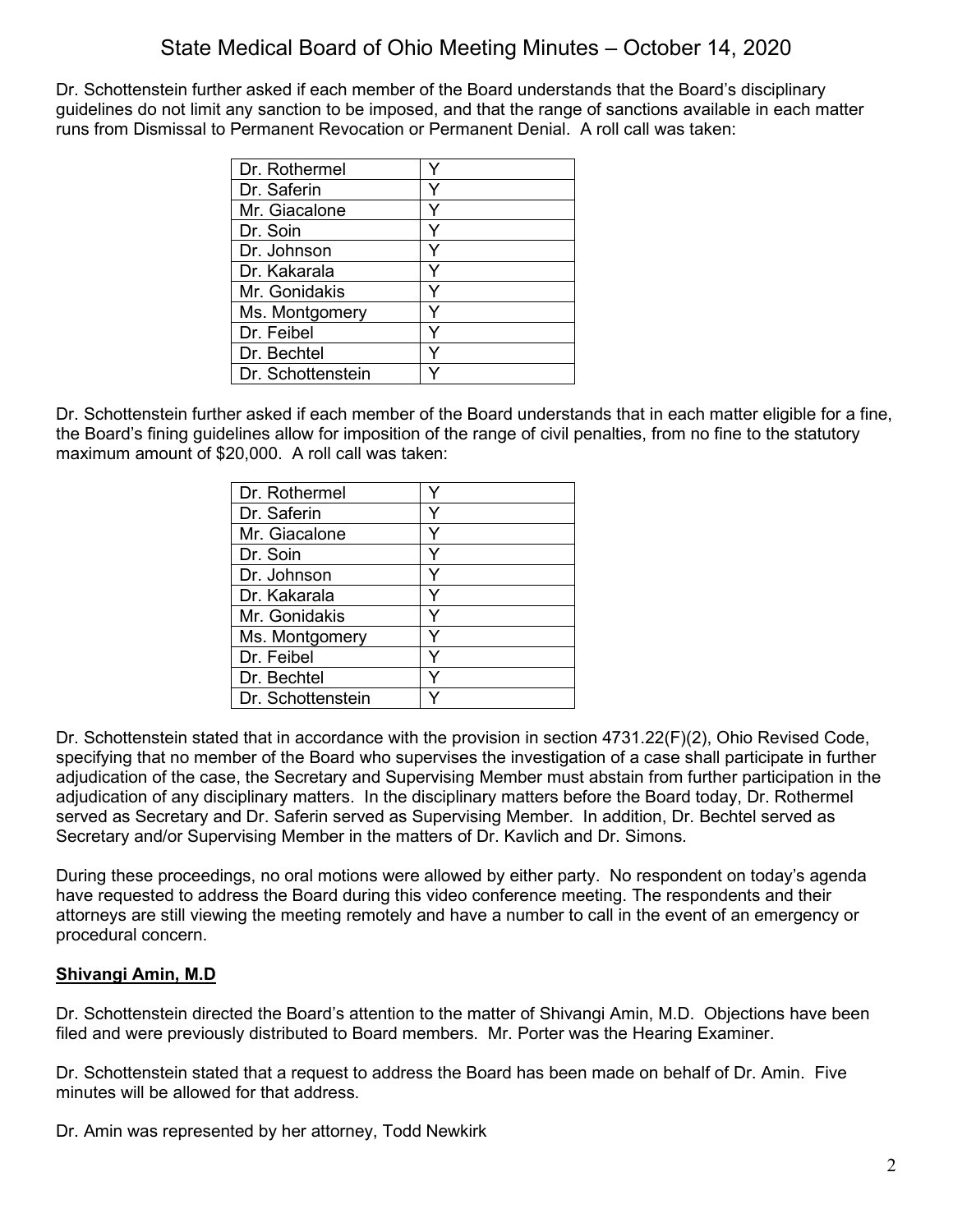Dr. Schottenstein further asked if each member of the Board understands that the Board's disciplinary guidelines do not limit any sanction to be imposed, and that the range of sanctions available in each matter runs from Dismissal to Permanent Revocation or Permanent Denial. A roll call was taken:

| Dr. Rothermel     |  |
|-------------------|--|
| Dr. Saferin       |  |
| Mr. Giacalone     |  |
| Dr. Soin          |  |
| Dr. Johnson       |  |
| Dr. Kakarala      |  |
| Mr. Gonidakis     |  |
| Ms. Montgomery    |  |
| Dr. Feibel        |  |
| Dr. Bechtel       |  |
| Dr. Schottenstein |  |

Dr. Schottenstein further asked if each member of the Board understands that in each matter eligible for a fine, the Board's fining guidelines allow for imposition of the range of civil penalties, from no fine to the statutory maximum amount of \$20,000. A roll call was taken:

| Dr. Rothermel     |   |
|-------------------|---|
| Dr. Saferin       |   |
| Mr. Giacalone     |   |
| Dr. Soin          |   |
| Dr. Johnson       | Y |
| Dr. Kakarala      | Y |
| Mr. Gonidakis     |   |
| Ms. Montgomery    |   |
| Dr. Feibel        |   |
| Dr. Bechtel       |   |
| Dr. Schottenstein |   |

Dr. Schottenstein stated that in accordance with the provision in section 4731.22(F)(2), Ohio Revised Code, specifying that no member of the Board who supervises the investigation of a case shall participate in further adjudication of the case, the Secretary and Supervising Member must abstain from further participation in the adjudication of any disciplinary matters. In the disciplinary matters before the Board today, Dr. Rothermel served as Secretary and Dr. Saferin served as Supervising Member. In addition, Dr. Bechtel served as Secretary and/or Supervising Member in the matters of Dr. Kavlich and Dr. Simons.

During these proceedings, no oral motions were allowed by either party. No respondent on today's agenda have requested to address the Board during this video conference meeting. The respondents and their attorneys are still viewing the meeting remotely and have a number to call in the event of an emergency or procedural concern.

## **Shivangi Amin, M.D**

Dr. Schottenstein directed the Board's attention to the matter of Shivangi Amin, M.D. Objections have been filed and were previously distributed to Board members. Mr. Porter was the Hearing Examiner.

Dr. Schottenstein stated that a request to address the Board has been made on behalf of Dr. Amin. Five minutes will be allowed for that address.

Dr. Amin was represented by her attorney, Todd Newkirk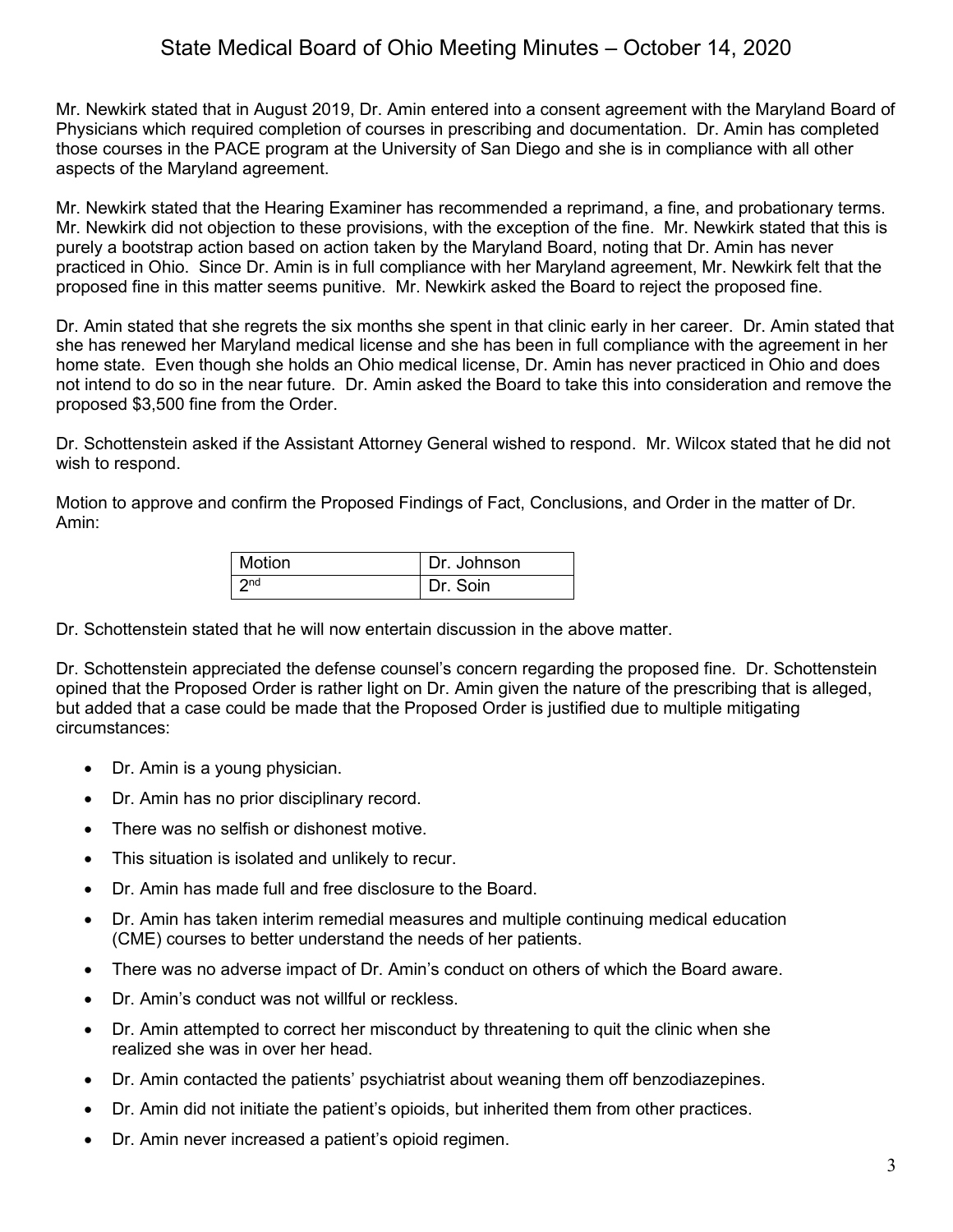Mr. Newkirk stated that in August 2019, Dr. Amin entered into a consent agreement with the Maryland Board of Physicians which required completion of courses in prescribing and documentation. Dr. Amin has completed those courses in the PACE program at the University of San Diego and she is in compliance with all other aspects of the Maryland agreement.

Mr. Newkirk stated that the Hearing Examiner has recommended a reprimand, a fine, and probationary terms. Mr. Newkirk did not objection to these provisions, with the exception of the fine. Mr. Newkirk stated that this is purely a bootstrap action based on action taken by the Maryland Board, noting that Dr. Amin has never practiced in Ohio. Since Dr. Amin is in full compliance with her Maryland agreement, Mr. Newkirk felt that the proposed fine in this matter seems punitive. Mr. Newkirk asked the Board to reject the proposed fine.

Dr. Amin stated that she regrets the six months she spent in that clinic early in her career. Dr. Amin stated that she has renewed her Maryland medical license and she has been in full compliance with the agreement in her home state. Even though she holds an Ohio medical license, Dr. Amin has never practiced in Ohio and does not intend to do so in the near future. Dr. Amin asked the Board to take this into consideration and remove the proposed \$3,500 fine from the Order.

Dr. Schottenstein asked if the Assistant Attorney General wished to respond. Mr. Wilcox stated that he did not wish to respond.

Motion to approve and confirm the Proposed Findings of Fact, Conclusions, and Order in the matter of Dr. Amin:

| Motion          | Dr. Johnson |
|-----------------|-------------|
| 2 <sub>nd</sub> | Dr. Soin    |

Dr. Schottenstein stated that he will now entertain discussion in the above matter.

Dr. Schottenstein appreciated the defense counsel's concern regarding the proposed fine. Dr. Schottenstein opined that the Proposed Order is rather light on Dr. Amin given the nature of the prescribing that is alleged, but added that a case could be made that the Proposed Order is justified due to multiple mitigating circumstances:

- Dr. Amin is a young physician.
- Dr. Amin has no prior disciplinary record.
- There was no selfish or dishonest motive.
- This situation is isolated and unlikely to recur.
- Dr. Amin has made full and free disclosure to the Board.
- Dr. Amin has taken interim remedial measures and multiple continuing medical education (CME) courses to better understand the needs of her patients.
- There was no adverse impact of Dr. Amin's conduct on others of which the Board aware.
- Dr. Amin's conduct was not willful or reckless.
- Dr. Amin attempted to correct her misconduct by threatening to quit the clinic when she realized she was in over her head.
- Dr. Amin contacted the patients' psychiatrist about weaning them off benzodiazepines.
- Dr. Amin did not initiate the patient's opioids, but inherited them from other practices.
- Dr. Amin never increased a patient's opioid regimen.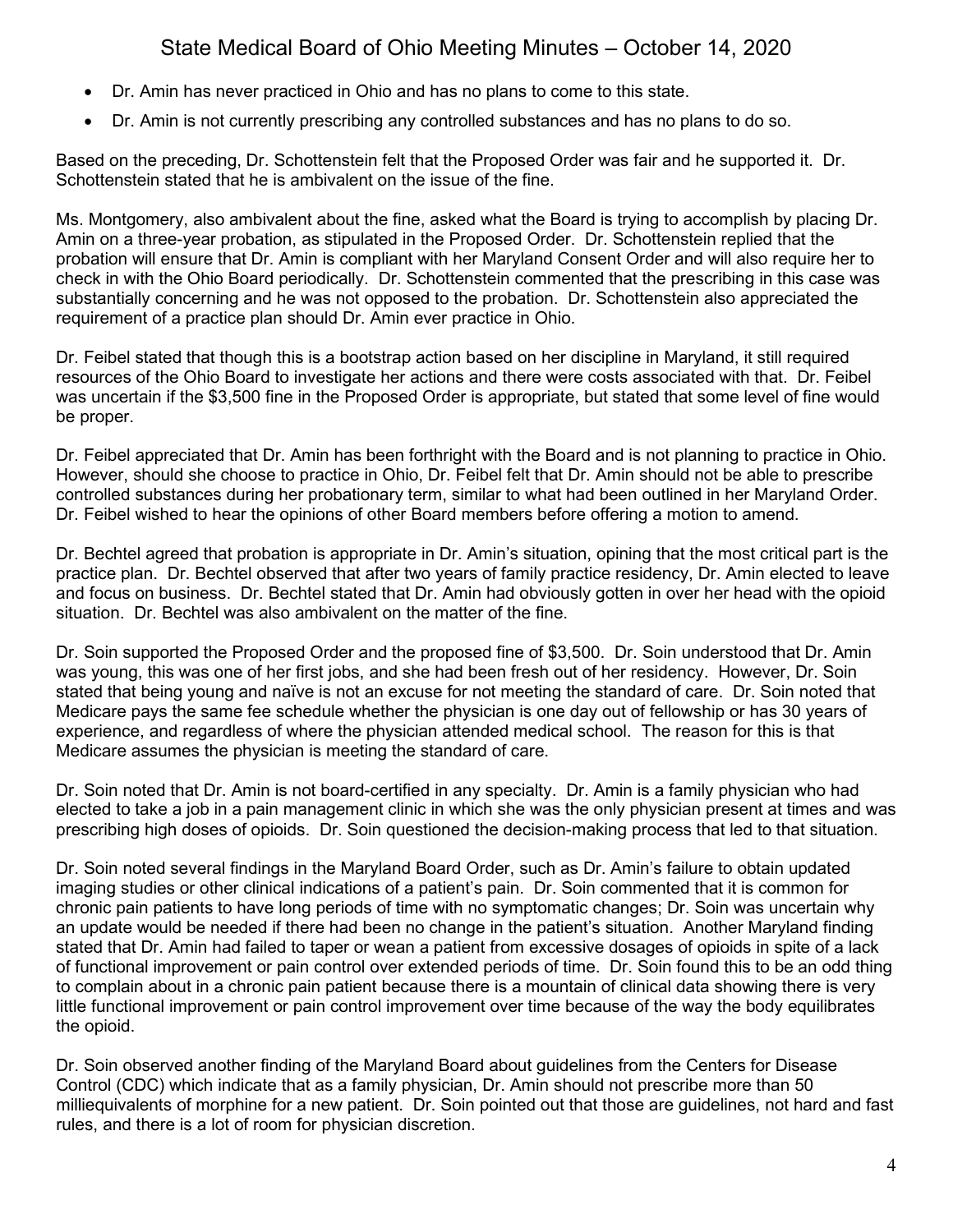- Dr. Amin has never practiced in Ohio and has no plans to come to this state.
- Dr. Amin is not currently prescribing any controlled substances and has no plans to do so.

Based on the preceding, Dr. Schottenstein felt that the Proposed Order was fair and he supported it. Dr. Schottenstein stated that he is ambivalent on the issue of the fine.

Ms. Montgomery, also ambivalent about the fine, asked what the Board is trying to accomplish by placing Dr. Amin on a three-year probation, as stipulated in the Proposed Order. Dr. Schottenstein replied that the probation will ensure that Dr. Amin is compliant with her Maryland Consent Order and will also require her to check in with the Ohio Board periodically. Dr. Schottenstein commented that the prescribing in this case was substantially concerning and he was not opposed to the probation. Dr. Schottenstein also appreciated the requirement of a practice plan should Dr. Amin ever practice in Ohio.

Dr. Feibel stated that though this is a bootstrap action based on her discipline in Maryland, it still required resources of the Ohio Board to investigate her actions and there were costs associated with that. Dr. Feibel was uncertain if the \$3,500 fine in the Proposed Order is appropriate, but stated that some level of fine would be proper.

Dr. Feibel appreciated that Dr. Amin has been forthright with the Board and is not planning to practice in Ohio. However, should she choose to practice in Ohio, Dr. Feibel felt that Dr. Amin should not be able to prescribe controlled substances during her probationary term, similar to what had been outlined in her Maryland Order. Dr. Feibel wished to hear the opinions of other Board members before offering a motion to amend.

Dr. Bechtel agreed that probation is appropriate in Dr. Amin's situation, opining that the most critical part is the practice plan. Dr. Bechtel observed that after two years of family practice residency, Dr. Amin elected to leave and focus on business. Dr. Bechtel stated that Dr. Amin had obviously gotten in over her head with the opioid situation. Dr. Bechtel was also ambivalent on the matter of the fine.

Dr. Soin supported the Proposed Order and the proposed fine of \$3,500. Dr. Soin understood that Dr. Amin was young, this was one of her first jobs, and she had been fresh out of her residency. However, Dr. Soin stated that being young and naïve is not an excuse for not meeting the standard of care. Dr. Soin noted that Medicare pays the same fee schedule whether the physician is one day out of fellowship or has 30 years of experience, and regardless of where the physician attended medical school. The reason for this is that Medicare assumes the physician is meeting the standard of care.

Dr. Soin noted that Dr. Amin is not board-certified in any specialty. Dr. Amin is a family physician who had elected to take a job in a pain management clinic in which she was the only physician present at times and was prescribing high doses of opioids. Dr. Soin questioned the decision-making process that led to that situation.

Dr. Soin noted several findings in the Maryland Board Order, such as Dr. Amin's failure to obtain updated imaging studies or other clinical indications of a patient's pain. Dr. Soin commented that it is common for chronic pain patients to have long periods of time with no symptomatic changes; Dr. Soin was uncertain why an update would be needed if there had been no change in the patient's situation. Another Maryland finding stated that Dr. Amin had failed to taper or wean a patient from excessive dosages of opioids in spite of a lack of functional improvement or pain control over extended periods of time. Dr. Soin found this to be an odd thing to complain about in a chronic pain patient because there is a mountain of clinical data showing there is very little functional improvement or pain control improvement over time because of the way the body equilibrates the opioid.

Dr. Soin observed another finding of the Maryland Board about guidelines from the Centers for Disease Control (CDC) which indicate that as a family physician, Dr. Amin should not prescribe more than 50 milliequivalents of morphine for a new patient. Dr. Soin pointed out that those are guidelines, not hard and fast rules, and there is a lot of room for physician discretion.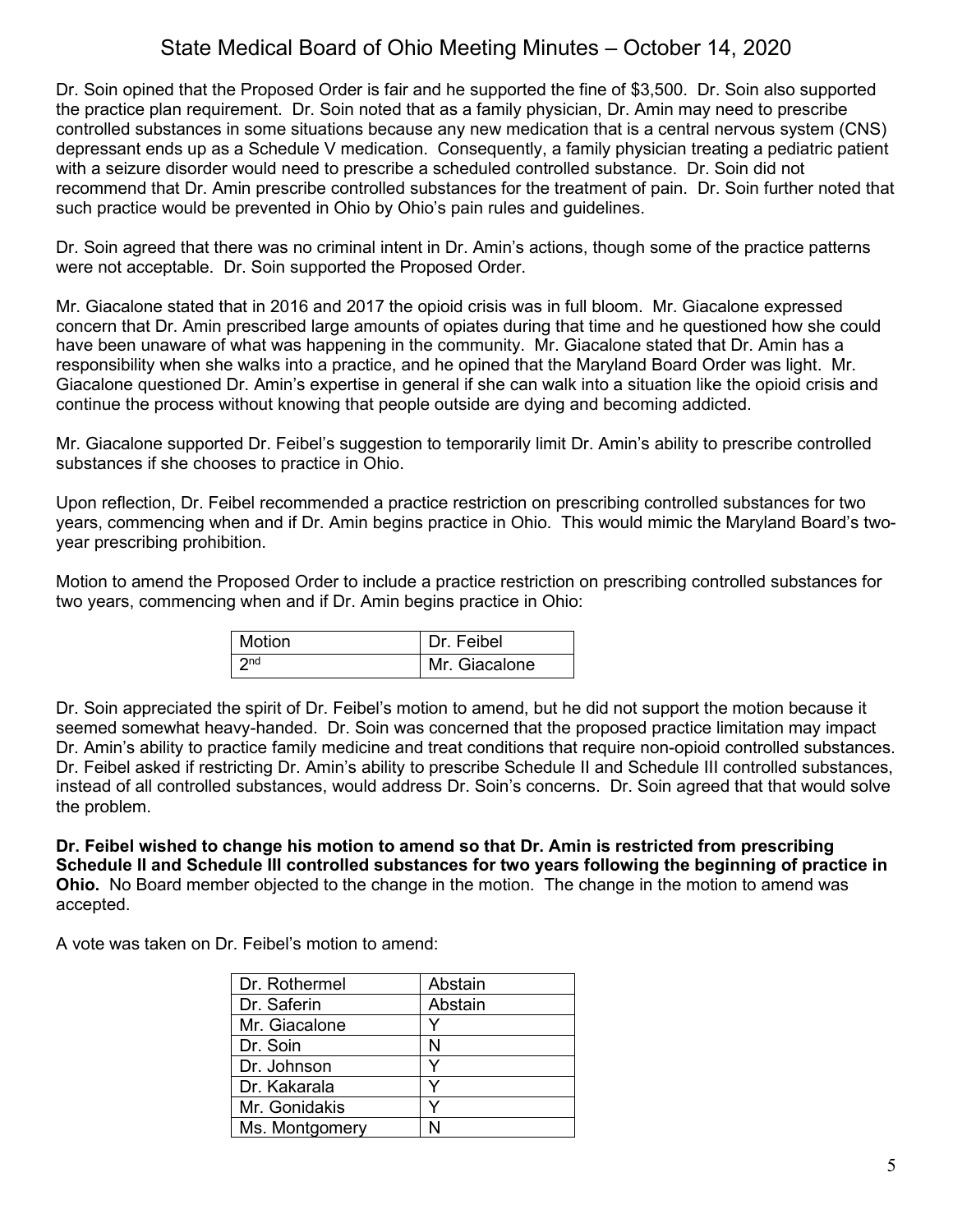Dr. Soin opined that the Proposed Order is fair and he supported the fine of \$3,500. Dr. Soin also supported the practice plan requirement. Dr. Soin noted that as a family physician, Dr. Amin may need to prescribe controlled substances in some situations because any new medication that is a central nervous system (CNS) depressant ends up as a Schedule V medication. Consequently, a family physician treating a pediatric patient with a seizure disorder would need to prescribe a scheduled controlled substance. Dr. Soin did not recommend that Dr. Amin prescribe controlled substances for the treatment of pain. Dr. Soin further noted that such practice would be prevented in Ohio by Ohio's pain rules and guidelines.

Dr. Soin agreed that there was no criminal intent in Dr. Amin's actions, though some of the practice patterns were not acceptable. Dr. Soin supported the Proposed Order.

Mr. Giacalone stated that in 2016 and 2017 the opioid crisis was in full bloom. Mr. Giacalone expressed concern that Dr. Amin prescribed large amounts of opiates during that time and he questioned how she could have been unaware of what was happening in the community. Mr. Giacalone stated that Dr. Amin has a responsibility when she walks into a practice, and he opined that the Maryland Board Order was light. Mr. Giacalone questioned Dr. Amin's expertise in general if she can walk into a situation like the opioid crisis and continue the process without knowing that people outside are dying and becoming addicted.

Mr. Giacalone supported Dr. Feibel's suggestion to temporarily limit Dr. Amin's ability to prescribe controlled substances if she chooses to practice in Ohio.

Upon reflection, Dr. Feibel recommended a practice restriction on prescribing controlled substances for two years, commencing when and if Dr. Amin begins practice in Ohio. This would mimic the Maryland Board's twoyear prescribing prohibition.

Motion to amend the Proposed Order to include a practice restriction on prescribing controlled substances for two years, commencing when and if Dr. Amin begins practice in Ohio:

| <b>Motion</b>   | Dr. Feibel    |
|-----------------|---------------|
| 2n <sub>d</sub> | Mr. Giacalone |

Dr. Soin appreciated the spirit of Dr. Feibel's motion to amend, but he did not support the motion because it seemed somewhat heavy-handed. Dr. Soin was concerned that the proposed practice limitation may impact Dr. Amin's ability to practice family medicine and treat conditions that require non-opioid controlled substances. Dr. Feibel asked if restricting Dr. Amin's ability to prescribe Schedule II and Schedule III controlled substances, instead of all controlled substances, would address Dr. Soin's concerns. Dr. Soin agreed that that would solve the problem.

**Dr. Feibel wished to change his motion to amend so that Dr. Amin is restricted from prescribing Schedule II and Schedule III controlled substances for two years following the beginning of practice in Ohio.** No Board member objected to the change in the motion. The change in the motion to amend was accepted.

A vote was taken on Dr. Feibel's motion to amend:

| Dr. Rothermel  | Abstain |
|----------------|---------|
| Dr. Saferin    | Abstain |
| Mr. Giacalone  |         |
| Dr. Soin       | N       |
| Dr. Johnson    |         |
| Dr. Kakarala   |         |
| Mr. Gonidakis  |         |
| Ms. Montgomery |         |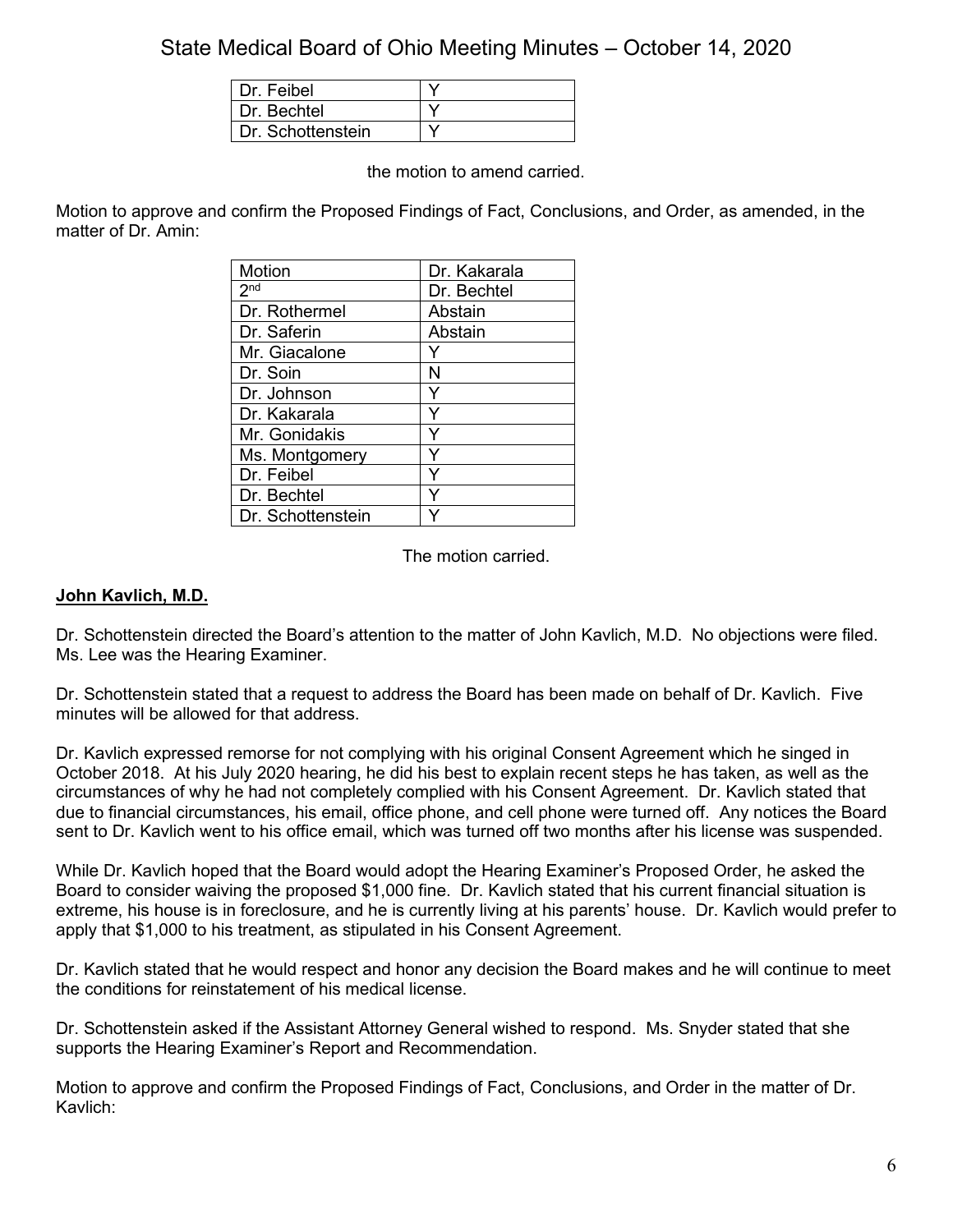| Dr. Feibel        |  |
|-------------------|--|
| Dr Bechtel        |  |
| Dr. Schottenstein |  |

the motion to amend carried.

Motion to approve and confirm the Proposed Findings of Fact, Conclusions, and Order, as amended, in the matter of Dr. Amin:

| <b>Motion</b>     | Dr. Kakarala |
|-------------------|--------------|
| 2 <sup>nd</sup>   | Dr. Bechtel  |
| Dr. Rothermel     | Abstain      |
| Dr. Saferin       | Abstain      |
| Mr. Giacalone     |              |
| Dr. Soin          | N            |
| Dr. Johnson       | Y            |
| Dr. Kakarala      | Y            |
| Mr. Gonidakis     |              |
| Ms. Montgomery    |              |
| Dr. Feibel        | Y            |
| Dr. Bechtel       |              |
| Dr. Schottenstein |              |

The motion carried.

#### **John Kavlich, M.D.**

Dr. Schottenstein directed the Board's attention to the matter of John Kavlich, M.D. No objections were filed. Ms. Lee was the Hearing Examiner.

Dr. Schottenstein stated that a request to address the Board has been made on behalf of Dr. Kavlich. Five minutes will be allowed for that address.

Dr. Kavlich expressed remorse for not complying with his original Consent Agreement which he singed in October 2018. At his July 2020 hearing, he did his best to explain recent steps he has taken, as well as the circumstances of why he had not completely complied with his Consent Agreement. Dr. Kavlich stated that due to financial circumstances, his email, office phone, and cell phone were turned off. Any notices the Board sent to Dr. Kavlich went to his office email, which was turned off two months after his license was suspended.

While Dr. Kavlich hoped that the Board would adopt the Hearing Examiner's Proposed Order, he asked the Board to consider waiving the proposed \$1,000 fine. Dr. Kavlich stated that his current financial situation is extreme, his house is in foreclosure, and he is currently living at his parents' house. Dr. Kavlich would prefer to apply that \$1,000 to his treatment, as stipulated in his Consent Agreement.

Dr. Kavlich stated that he would respect and honor any decision the Board makes and he will continue to meet the conditions for reinstatement of his medical license.

Dr. Schottenstein asked if the Assistant Attorney General wished to respond. Ms. Snyder stated that she supports the Hearing Examiner's Report and Recommendation.

Motion to approve and confirm the Proposed Findings of Fact, Conclusions, and Order in the matter of Dr. Kavlich: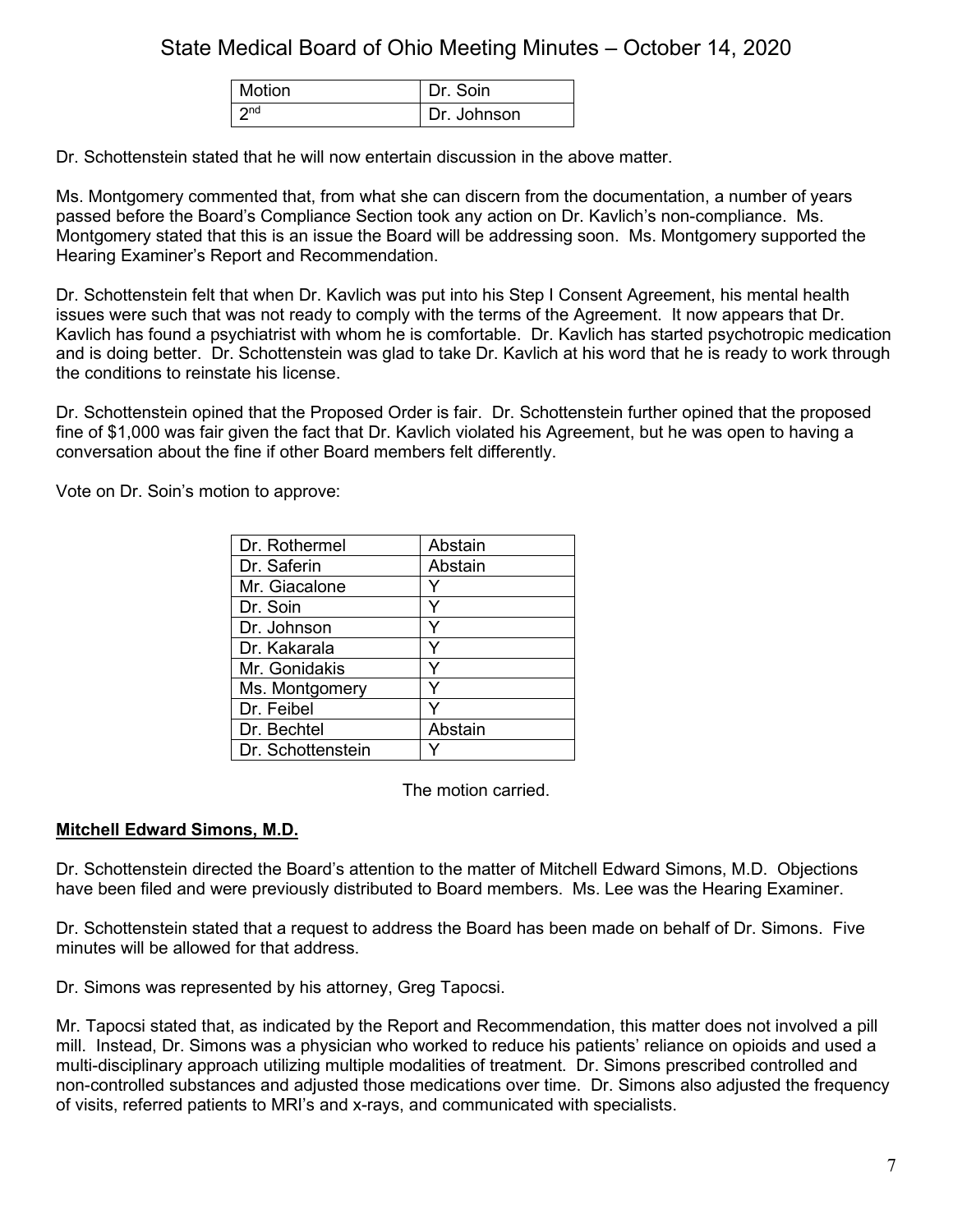| Motion                         | Dr Soin     |
|--------------------------------|-------------|
| $\vert$ $\gamma$ <sup>nd</sup> | Dr. Johnson |

Dr. Schottenstein stated that he will now entertain discussion in the above matter.

Ms. Montgomery commented that, from what she can discern from the documentation, a number of years passed before the Board's Compliance Section took any action on Dr. Kavlich's non-compliance. Ms. Montgomery stated that this is an issue the Board will be addressing soon. Ms. Montgomery supported the Hearing Examiner's Report and Recommendation.

Dr. Schottenstein felt that when Dr. Kavlich was put into his Step I Consent Agreement, his mental health issues were such that was not ready to comply with the terms of the Agreement. It now appears that Dr. Kavlich has found a psychiatrist with whom he is comfortable. Dr. Kavlich has started psychotropic medication and is doing better. Dr. Schottenstein was glad to take Dr. Kavlich at his word that he is ready to work through the conditions to reinstate his license.

Dr. Schottenstein opined that the Proposed Order is fair. Dr. Schottenstein further opined that the proposed fine of \$1,000 was fair given the fact that Dr. Kavlich violated his Agreement, but he was open to having a conversation about the fine if other Board members felt differently.

Vote on Dr. Soin's motion to approve:

| Dr. Rothermel     | Abstain |
|-------------------|---------|
| Dr. Saferin       | Abstain |
| Mr. Giacalone     |         |
| Dr. Soin          | Y       |
| Dr. Johnson       | Y       |
| Dr. Kakarala      | Y       |
| Mr. Gonidakis     | ٧       |
| Ms. Montgomery    | Y       |
| Dr. Feibel        |         |
| Dr. Bechtel       | Abstain |
| Dr. Schottenstein |         |

The motion carried.

## **Mitchell Edward Simons, M.D.**

Dr. Schottenstein directed the Board's attention to the matter of Mitchell Edward Simons, M.D. Objections have been filed and were previously distributed to Board members. Ms. Lee was the Hearing Examiner.

Dr. Schottenstein stated that a request to address the Board has been made on behalf of Dr. Simons. Five minutes will be allowed for that address.

Dr. Simons was represented by his attorney, Greg Tapocsi.

Mr. Tapocsi stated that, as indicated by the Report and Recommendation, this matter does not involved a pill mill. Instead, Dr. Simons was a physician who worked to reduce his patients' reliance on opioids and used a multi-disciplinary approach utilizing multiple modalities of treatment. Dr. Simons prescribed controlled and non-controlled substances and adjusted those medications over time. Dr. Simons also adjusted the frequency of visits, referred patients to MRI's and x-rays, and communicated with specialists.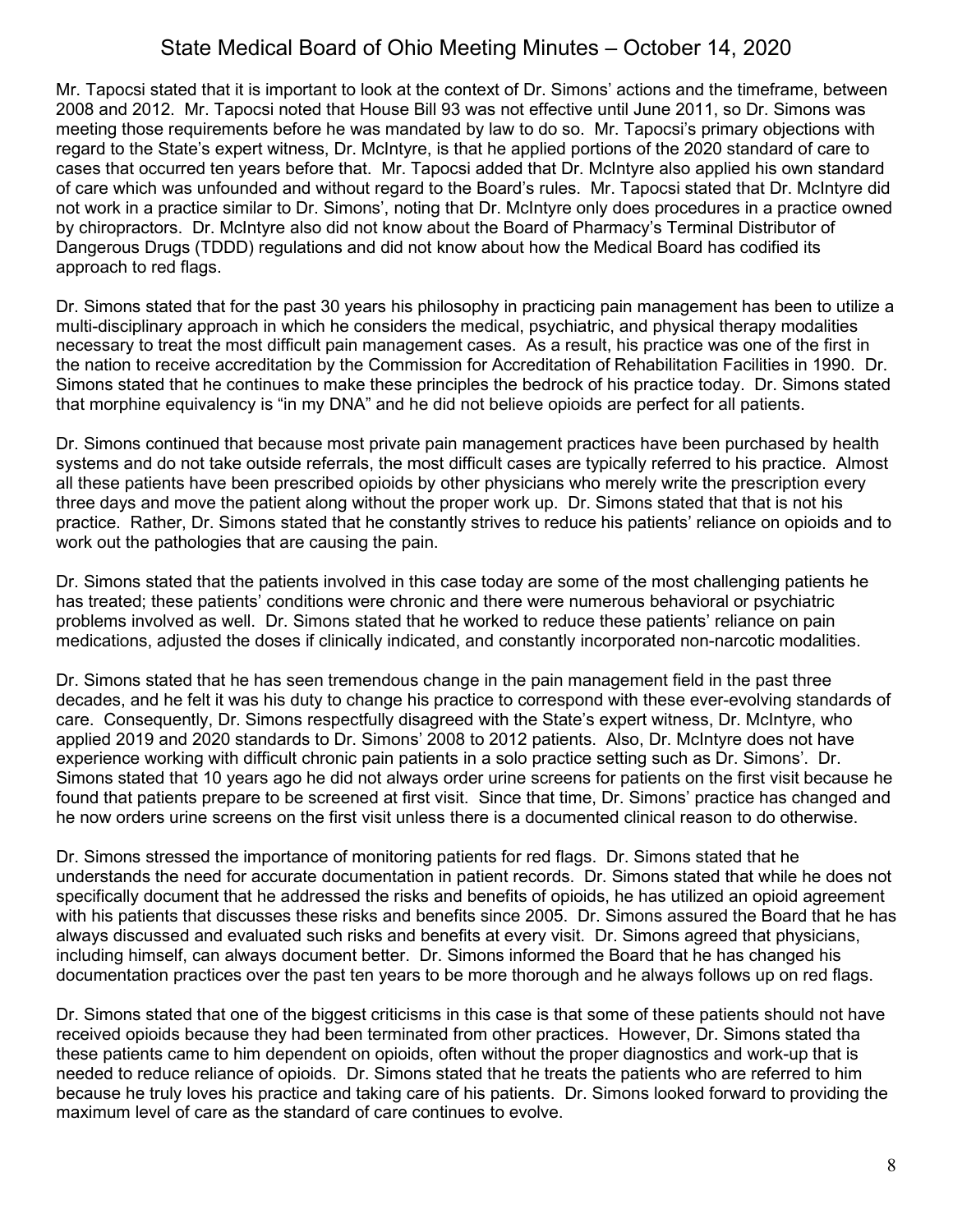Mr. Tapocsi stated that it is important to look at the context of Dr. Simons' actions and the timeframe, between 2008 and 2012. Mr. Tapocsi noted that House Bill 93 was not effective until June 2011, so Dr. Simons was meeting those requirements before he was mandated by law to do so. Mr. Tapocsi's primary objections with regard to the State's expert witness, Dr. McIntyre, is that he applied portions of the 2020 standard of care to cases that occurred ten years before that. Mr. Tapocsi added that Dr. McIntyre also applied his own standard of care which was unfounded and without regard to the Board's rules. Mr. Tapocsi stated that Dr. McIntyre did not work in a practice similar to Dr. Simons', noting that Dr. McIntyre only does procedures in a practice owned by chiropractors. Dr. McIntyre also did not know about the Board of Pharmacy's Terminal Distributor of Dangerous Drugs (TDDD) regulations and did not know about how the Medical Board has codified its approach to red flags.

Dr. Simons stated that for the past 30 years his philosophy in practicing pain management has been to utilize a multi-disciplinary approach in which he considers the medical, psychiatric, and physical therapy modalities necessary to treat the most difficult pain management cases. As a result, his practice was one of the first in the nation to receive accreditation by the Commission for Accreditation of Rehabilitation Facilities in 1990. Dr. Simons stated that he continues to make these principles the bedrock of his practice today. Dr. Simons stated that morphine equivalency is "in my DNA" and he did not believe opioids are perfect for all patients.

Dr. Simons continued that because most private pain management practices have been purchased by health systems and do not take outside referrals, the most difficult cases are typically referred to his practice. Almost all these patients have been prescribed opioids by other physicians who merely write the prescription every three days and move the patient along without the proper work up. Dr. Simons stated that that is not his practice. Rather, Dr. Simons stated that he constantly strives to reduce his patients' reliance on opioids and to work out the pathologies that are causing the pain.

Dr. Simons stated that the patients involved in this case today are some of the most challenging patients he has treated; these patients' conditions were chronic and there were numerous behavioral or psychiatric problems involved as well. Dr. Simons stated that he worked to reduce these patients' reliance on pain medications, adjusted the doses if clinically indicated, and constantly incorporated non-narcotic modalities.

Dr. Simons stated that he has seen tremendous change in the pain management field in the past three decades, and he felt it was his duty to change his practice to correspond with these ever-evolving standards of care. Consequently, Dr. Simons respectfully disagreed with the State's expert witness, Dr. McIntyre, who applied 2019 and 2020 standards to Dr. Simons' 2008 to 2012 patients. Also, Dr. McIntyre does not have experience working with difficult chronic pain patients in a solo practice setting such as Dr. Simons'. Dr. Simons stated that 10 years ago he did not always order urine screens for patients on the first visit because he found that patients prepare to be screened at first visit. Since that time, Dr. Simons' practice has changed and he now orders urine screens on the first visit unless there is a documented clinical reason to do otherwise.

Dr. Simons stressed the importance of monitoring patients for red flags. Dr. Simons stated that he understands the need for accurate documentation in patient records. Dr. Simons stated that while he does not specifically document that he addressed the risks and benefits of opioids, he has utilized an opioid agreement with his patients that discusses these risks and benefits since 2005. Dr. Simons assured the Board that he has always discussed and evaluated such risks and benefits at every visit. Dr. Simons agreed that physicians, including himself, can always document better. Dr. Simons informed the Board that he has changed his documentation practices over the past ten years to be more thorough and he always follows up on red flags.

Dr. Simons stated that one of the biggest criticisms in this case is that some of these patients should not have received opioids because they had been terminated from other practices. However, Dr. Simons stated tha these patients came to him dependent on opioids, often without the proper diagnostics and work-up that is needed to reduce reliance of opioids. Dr. Simons stated that he treats the patients who are referred to him because he truly loves his practice and taking care of his patients. Dr. Simons looked forward to providing the maximum level of care as the standard of care continues to evolve.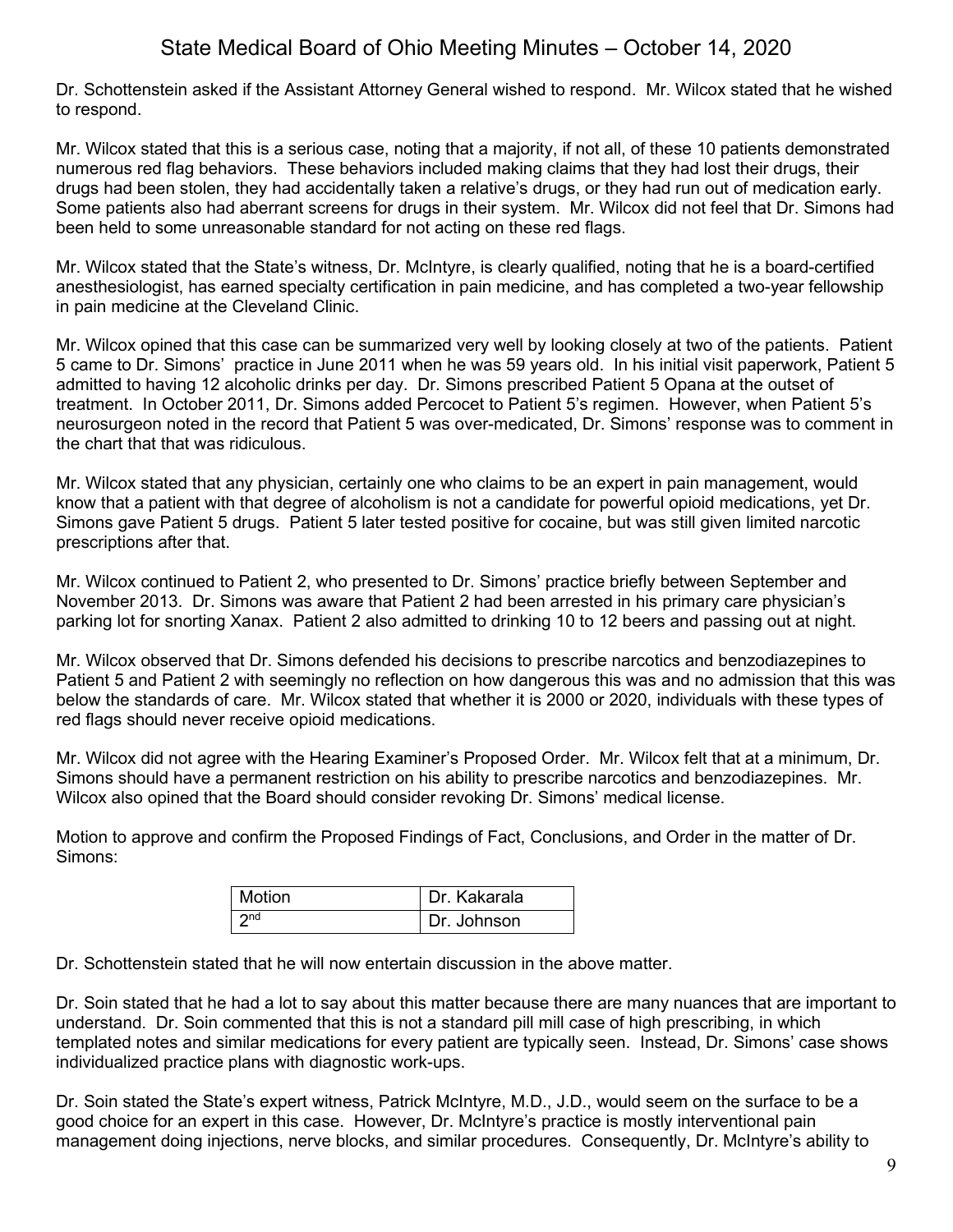Dr. Schottenstein asked if the Assistant Attorney General wished to respond. Mr. Wilcox stated that he wished to respond.

Mr. Wilcox stated that this is a serious case, noting that a majority, if not all, of these 10 patients demonstrated numerous red flag behaviors. These behaviors included making claims that they had lost their drugs, their drugs had been stolen, they had accidentally taken a relative's drugs, or they had run out of medication early. Some patients also had aberrant screens for drugs in their system. Mr. Wilcox did not feel that Dr. Simons had been held to some unreasonable standard for not acting on these red flags.

Mr. Wilcox stated that the State's witness, Dr. McIntyre, is clearly qualified, noting that he is a board-certified anesthesiologist, has earned specialty certification in pain medicine, and has completed a two-year fellowship in pain medicine at the Cleveland Clinic.

Mr. Wilcox opined that this case can be summarized very well by looking closely at two of the patients. Patient 5 came to Dr. Simons' practice in June 2011 when he was 59 years old. In his initial visit paperwork, Patient 5 admitted to having 12 alcoholic drinks per day. Dr. Simons prescribed Patient 5 Opana at the outset of treatment. In October 2011, Dr. Simons added Percocet to Patient 5's regimen. However, when Patient 5's neurosurgeon noted in the record that Patient 5 was over-medicated, Dr. Simons' response was to comment in the chart that that was ridiculous.

Mr. Wilcox stated that any physician, certainly one who claims to be an expert in pain management, would know that a patient with that degree of alcoholism is not a candidate for powerful opioid medications, yet Dr. Simons gave Patient 5 drugs. Patient 5 later tested positive for cocaine, but was still given limited narcotic prescriptions after that.

Mr. Wilcox continued to Patient 2, who presented to Dr. Simons' practice briefly between September and November 2013. Dr. Simons was aware that Patient 2 had been arrested in his primary care physician's parking lot for snorting Xanax. Patient 2 also admitted to drinking 10 to 12 beers and passing out at night.

Mr. Wilcox observed that Dr. Simons defended his decisions to prescribe narcotics and benzodiazepines to Patient 5 and Patient 2 with seemingly no reflection on how dangerous this was and no admission that this was below the standards of care. Mr. Wilcox stated that whether it is 2000 or 2020, individuals with these types of red flags should never receive opioid medications.

Mr. Wilcox did not agree with the Hearing Examiner's Proposed Order. Mr. Wilcox felt that at a minimum, Dr. Simons should have a permanent restriction on his ability to prescribe narcotics and benzodiazepines. Mr. Wilcox also opined that the Board should consider revoking Dr. Simons' medical license.

Motion to approve and confirm the Proposed Findings of Fact, Conclusions, and Order in the matter of Dr. Simons:

| Motion          | I Dr. Kakarala |
|-----------------|----------------|
| 2 <sub>nd</sub> | Dr. Johnson    |

Dr. Schottenstein stated that he will now entertain discussion in the above matter.

Dr. Soin stated that he had a lot to say about this matter because there are many nuances that are important to understand. Dr. Soin commented that this is not a standard pill mill case of high prescribing, in which templated notes and similar medications for every patient are typically seen. Instead, Dr. Simons' case shows individualized practice plans with diagnostic work-ups.

Dr. Soin stated the State's expert witness, Patrick McIntyre, M.D., J.D., would seem on the surface to be a good choice for an expert in this case. However, Dr. McIntyre's practice is mostly interventional pain management doing injections, nerve blocks, and similar procedures. Consequently, Dr. McIntyre's ability to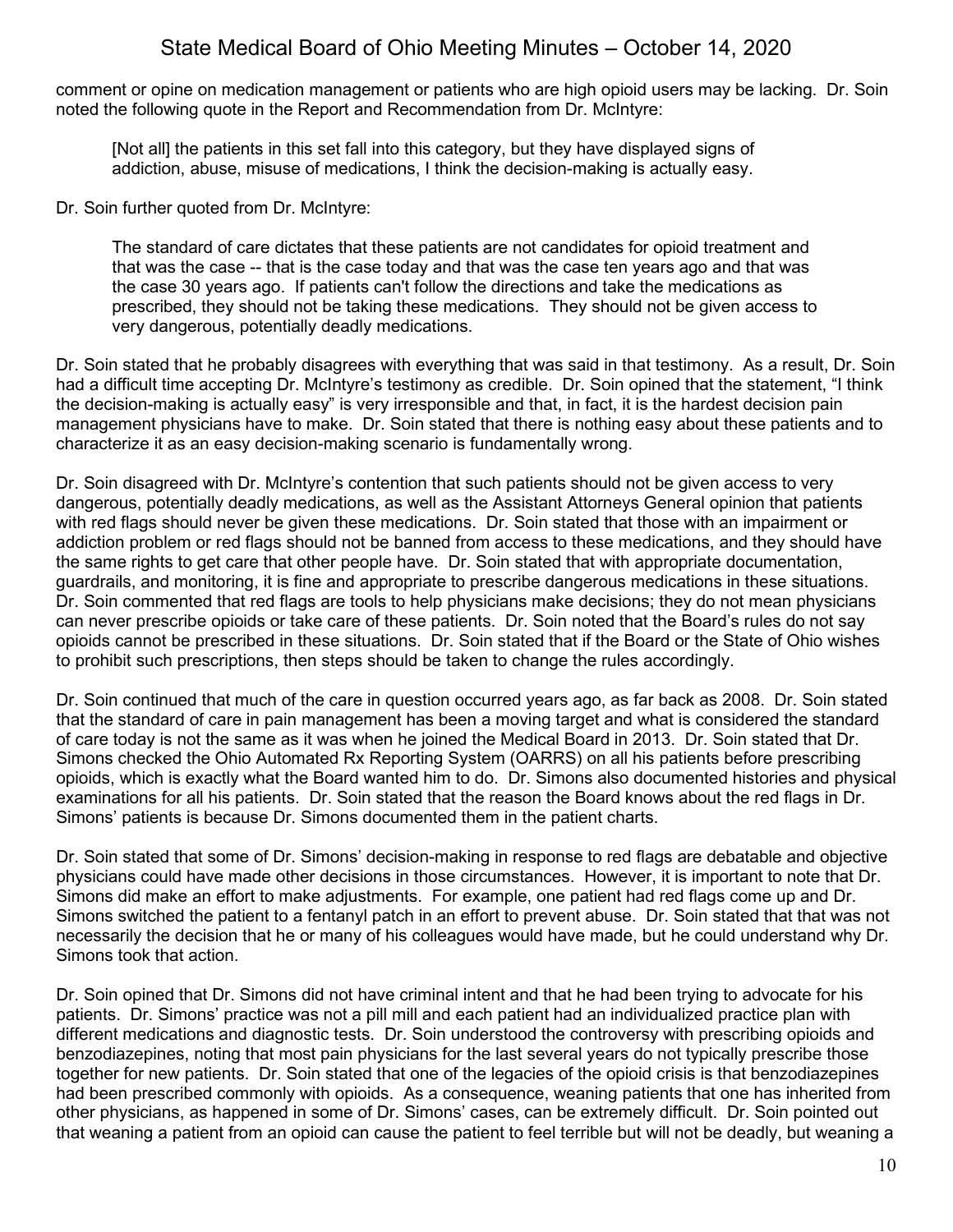comment or opine on medication management or patients who are high opioid users may be lacking. Dr. Soin noted the following quote in the Report and Recommendation from Dr. McIntyre:

[Not all] the patients in this set fall into this category, but they have displayed signs of addiction, abuse, misuse of medications, I think the decision-making is actually easy.

Dr. Soin further quoted from Dr. McIntyre:

The standard of care dictates that these patients are not candidates for opioid treatment and that was the case -- that is the case today and that was the case ten years ago and that was the case 30 years ago. If patients can't follow the directions and take the medications as prescribed, they should not be taking these medications. They should not be given access to very dangerous, potentially deadly medications.

Dr. Soin stated that he probably disagrees with everything that was said in that testimony. As a result, Dr. Soin had a difficult time accepting Dr. McIntyre's testimony as credible. Dr. Soin opined that the statement, "I think the decision-making is actually easy" is very irresponsible and that, in fact, it is the hardest decision pain management physicians have to make. Dr. Soin stated that there is nothing easy about these patients and to characterize it as an easy decision-making scenario is fundamentally wrong.

Dr. Soin disagreed with Dr. McIntyre's contention that such patients should not be given access to very dangerous, potentially deadly medications, as well as the Assistant Attorneys General opinion that patients with red flags should never be given these medications. Dr. Soin stated that those with an impairment or addiction problem or red flags should not be banned from access to these medications, and they should have the same rights to get care that other people have. Dr. Soin stated that with appropriate documentation, guardrails, and monitoring, it is fine and appropriate to prescribe dangerous medications in these situations. Dr. Soin commented that red flags are tools to help physicians make decisions; they do not mean physicians can never prescribe opioids or take care of these patients. Dr. Soin noted that the Board's rules do not say opioids cannot be prescribed in these situations. Dr. Soin stated that if the Board or the State of Ohio wishes to prohibit such prescriptions, then steps should be taken to change the rules accordingly.

Dr. Soin continued that much of the care in question occurred years ago, as far back as 2008. Dr. Soin stated that the standard of care in pain management has been a moving target and what is considered the standard of care today is not the same as it was when he joined the Medical Board in 2013. Dr. Soin stated that Dr. Simons checked the Ohio Automated Rx Reporting System (OARRS) on all his patients before prescribing opioids, which is exactly what the Board wanted him to do. Dr. Simons also documented histories and physical examinations for all his patients. Dr. Soin stated that the reason the Board knows about the red flags in Dr. Simons' patients is because Dr. Simons documented them in the patient charts.

Dr. Soin stated that some of Dr. Simons' decision-making in response to red flags are debatable and objective physicians could have made other decisions in those circumstances. However, it is important to note that Dr. Simons did make an effort to make adjustments. For example, one patient had red flags come up and Dr. Simons switched the patient to a fentanyl patch in an effort to prevent abuse. Dr. Soin stated that that was not necessarily the decision that he or many of his colleagues would have made, but he could understand why Dr. Simons took that action.

Dr. Soin opined that Dr. Simons did not have criminal intent and that he had been trying to advocate for his patients. Dr. Simons' practice was not a pill mill and each patient had an individualized practice plan with different medications and diagnostic tests. Dr. Soin understood the controversy with prescribing opioids and benzodiazepines, noting that most pain physicians for the last several years do not typically prescribe those together for new patients. Dr. Soin stated that one of the legacies of the opioid crisis is that benzodiazepines had been prescribed commonly with opioids. As a consequence, weaning patients that one has inherited from other physicians, as happened in some of Dr. Simons' cases, can be extremely difficult. Dr. Soin pointed out that weaning a patient from an opioid can cause the patient to feel terrible but will not be deadly, but weaning a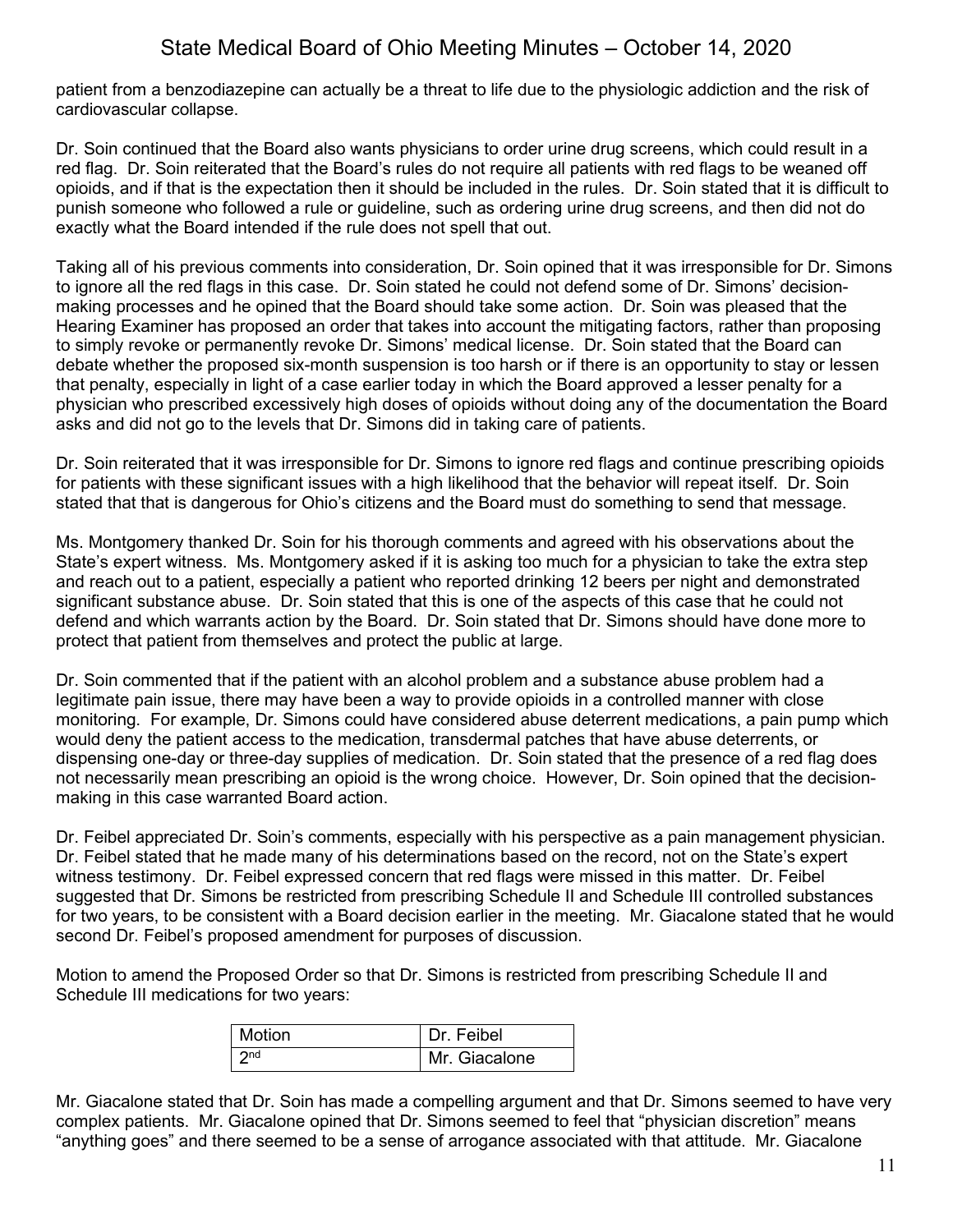patient from a benzodiazepine can actually be a threat to life due to the physiologic addiction and the risk of cardiovascular collapse.

Dr. Soin continued that the Board also wants physicians to order urine drug screens, which could result in a red flag. Dr. Soin reiterated that the Board's rules do not require all patients with red flags to be weaned off opioids, and if that is the expectation then it should be included in the rules. Dr. Soin stated that it is difficult to punish someone who followed a rule or guideline, such as ordering urine drug screens, and then did not do exactly what the Board intended if the rule does not spell that out.

Taking all of his previous comments into consideration, Dr. Soin opined that it was irresponsible for Dr. Simons to ignore all the red flags in this case. Dr. Soin stated he could not defend some of Dr. Simons' decisionmaking processes and he opined that the Board should take some action. Dr. Soin was pleased that the Hearing Examiner has proposed an order that takes into account the mitigating factors, rather than proposing to simply revoke or permanently revoke Dr. Simons' medical license. Dr. Soin stated that the Board can debate whether the proposed six-month suspension is too harsh or if there is an opportunity to stay or lessen that penalty, especially in light of a case earlier today in which the Board approved a lesser penalty for a physician who prescribed excessively high doses of opioids without doing any of the documentation the Board asks and did not go to the levels that Dr. Simons did in taking care of patients.

Dr. Soin reiterated that it was irresponsible for Dr. Simons to ignore red flags and continue prescribing opioids for patients with these significant issues with a high likelihood that the behavior will repeat itself. Dr. Soin stated that that is dangerous for Ohio's citizens and the Board must do something to send that message.

Ms. Montgomery thanked Dr. Soin for his thorough comments and agreed with his observations about the State's expert witness. Ms. Montgomery asked if it is asking too much for a physician to take the extra step and reach out to a patient, especially a patient who reported drinking 12 beers per night and demonstrated significant substance abuse. Dr. Soin stated that this is one of the aspects of this case that he could not defend and which warrants action by the Board. Dr. Soin stated that Dr. Simons should have done more to protect that patient from themselves and protect the public at large.

Dr. Soin commented that if the patient with an alcohol problem and a substance abuse problem had a legitimate pain issue, there may have been a way to provide opioids in a controlled manner with close monitoring. For example, Dr. Simons could have considered abuse deterrent medications, a pain pump which would deny the patient access to the medication, transdermal patches that have abuse deterrents, or dispensing one-day or three-day supplies of medication. Dr. Soin stated that the presence of a red flag does not necessarily mean prescribing an opioid is the wrong choice. However, Dr. Soin opined that the decisionmaking in this case warranted Board action.

Dr. Feibel appreciated Dr. Soin's comments, especially with his perspective as a pain management physician. Dr. Feibel stated that he made many of his determinations based on the record, not on the State's expert witness testimony. Dr. Feibel expressed concern that red flags were missed in this matter. Dr. Feibel suggested that Dr. Simons be restricted from prescribing Schedule II and Schedule III controlled substances for two years, to be consistent with a Board decision earlier in the meeting. Mr. Giacalone stated that he would second Dr. Feibel's proposed amendment for purposes of discussion.

Motion to amend the Proposed Order so that Dr. Simons is restricted from prescribing Schedule II and Schedule III medications for two years:

| Motion          | Dr. Feibel    |
|-----------------|---------------|
| 2 <sub>nd</sub> | Mr. Giacalone |

Mr. Giacalone stated that Dr. Soin has made a compelling argument and that Dr. Simons seemed to have very complex patients. Mr. Giacalone opined that Dr. Simons seemed to feel that "physician discretion" means "anything goes" and there seemed to be a sense of arrogance associated with that attitude. Mr. Giacalone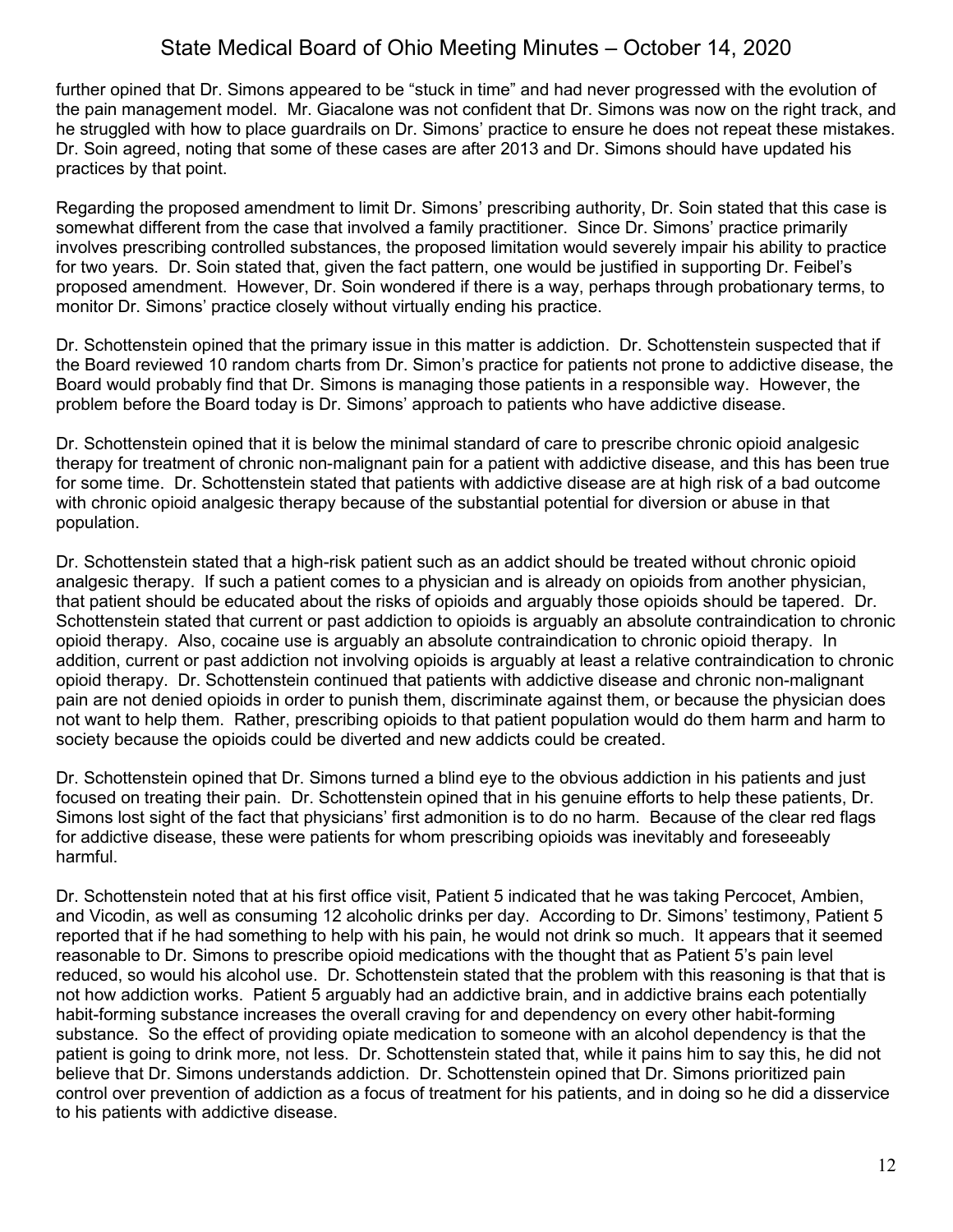further opined that Dr. Simons appeared to be "stuck in time" and had never progressed with the evolution of the pain management model. Mr. Giacalone was not confident that Dr. Simons was now on the right track, and he struggled with how to place guardrails on Dr. Simons' practice to ensure he does not repeat these mistakes. Dr. Soin agreed, noting that some of these cases are after 2013 and Dr. Simons should have updated his practices by that point.

Regarding the proposed amendment to limit Dr. Simons' prescribing authority, Dr. Soin stated that this case is somewhat different from the case that involved a family practitioner. Since Dr. Simons' practice primarily involves prescribing controlled substances, the proposed limitation would severely impair his ability to practice for two years. Dr. Soin stated that, given the fact pattern, one would be justified in supporting Dr. Feibel's proposed amendment. However, Dr. Soin wondered if there is a way, perhaps through probationary terms, to monitor Dr. Simons' practice closely without virtually ending his practice.

Dr. Schottenstein opined that the primary issue in this matter is addiction. Dr. Schottenstein suspected that if the Board reviewed 10 random charts from Dr. Simon's practice for patients not prone to addictive disease, the Board would probably find that Dr. Simons is managing those patients in a responsible way. However, the problem before the Board today is Dr. Simons' approach to patients who have addictive disease.

Dr. Schottenstein opined that it is below the minimal standard of care to prescribe chronic opioid analgesic therapy for treatment of chronic non-malignant pain for a patient with addictive disease, and this has been true for some time. Dr. Schottenstein stated that patients with addictive disease are at high risk of a bad outcome with chronic opioid analgesic therapy because of the substantial potential for diversion or abuse in that population.

Dr. Schottenstein stated that a high-risk patient such as an addict should be treated without chronic opioid analgesic therapy. If such a patient comes to a physician and is already on opioids from another physician, that patient should be educated about the risks of opioids and arguably those opioids should be tapered. Dr. Schottenstein stated that current or past addiction to opioids is arguably an absolute contraindication to chronic opioid therapy. Also, cocaine use is arguably an absolute contraindication to chronic opioid therapy. In addition, current or past addiction not involving opioids is arguably at least a relative contraindication to chronic opioid therapy. Dr. Schottenstein continued that patients with addictive disease and chronic non-malignant pain are not denied opioids in order to punish them, discriminate against them, or because the physician does not want to help them. Rather, prescribing opioids to that patient population would do them harm and harm to society because the opioids could be diverted and new addicts could be created.

Dr. Schottenstein opined that Dr. Simons turned a blind eye to the obvious addiction in his patients and just focused on treating their pain. Dr. Schottenstein opined that in his genuine efforts to help these patients, Dr. Simons lost sight of the fact that physicians' first admonition is to do no harm. Because of the clear red flags for addictive disease, these were patients for whom prescribing opioids was inevitably and foreseeably harmful.

Dr. Schottenstein noted that at his first office visit, Patient 5 indicated that he was taking Percocet, Ambien, and Vicodin, as well as consuming 12 alcoholic drinks per day. According to Dr. Simons' testimony, Patient 5 reported that if he had something to help with his pain, he would not drink so much. It appears that it seemed reasonable to Dr. Simons to prescribe opioid medications with the thought that as Patient 5's pain level reduced, so would his alcohol use. Dr. Schottenstein stated that the problem with this reasoning is that that is not how addiction works. Patient 5 arguably had an addictive brain, and in addictive brains each potentially habit-forming substance increases the overall craving for and dependency on every other habit-forming substance. So the effect of providing opiate medication to someone with an alcohol dependency is that the patient is going to drink more, not less. Dr. Schottenstein stated that, while it pains him to say this, he did not believe that Dr. Simons understands addiction. Dr. Schottenstein opined that Dr. Simons prioritized pain control over prevention of addiction as a focus of treatment for his patients, and in doing so he did a disservice to his patients with addictive disease.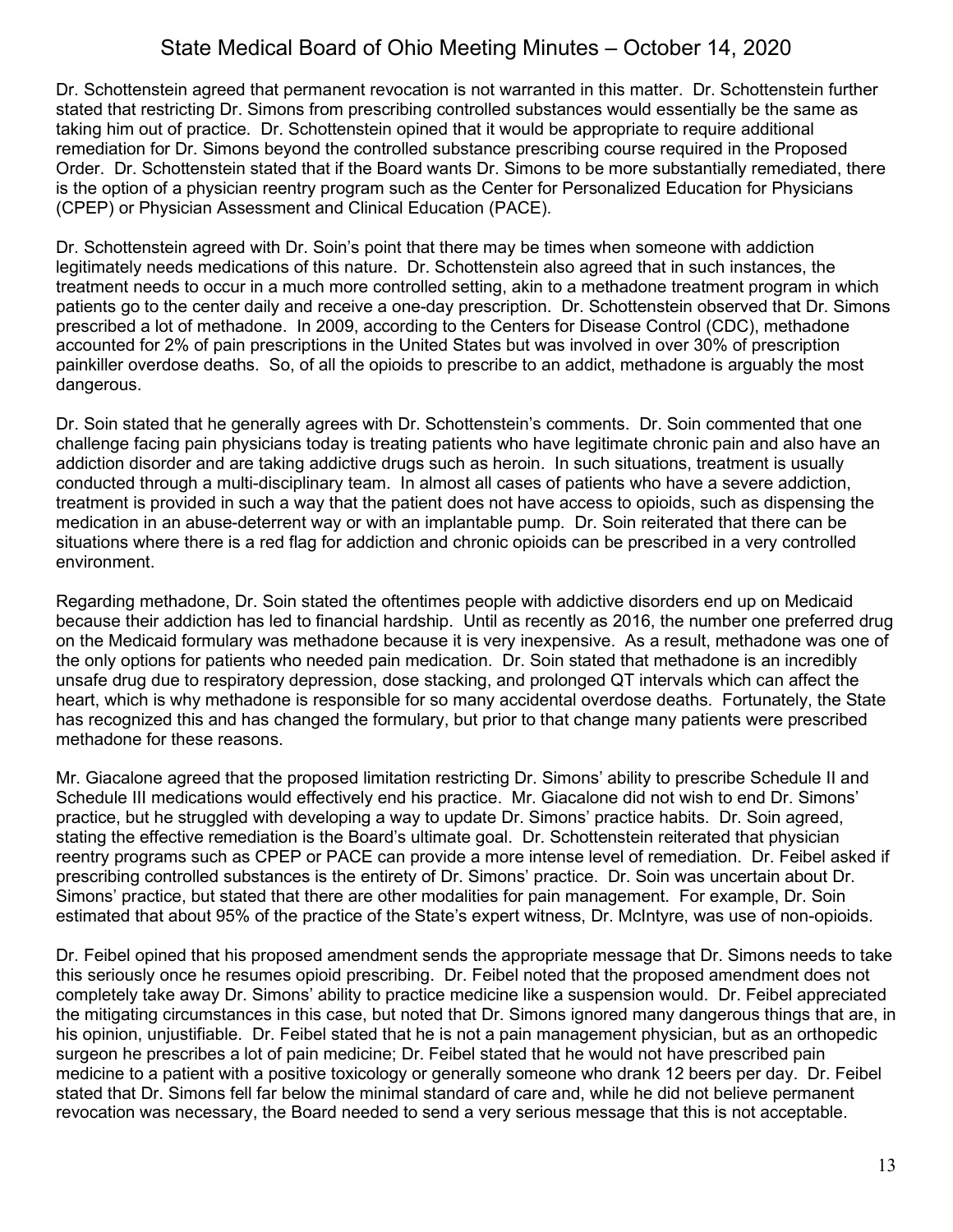Dr. Schottenstein agreed that permanent revocation is not warranted in this matter. Dr. Schottenstein further stated that restricting Dr. Simons from prescribing controlled substances would essentially be the same as taking him out of practice. Dr. Schottenstein opined that it would be appropriate to require additional remediation for Dr. Simons beyond the controlled substance prescribing course required in the Proposed Order. Dr. Schottenstein stated that if the Board wants Dr. Simons to be more substantially remediated, there is the option of a physician reentry program such as the Center for Personalized Education for Physicians (CPEP) or Physician Assessment and Clinical Education (PACE).

Dr. Schottenstein agreed with Dr. Soin's point that there may be times when someone with addiction legitimately needs medications of this nature. Dr. Schottenstein also agreed that in such instances, the treatment needs to occur in a much more controlled setting, akin to a methadone treatment program in which patients go to the center daily and receive a one-day prescription. Dr. Schottenstein observed that Dr. Simons prescribed a lot of methadone. In 2009, according to the Centers for Disease Control (CDC), methadone accounted for 2% of pain prescriptions in the United States but was involved in over 30% of prescription painkiller overdose deaths. So, of all the opioids to prescribe to an addict, methadone is arguably the most dangerous.

Dr. Soin stated that he generally agrees with Dr. Schottenstein's comments. Dr. Soin commented that one challenge facing pain physicians today is treating patients who have legitimate chronic pain and also have an addiction disorder and are taking addictive drugs such as heroin. In such situations, treatment is usually conducted through a multi-disciplinary team. In almost all cases of patients who have a severe addiction, treatment is provided in such a way that the patient does not have access to opioids, such as dispensing the medication in an abuse-deterrent way or with an implantable pump. Dr. Soin reiterated that there can be situations where there is a red flag for addiction and chronic opioids can be prescribed in a very controlled environment.

Regarding methadone, Dr. Soin stated the oftentimes people with addictive disorders end up on Medicaid because their addiction has led to financial hardship. Until as recently as 2016, the number one preferred drug on the Medicaid formulary was methadone because it is very inexpensive. As a result, methadone was one of the only options for patients who needed pain medication. Dr. Soin stated that methadone is an incredibly unsafe drug due to respiratory depression, dose stacking, and prolonged QT intervals which can affect the heart, which is why methadone is responsible for so many accidental overdose deaths. Fortunately, the State has recognized this and has changed the formulary, but prior to that change many patients were prescribed methadone for these reasons.

Mr. Giacalone agreed that the proposed limitation restricting Dr. Simons' ability to prescribe Schedule II and Schedule III medications would effectively end his practice. Mr. Giacalone did not wish to end Dr. Simons' practice, but he struggled with developing a way to update Dr. Simons' practice habits. Dr. Soin agreed, stating the effective remediation is the Board's ultimate goal. Dr. Schottenstein reiterated that physician reentry programs such as CPEP or PACE can provide a more intense level of remediation. Dr. Feibel asked if prescribing controlled substances is the entirety of Dr. Simons' practice. Dr. Soin was uncertain about Dr. Simons' practice, but stated that there are other modalities for pain management. For example, Dr. Soin estimated that about 95% of the practice of the State's expert witness, Dr. McIntyre, was use of non-opioids.

Dr. Feibel opined that his proposed amendment sends the appropriate message that Dr. Simons needs to take this seriously once he resumes opioid prescribing. Dr. Feibel noted that the proposed amendment does not completely take away Dr. Simons' ability to practice medicine like a suspension would. Dr. Feibel appreciated the mitigating circumstances in this case, but noted that Dr. Simons ignored many dangerous things that are, in his opinion, unjustifiable. Dr. Feibel stated that he is not a pain management physician, but as an orthopedic surgeon he prescribes a lot of pain medicine; Dr. Feibel stated that he would not have prescribed pain medicine to a patient with a positive toxicology or generally someone who drank 12 beers per day. Dr. Feibel stated that Dr. Simons fell far below the minimal standard of care and, while he did not believe permanent revocation was necessary, the Board needed to send a very serious message that this is not acceptable.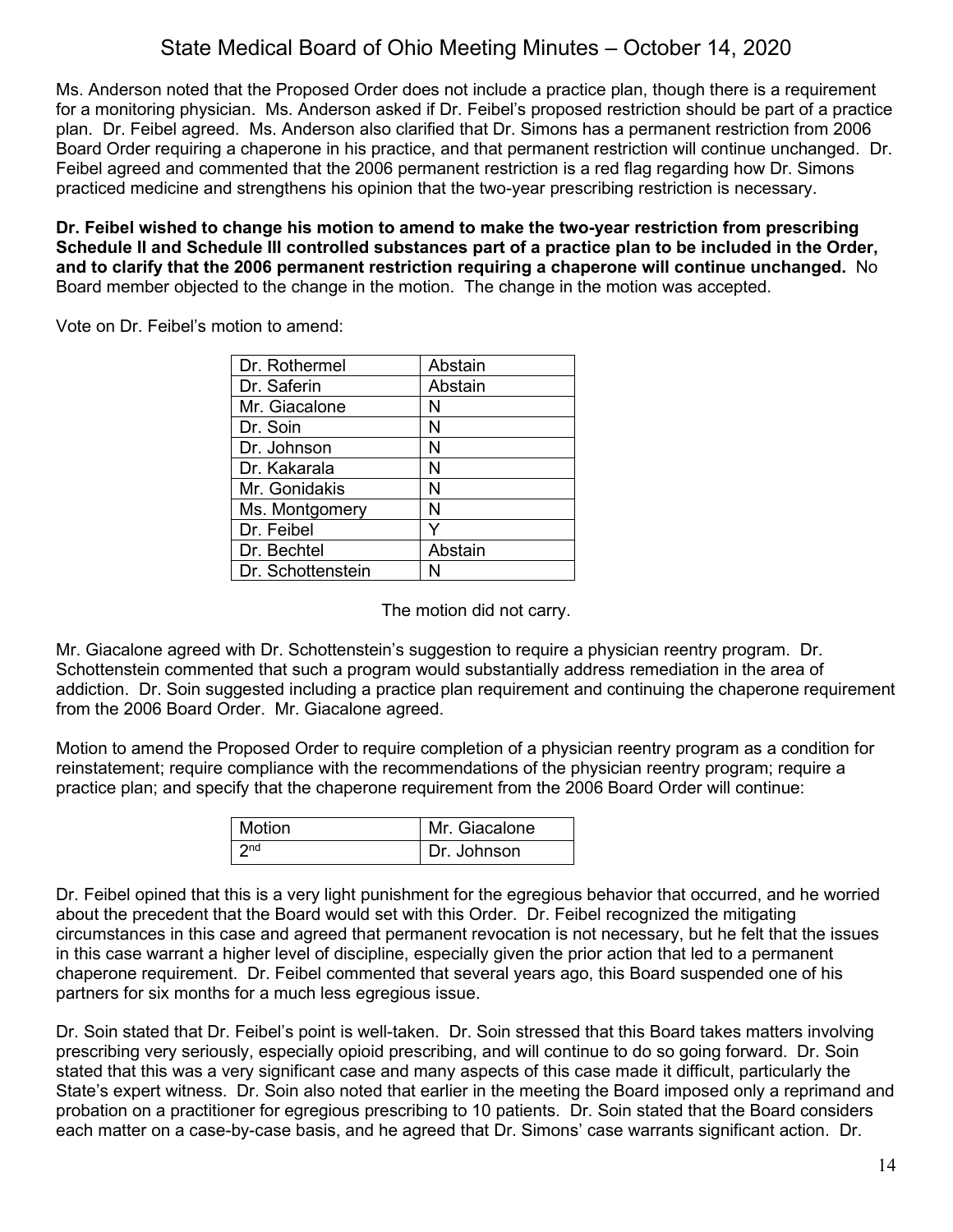Ms. Anderson noted that the Proposed Order does not include a practice plan, though there is a requirement for a monitoring physician. Ms. Anderson asked if Dr. Feibel's proposed restriction should be part of a practice plan. Dr. Feibel agreed. Ms. Anderson also clarified that Dr. Simons has a permanent restriction from 2006 Board Order requiring a chaperone in his practice, and that permanent restriction will continue unchanged. Dr. Feibel agreed and commented that the 2006 permanent restriction is a red flag regarding how Dr. Simons practiced medicine and strengthens his opinion that the two-year prescribing restriction is necessary.

**Dr. Feibel wished to change his motion to amend to make the two-year restriction from prescribing Schedule II and Schedule III controlled substances part of a practice plan to be included in the Order, and to clarify that the 2006 permanent restriction requiring a chaperone will continue unchanged.** No Board member objected to the change in the motion. The change in the motion was accepted.

Vote on Dr. Feibel's motion to amend:

| Dr. Rothermel     | Abstain |
|-------------------|---------|
| Dr. Saferin       | Abstain |
| Mr. Giacalone     | N       |
| Dr. Soin          | Ν       |
| Dr. Johnson       | N       |
| Dr. Kakarala      | N       |
| Mr. Gonidakis     | N       |
| Ms. Montgomery    | N       |
| Dr. Feibel        | Y       |
| Dr. Bechtel       | Abstain |
| Dr. Schottenstein | N       |

The motion did not carry.

Mr. Giacalone agreed with Dr. Schottenstein's suggestion to require a physician reentry program. Dr. Schottenstein commented that such a program would substantially address remediation in the area of addiction. Dr. Soin suggested including a practice plan requirement and continuing the chaperone requirement from the 2006 Board Order. Mr. Giacalone agreed.

Motion to amend the Proposed Order to require completion of a physician reentry program as a condition for reinstatement; require compliance with the recommendations of the physician reentry program; require a practice plan; and specify that the chaperone requirement from the 2006 Board Order will continue:

| Motion          | Mr. Giacalone |
|-----------------|---------------|
| 2 <sub>nd</sub> | Dr. Johnson   |

Dr. Feibel opined that this is a very light punishment for the egregious behavior that occurred, and he worried about the precedent that the Board would set with this Order. Dr. Feibel recognized the mitigating circumstances in this case and agreed that permanent revocation is not necessary, but he felt that the issues in this case warrant a higher level of discipline, especially given the prior action that led to a permanent chaperone requirement. Dr. Feibel commented that several years ago, this Board suspended one of his partners for six months for a much less egregious issue.

Dr. Soin stated that Dr. Feibel's point is well-taken. Dr. Soin stressed that this Board takes matters involving prescribing very seriously, especially opioid prescribing, and will continue to do so going forward. Dr. Soin stated that this was a very significant case and many aspects of this case made it difficult, particularly the State's expert witness. Dr. Soin also noted that earlier in the meeting the Board imposed only a reprimand and probation on a practitioner for egregious prescribing to 10 patients. Dr. Soin stated that the Board considers each matter on a case-by-case basis, and he agreed that Dr. Simons' case warrants significant action. Dr.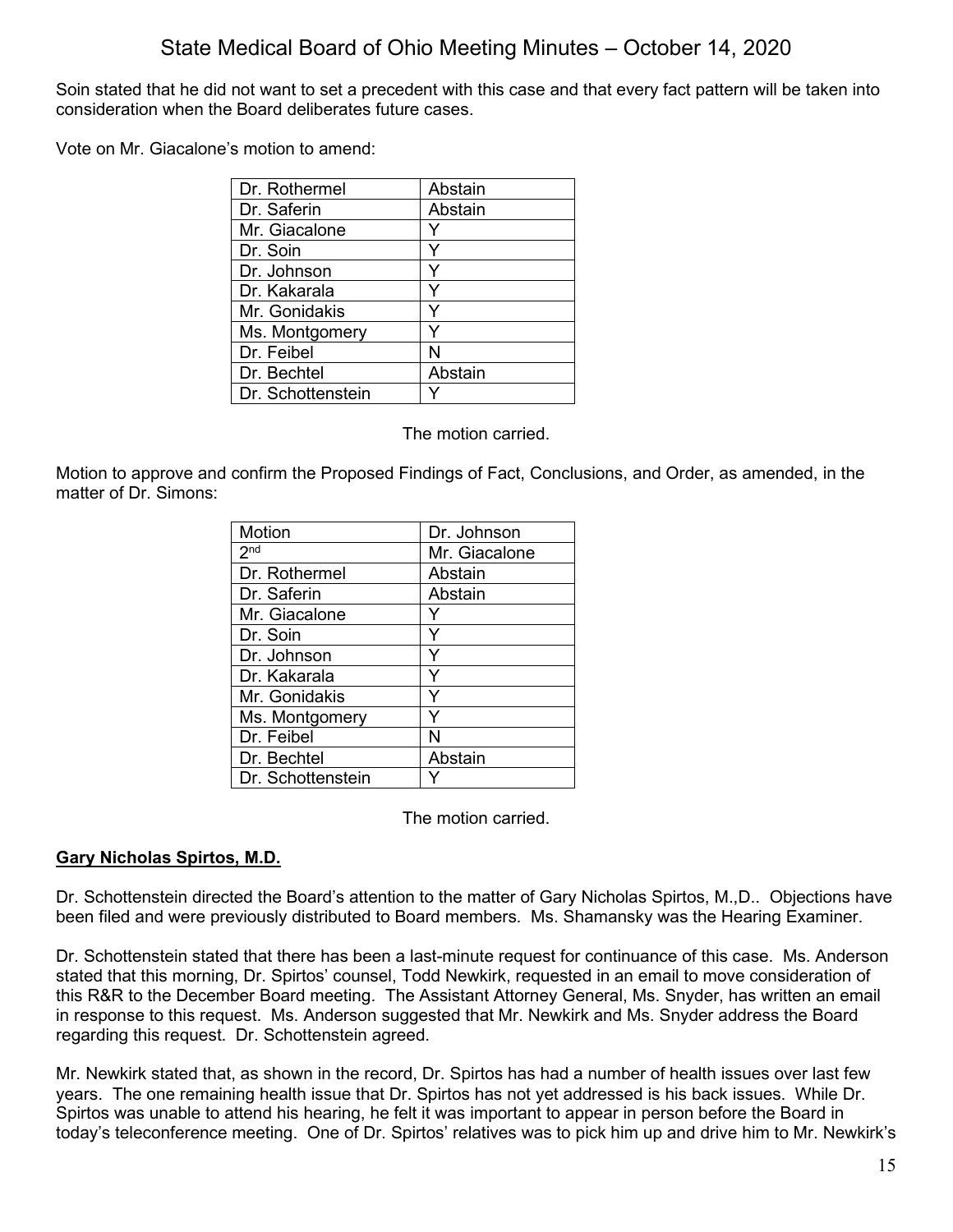Soin stated that he did not want to set a precedent with this case and that every fact pattern will be taken into consideration when the Board deliberates future cases.

Vote on Mr. Giacalone's motion to amend:

| Dr. Rothermel     | Abstain |
|-------------------|---------|
| Dr. Saferin       | Abstain |
| Mr. Giacalone     |         |
| Dr. Soin          |         |
| Dr. Johnson       | Y       |
| Dr. Kakarala      | Υ       |
| Mr. Gonidakis     |         |
| Ms. Montgomery    | Υ       |
| Dr. Feibel        | N       |
| Dr. Bechtel       | Abstain |
| Dr. Schottenstein |         |

The motion carried.

Motion to approve and confirm the Proposed Findings of Fact, Conclusions, and Order, as amended, in the matter of Dr. Simons:

| Motion            | Dr. Johnson   |
|-------------------|---------------|
| 2 <sub>nd</sub>   | Mr. Giacalone |
| Dr. Rothermel     | Abstain       |
| Dr. Saferin       | Abstain       |
| Mr. Giacalone     |               |
| Dr. Soin          | Y             |
| Dr. Johnson       | Y             |
| Dr. Kakarala      | Y             |
| Mr. Gonidakis     | Y             |
| Ms. Montgomery    |               |
| Dr. Feibel        | N             |
| Dr. Bechtel       | Abstain       |
| Dr. Schottenstein |               |

The motion carried.

## **Gary Nicholas Spirtos, M.D.**

Dr. Schottenstein directed the Board's attention to the matter of Gary Nicholas Spirtos, M.,D.. Objections have been filed and were previously distributed to Board members. Ms. Shamansky was the Hearing Examiner.

Dr. Schottenstein stated that there has been a last-minute request for continuance of this case. Ms. Anderson stated that this morning, Dr. Spirtos' counsel, Todd Newkirk, requested in an email to move consideration of this R&R to the December Board meeting. The Assistant Attorney General, Ms. Snyder, has written an email in response to this request. Ms. Anderson suggested that Mr. Newkirk and Ms. Snyder address the Board regarding this request. Dr. Schottenstein agreed.

Mr. Newkirk stated that, as shown in the record, Dr. Spirtos has had a number of health issues over last few years. The one remaining health issue that Dr. Spirtos has not yet addressed is his back issues. While Dr. Spirtos was unable to attend his hearing, he felt it was important to appear in person before the Board in today's teleconference meeting. One of Dr. Spirtos' relatives was to pick him up and drive him to Mr. Newkirk's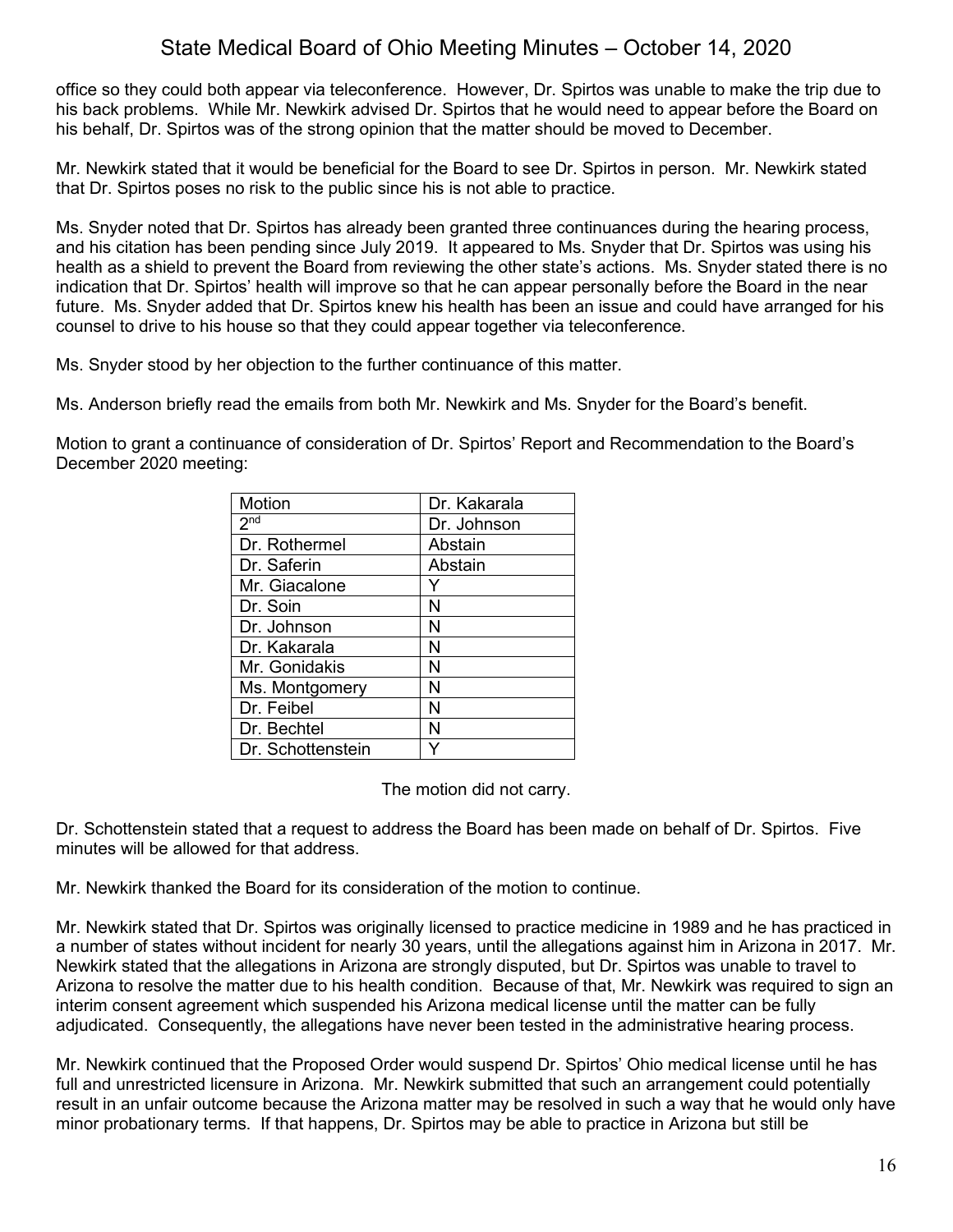office so they could both appear via teleconference. However, Dr. Spirtos was unable to make the trip due to his back problems. While Mr. Newkirk advised Dr. Spirtos that he would need to appear before the Board on his behalf, Dr. Spirtos was of the strong opinion that the matter should be moved to December.

Mr. Newkirk stated that it would be beneficial for the Board to see Dr. Spirtos in person. Mr. Newkirk stated that Dr. Spirtos poses no risk to the public since his is not able to practice.

Ms. Snyder noted that Dr. Spirtos has already been granted three continuances during the hearing process, and his citation has been pending since July 2019. It appeared to Ms. Snyder that Dr. Spirtos was using his health as a shield to prevent the Board from reviewing the other state's actions. Ms. Snyder stated there is no indication that Dr. Spirtos' health will improve so that he can appear personally before the Board in the near future. Ms. Snyder added that Dr. Spirtos knew his health has been an issue and could have arranged for his counsel to drive to his house so that they could appear together via teleconference.

Ms. Snyder stood by her objection to the further continuance of this matter.

Ms. Anderson briefly read the emails from both Mr. Newkirk and Ms. Snyder for the Board's benefit.

Motion to grant a continuance of consideration of Dr. Spirtos' Report and Recommendation to the Board's December 2020 meeting:

| Motion                     | Dr. Kakarala |
|----------------------------|--------------|
| $2^{\overline{\text{nd}}}$ | Dr. Johnson  |
| Dr. Rothermel              | Abstain      |
| Dr. Saferin                | Abstain      |
| Mr. Giacalone              |              |
| Dr. Soin                   | N            |
| Dr. Johnson                | N            |
| Dr. Kakarala               | N            |
| Mr. Gonidakis              | N            |
| Ms. Montgomery             | N            |
| Dr. Feibel                 | N            |
| Dr. Bechtel                | N            |
| Dr. Schottenstein          |              |

The motion did not carry.

Dr. Schottenstein stated that a request to address the Board has been made on behalf of Dr. Spirtos. Five minutes will be allowed for that address.

Mr. Newkirk thanked the Board for its consideration of the motion to continue.

Mr. Newkirk stated that Dr. Spirtos was originally licensed to practice medicine in 1989 and he has practiced in a number of states without incident for nearly 30 years, until the allegations against him in Arizona in 2017. Mr. Newkirk stated that the allegations in Arizona are strongly disputed, but Dr. Spirtos was unable to travel to Arizona to resolve the matter due to his health condition. Because of that, Mr. Newkirk was required to sign an interim consent agreement which suspended his Arizona medical license until the matter can be fully adjudicated. Consequently, the allegations have never been tested in the administrative hearing process.

Mr. Newkirk continued that the Proposed Order would suspend Dr. Spirtos' Ohio medical license until he has full and unrestricted licensure in Arizona. Mr. Newkirk submitted that such an arrangement could potentially result in an unfair outcome because the Arizona matter may be resolved in such a way that he would only have minor probationary terms. If that happens, Dr. Spirtos may be able to practice in Arizona but still be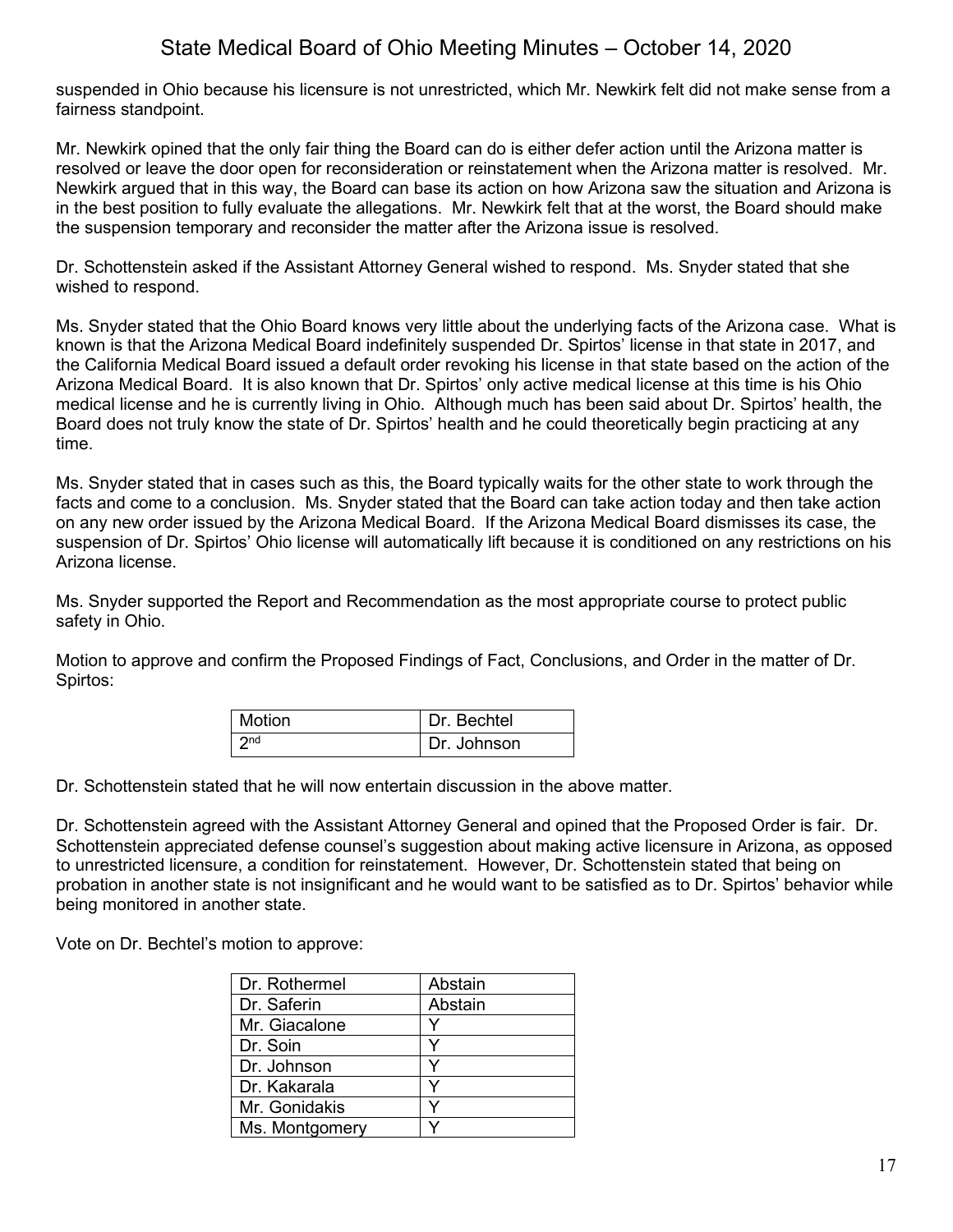suspended in Ohio because his licensure is not unrestricted, which Mr. Newkirk felt did not make sense from a fairness standpoint.

Mr. Newkirk opined that the only fair thing the Board can do is either defer action until the Arizona matter is resolved or leave the door open for reconsideration or reinstatement when the Arizona matter is resolved. Mr. Newkirk argued that in this way, the Board can base its action on how Arizona saw the situation and Arizona is in the best position to fully evaluate the allegations. Mr. Newkirk felt that at the worst, the Board should make the suspension temporary and reconsider the matter after the Arizona issue is resolved.

Dr. Schottenstein asked if the Assistant Attorney General wished to respond. Ms. Snyder stated that she wished to respond.

Ms. Snyder stated that the Ohio Board knows very little about the underlying facts of the Arizona case. What is known is that the Arizona Medical Board indefinitely suspended Dr. Spirtos' license in that state in 2017, and the California Medical Board issued a default order revoking his license in that state based on the action of the Arizona Medical Board. It is also known that Dr. Spirtos' only active medical license at this time is his Ohio medical license and he is currently living in Ohio. Although much has been said about Dr. Spirtos' health, the Board does not truly know the state of Dr. Spirtos' health and he could theoretically begin practicing at any time.

Ms. Snyder stated that in cases such as this, the Board typically waits for the other state to work through the facts and come to a conclusion. Ms. Snyder stated that the Board can take action today and then take action on any new order issued by the Arizona Medical Board. If the Arizona Medical Board dismisses its case, the suspension of Dr. Spirtos' Ohio license will automatically lift because it is conditioned on any restrictions on his Arizona license.

Ms. Snyder supported the Report and Recommendation as the most appropriate course to protect public safety in Ohio.

Motion to approve and confirm the Proposed Findings of Fact, Conclusions, and Order in the matter of Dr. Spirtos:

| <b>Motion</b>   | Dr. Bechtel |
|-----------------|-------------|
| $\mathsf{C}$ nd | Dr. Johnson |

Dr. Schottenstein stated that he will now entertain discussion in the above matter.

Dr. Schottenstein agreed with the Assistant Attorney General and opined that the Proposed Order is fair. Dr. Schottenstein appreciated defense counsel's suggestion about making active licensure in Arizona, as opposed to unrestricted licensure, a condition for reinstatement. However, Dr. Schottenstein stated that being on probation in another state is not insignificant and he would want to be satisfied as to Dr. Spirtos' behavior while being monitored in another state.

Vote on Dr. Bechtel's motion to approve:

| Dr. Rothermel  | Abstain |
|----------------|---------|
| Dr. Saferin    | Abstain |
| Mr. Giacalone  |         |
| Dr. Soin       |         |
| Dr. Johnson    |         |
| Dr. Kakarala   |         |
| Mr. Gonidakis  |         |
| Ms. Montgomery |         |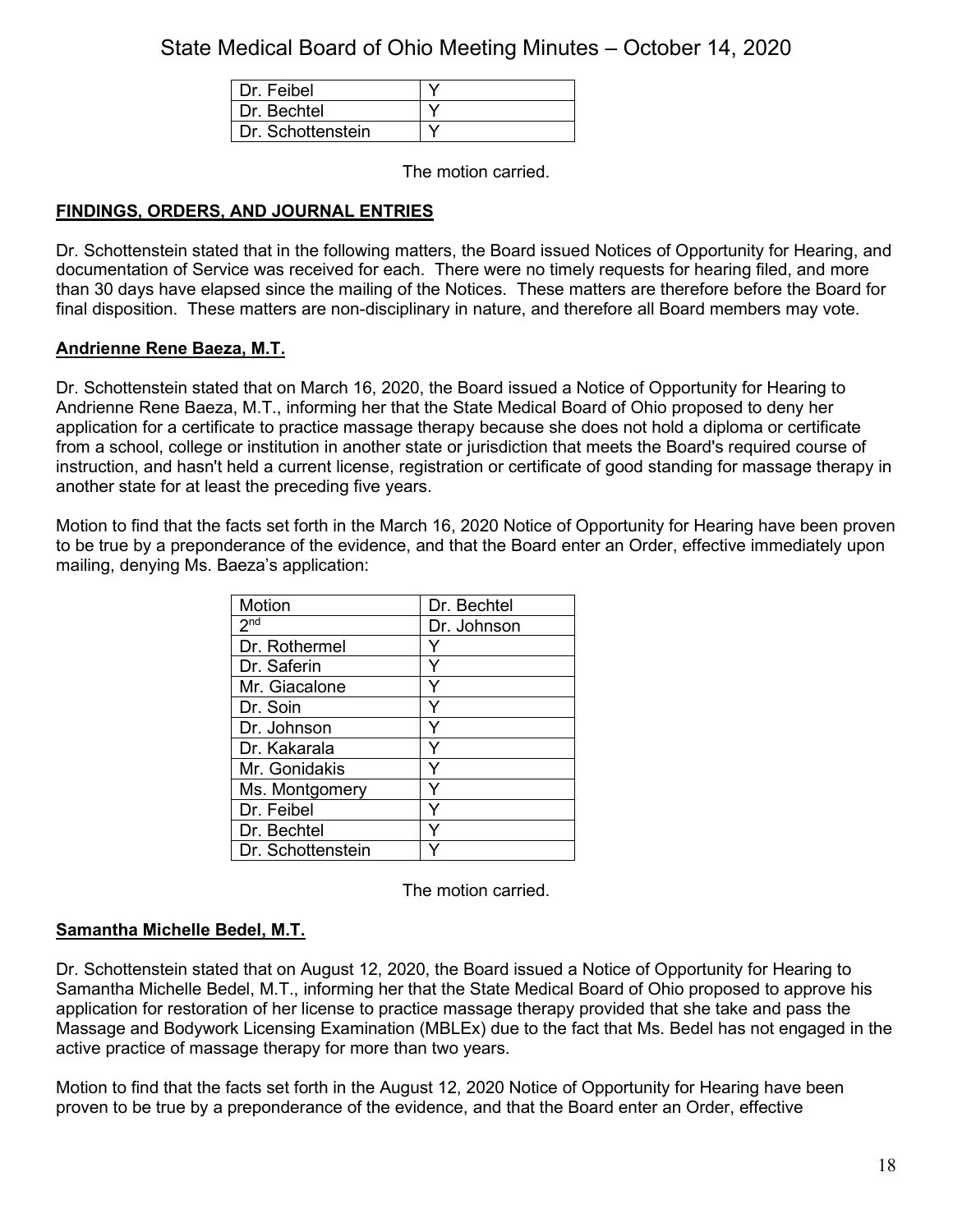| Dr. Feibel        |  |
|-------------------|--|
| Dr Bechtel        |  |
| Dr. Schottenstein |  |

The motion carried.

## **FINDINGS, ORDERS, AND JOURNAL ENTRIES**

Dr. Schottenstein stated that in the following matters, the Board issued Notices of Opportunity for Hearing, and documentation of Service was received for each. There were no timely requests for hearing filed, and more than 30 days have elapsed since the mailing of the Notices. These matters are therefore before the Board for final disposition. These matters are non-disciplinary in nature, and therefore all Board members may vote.

## **Andrienne Rene Baeza, M.T.**

Dr. Schottenstein stated that on March 16, 2020, the Board issued a Notice of Opportunity for Hearing to Andrienne Rene Baeza, M.T., informing her that the State Medical Board of Ohio proposed to deny her application for a certificate to practice massage therapy because she does not hold a diploma or certificate from a school, college or institution in another state or jurisdiction that meets the Board's required course of instruction, and hasn't held a current license, registration or certificate of good standing for massage therapy in another state for at least the preceding five years.

Motion to find that the facts set forth in the March 16, 2020 Notice of Opportunity for Hearing have been proven to be true by a preponderance of the evidence, and that the Board enter an Order, effective immediately upon mailing, denying Ms. Baeza's application:

| Motion            | Dr. Bechtel |
|-------------------|-------------|
| 2 <sub>nd</sub>   | Dr. Johnson |
| Dr. Rothermel     |             |
| Dr. Saferin       |             |
| Mr. Giacalone     |             |
| Dr. Soin          |             |
| Dr. Johnson       | Y           |
| Dr. Kakarala      | Y           |
| Mr. Gonidakis     |             |
| Ms. Montgomery    |             |
| Dr. Feibel        |             |
| Dr. Bechtel       |             |
| Dr. Schottenstein |             |

The motion carried.

## **Samantha Michelle Bedel, M.T.**

Dr. Schottenstein stated that on August 12, 2020, the Board issued a Notice of Opportunity for Hearing to Samantha Michelle Bedel, M.T., informing her that the State Medical Board of Ohio proposed to approve his application for restoration of her license to practice massage therapy provided that she take and pass the Massage and Bodywork Licensing Examination (MBLEx) due to the fact that Ms. Bedel has not engaged in the active practice of massage therapy for more than two years.

Motion to find that the facts set forth in the August 12, 2020 Notice of Opportunity for Hearing have been proven to be true by a preponderance of the evidence, and that the Board enter an Order, effective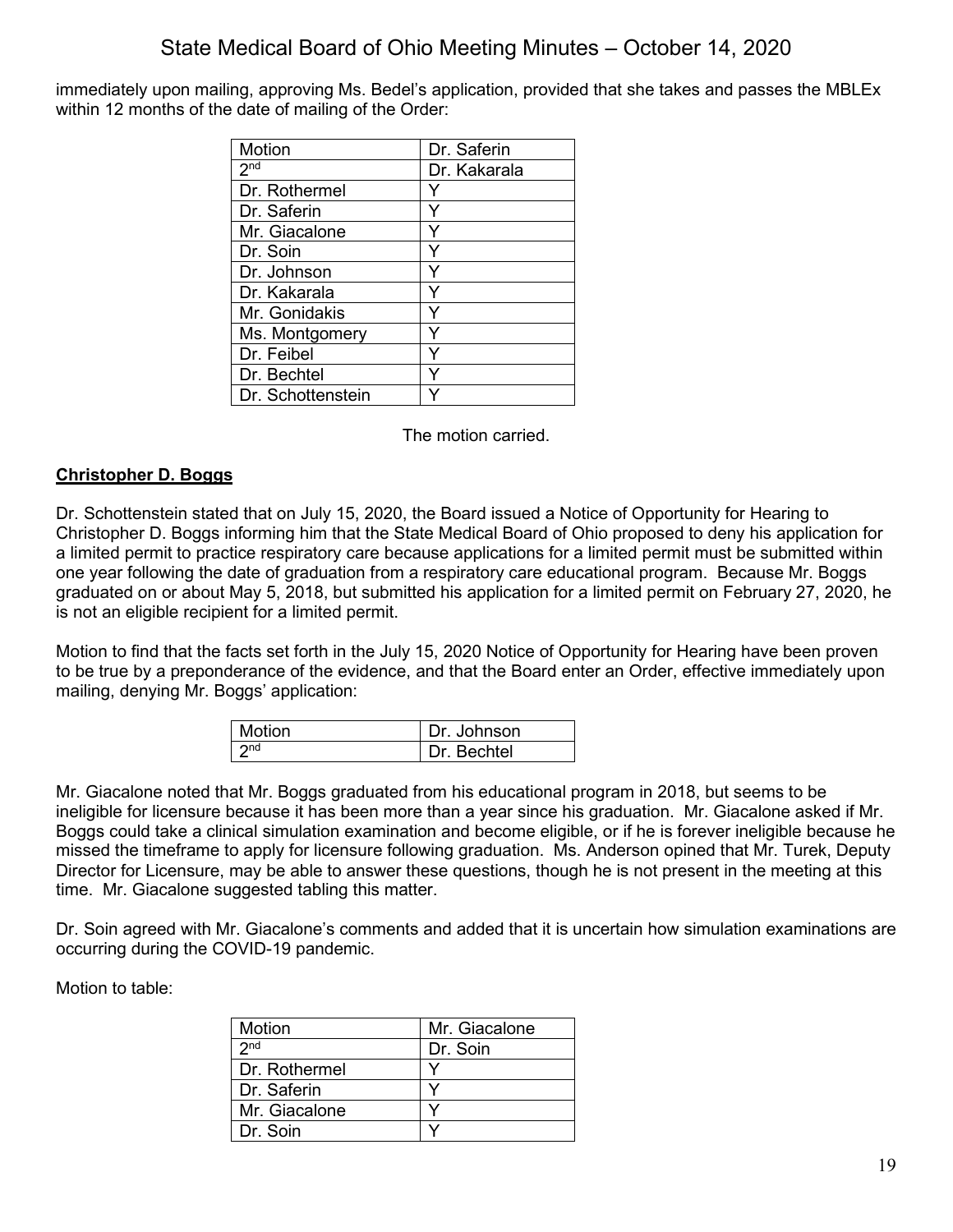immediately upon mailing, approving Ms. Bedel's application, provided that she takes and passes the MBLEx within 12 months of the date of mailing of the Order:

| Motion            | Dr. Saferin  |
|-------------------|--------------|
| 2 <sup>nd</sup>   | Dr. Kakarala |
| Dr. Rothermel     |              |
| Dr. Saferin       |              |
| Mr. Giacalone     |              |
| Dr. Soin          |              |
| Dr. Johnson       |              |
| Dr. Kakarala      |              |
| Mr. Gonidakis     |              |
| Ms. Montgomery    |              |
| Dr. Feibel        |              |
| Dr. Bechtel       |              |
| Dr. Schottenstein |              |

The motion carried.

## **Christopher D. Boggs**

Dr. Schottenstein stated that on July 15, 2020, the Board issued a Notice of Opportunity for Hearing to Christopher D. Boggs informing him that the State Medical Board of Ohio proposed to deny his application for a limited permit to practice respiratory care because applications for a limited permit must be submitted within one year following the date of graduation from a respiratory care educational program. Because Mr. Boggs graduated on or about May 5, 2018, but submitted his application for a limited permit on February 27, 2020, he is not an eligible recipient for a limited permit.

Motion to find that the facts set forth in the July 15, 2020 Notice of Opportunity for Hearing have been proven to be true by a preponderance of the evidence, and that the Board enter an Order, effective immediately upon mailing, denying Mr. Boggs' application:

| Motion          | Dr. Johnson |
|-----------------|-------------|
| 2n <sub>d</sub> | Dr. Bechtel |

Mr. Giacalone noted that Mr. Boggs graduated from his educational program in 2018, but seems to be ineligible for licensure because it has been more than a year since his graduation. Mr. Giacalone asked if Mr. Boggs could take a clinical simulation examination and become eligible, or if he is forever ineligible because he missed the timeframe to apply for licensure following graduation. Ms. Anderson opined that Mr. Turek, Deputy Director for Licensure, may be able to answer these questions, though he is not present in the meeting at this time. Mr. Giacalone suggested tabling this matter.

Dr. Soin agreed with Mr. Giacalone's comments and added that it is uncertain how simulation examinations are occurring during the COVID-19 pandemic.

Motion to table:

| Motion          | Mr. Giacalone |
|-----------------|---------------|
| 2 <sub>nd</sub> | Dr. Soin      |
| Dr. Rothermel   |               |
| Dr. Saferin     |               |
| Mr. Giacalone   |               |
| Dr. Soin        |               |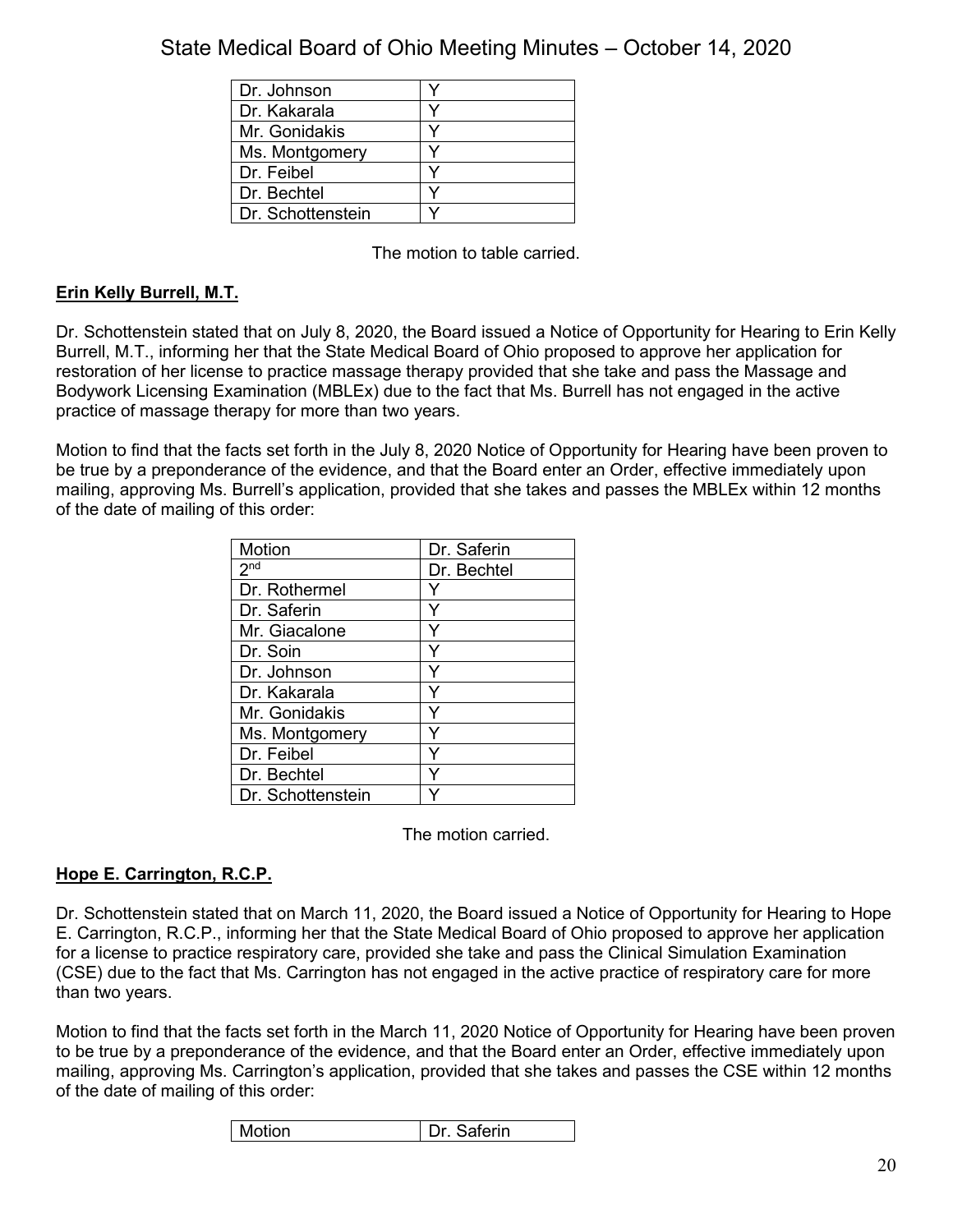| Dr. Johnson       |  |
|-------------------|--|
| Dr. Kakarala      |  |
| Mr. Gonidakis     |  |
| Ms. Montgomery    |  |
| Dr. Feibel        |  |
| Dr. Bechtel       |  |
| Dr. Schottenstein |  |

The motion to table carried.

## **Erin Kelly Burrell, M.T.**

Dr. Schottenstein stated that on July 8, 2020, the Board issued a Notice of Opportunity for Hearing to Erin Kelly Burrell, M.T., informing her that the State Medical Board of Ohio proposed to approve her application for restoration of her license to practice massage therapy provided that she take and pass the Massage and Bodywork Licensing Examination (MBLEx) due to the fact that Ms. Burrell has not engaged in the active practice of massage therapy for more than two years.

Motion to find that the facts set forth in the July 8, 2020 Notice of Opportunity for Hearing have been proven to be true by a preponderance of the evidence, and that the Board enter an Order, effective immediately upon mailing, approving Ms. Burrell's application, provided that she takes and passes the MBLEx within 12 months of the date of mailing of this order:

| Motion            | Dr. Saferin |
|-------------------|-------------|
| 2 <sup>nd</sup>   | Dr. Bechtel |
| Dr. Rothermel     |             |
| Dr. Saferin       |             |
| Mr. Giacalone     |             |
| Dr. Soin          |             |
| Dr. Johnson       | ٧           |
| Dr. Kakarala      | Y           |
| Mr. Gonidakis     |             |
| Ms. Montgomery    |             |
| Dr. Feibel        |             |
| Dr. Bechtel       |             |
| Dr. Schottenstein |             |

The motion carried.

## **Hope E. Carrington, R.C.P.**

Dr. Schottenstein stated that on March 11, 2020, the Board issued a Notice of Opportunity for Hearing to Hope E. Carrington, R.C.P., informing her that the State Medical Board of Ohio proposed to approve her application for a license to practice respiratory care, provided she take and pass the Clinical Simulation Examination (CSE) due to the fact that Ms. Carrington has not engaged in the active practice of respiratory care for more than two years.

Motion to find that the facts set forth in the March 11, 2020 Notice of Opportunity for Hearing have been proven to be true by a preponderance of the evidence, and that the Board enter an Order, effective immediately upon mailing, approving Ms. Carrington's application, provided that she takes and passes the CSE within 12 months of the date of mailing of this order:

| Motion | aferin<br>$\cdots$ |
|--------|--------------------|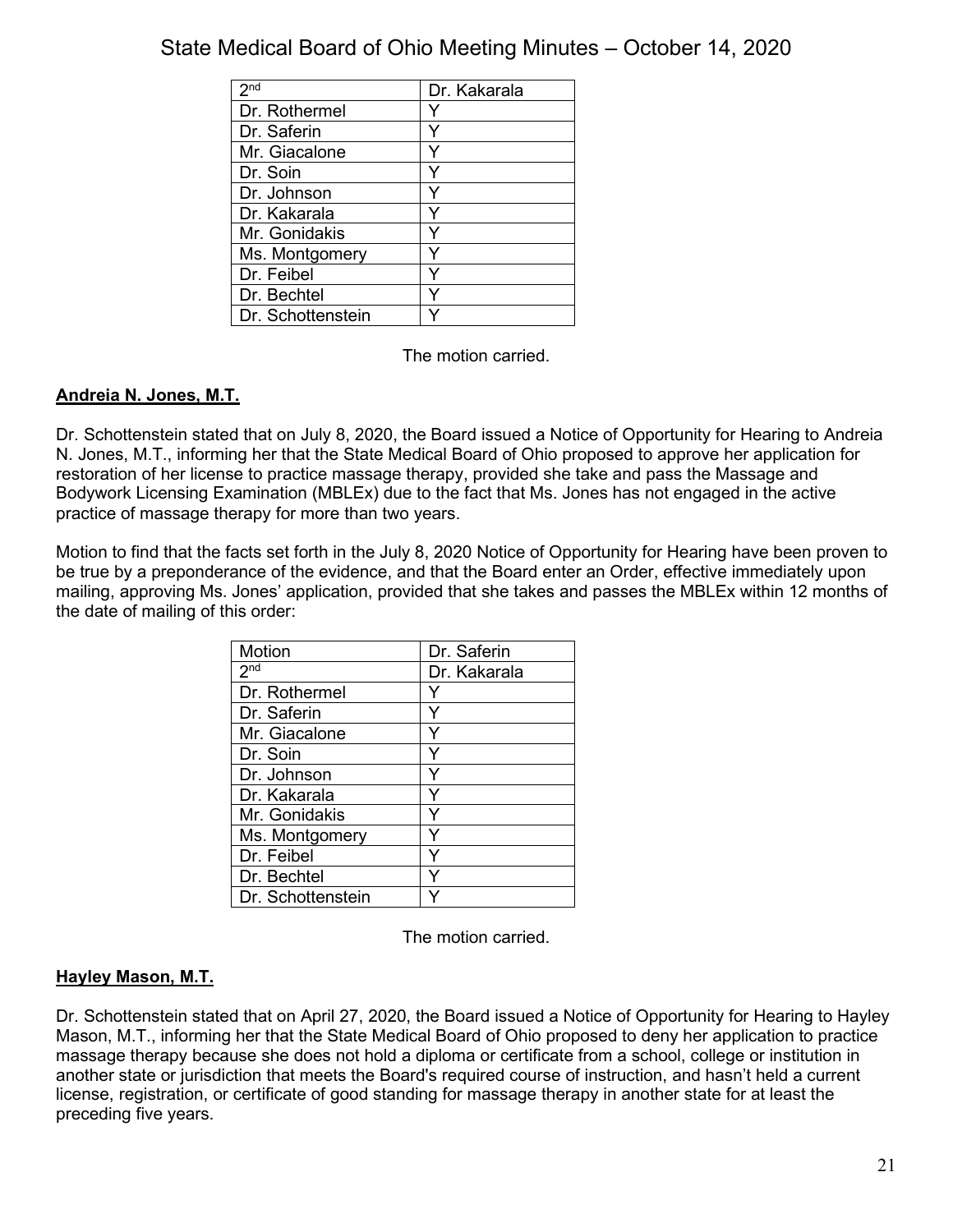| 2 <sub>nd</sub>   | Dr. Kakarala |
|-------------------|--------------|
| Dr. Rothermel     |              |
| Dr. Saferin       |              |
| Mr. Giacalone     |              |
| Dr. Soin          |              |
| Dr. Johnson       |              |
| Dr. Kakarala      |              |
| Mr. Gonidakis     |              |
| Ms. Montgomery    |              |
| Dr. Feibel        |              |
| Dr. Bechtel       |              |
| Dr. Schottenstein |              |

The motion carried.

## **Andreia N. Jones, M.T.**

Dr. Schottenstein stated that on July 8, 2020, the Board issued a Notice of Opportunity for Hearing to Andreia N. Jones, M.T., informing her that the State Medical Board of Ohio proposed to approve her application for restoration of her license to practice massage therapy, provided she take and pass the Massage and Bodywork Licensing Examination (MBLEx) due to the fact that Ms. Jones has not engaged in the active practice of massage therapy for more than two years.

Motion to find that the facts set forth in the July 8, 2020 Notice of Opportunity for Hearing have been proven to be true by a preponderance of the evidence, and that the Board enter an Order, effective immediately upon mailing, approving Ms. Jones' application, provided that she takes and passes the MBLEx within 12 months of the date of mailing of this order:

| Motion            | Dr. Saferin  |
|-------------------|--------------|
| 2 <sub>nd</sub>   | Dr. Kakarala |
| Dr. Rothermel     |              |
| Dr. Saferin       | Y            |
| Mr. Giacalone     | Y            |
| Dr. Soin          |              |
| Dr. Johnson       | Y            |
| Dr. Kakarala      | Y            |
| Mr. Gonidakis     | Y            |
| Ms. Montgomery    |              |
| Dr. Feibel        | Y            |
| Dr. Bechtel       |              |
| Dr. Schottenstein |              |

The motion carried.

## **Hayley Mason, M.T.**

Dr. Schottenstein stated that on April 27, 2020, the Board issued a Notice of Opportunity for Hearing to Hayley Mason, M.T., informing her that the State Medical Board of Ohio proposed to deny her application to practice massage therapy because she does not hold a diploma or certificate from a school, college or institution in another state or jurisdiction that meets the Board's required course of instruction, and hasn't held a current license, registration, or certificate of good standing for massage therapy in another state for at least the preceding five years.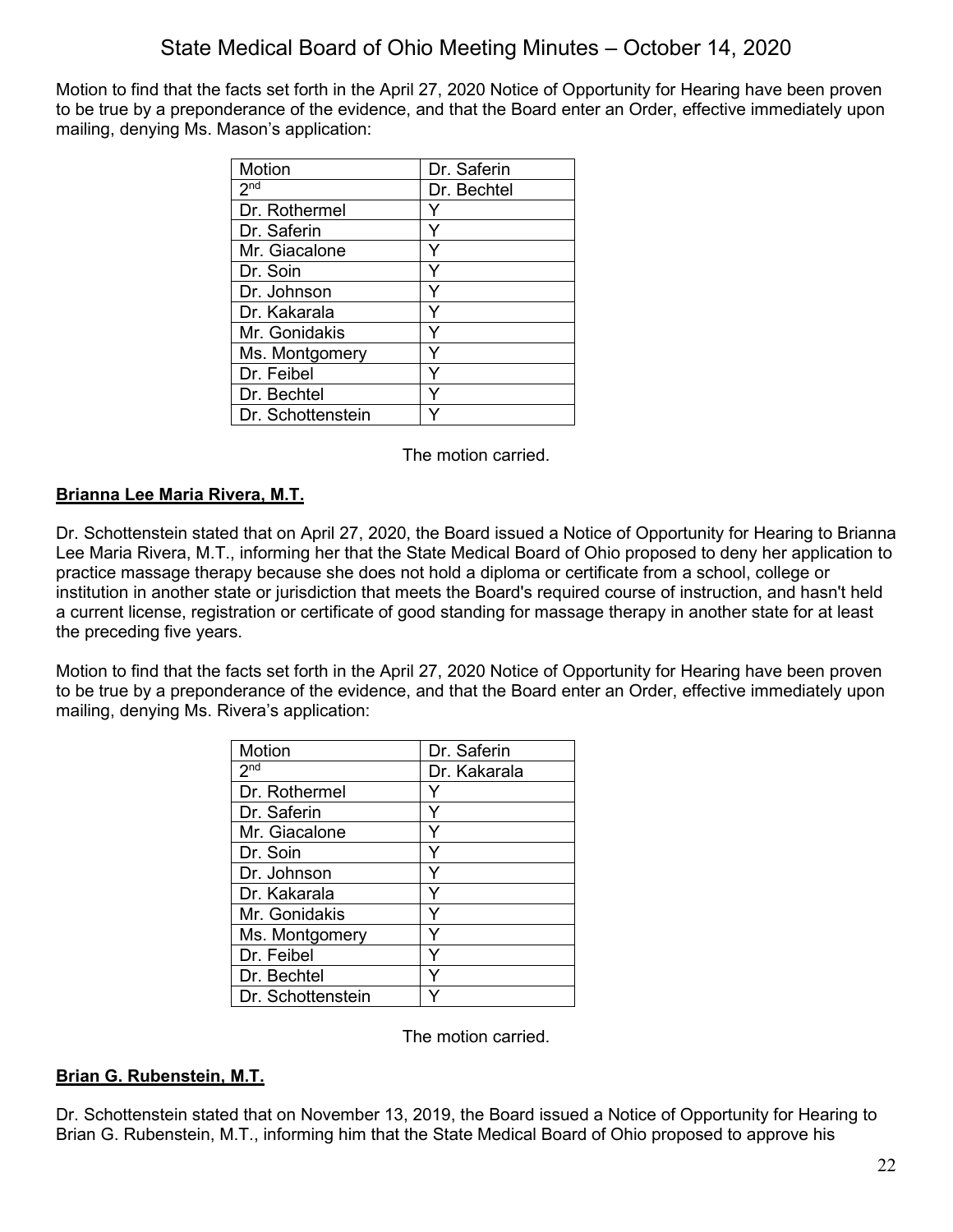Motion to find that the facts set forth in the April 27, 2020 Notice of Opportunity for Hearing have been proven to be true by a preponderance of the evidence, and that the Board enter an Order, effective immediately upon mailing, denying Ms. Mason's application:

| Motion            | Dr. Saferin |
|-------------------|-------------|
| 2 <sup>nd</sup>   | Dr. Bechtel |
| Dr. Rothermel     |             |
| Dr. Saferin       | ٧           |
| Mr. Giacalone     | Y           |
| Dr. Soin          |             |
| Dr. Johnson       |             |
| Dr. Kakarala      | Y           |
| Mr. Gonidakis     | ٧           |
| Ms. Montgomery    | v           |
| Dr. Feibel        | ٧           |
| Dr. Bechtel       |             |
| Dr. Schottenstein |             |

The motion carried.

## **Brianna Lee Maria Rivera, M.T.**

Dr. Schottenstein stated that on April 27, 2020, the Board issued a Notice of Opportunity for Hearing to Brianna Lee Maria Rivera, M.T., informing her that the State Medical Board of Ohio proposed to deny her application to practice massage therapy because she does not hold a diploma or certificate from a school, college or institution in another state or jurisdiction that meets the Board's required course of instruction, and hasn't held a current license, registration or certificate of good standing for massage therapy in another state for at least the preceding five years.

Motion to find that the facts set forth in the April 27, 2020 Notice of Opportunity for Hearing have been proven to be true by a preponderance of the evidence, and that the Board enter an Order, effective immediately upon mailing, denying Ms. Rivera's application:

| <b>Motion</b>     | Dr. Saferin  |
|-------------------|--------------|
| 2 <sup>nd</sup>   | Dr. Kakarala |
| Dr. Rothermel     |              |
| Dr. Saferin       |              |
| Mr. Giacalone     |              |
| Dr. Soin          |              |
| Dr. Johnson       |              |
| Dr. Kakarala      |              |
| Mr. Gonidakis     |              |
| Ms. Montgomery    |              |
| Dr. Feibel        |              |
| Dr. Bechtel       |              |
| Dr. Schottenstein |              |

The motion carried.

#### **Brian G. Rubenstein, M.T.**

Dr. Schottenstein stated that on November 13, 2019, the Board issued a Notice of Opportunity for Hearing to Brian G. Rubenstein, M.T., informing him that the State Medical Board of Ohio proposed to approve his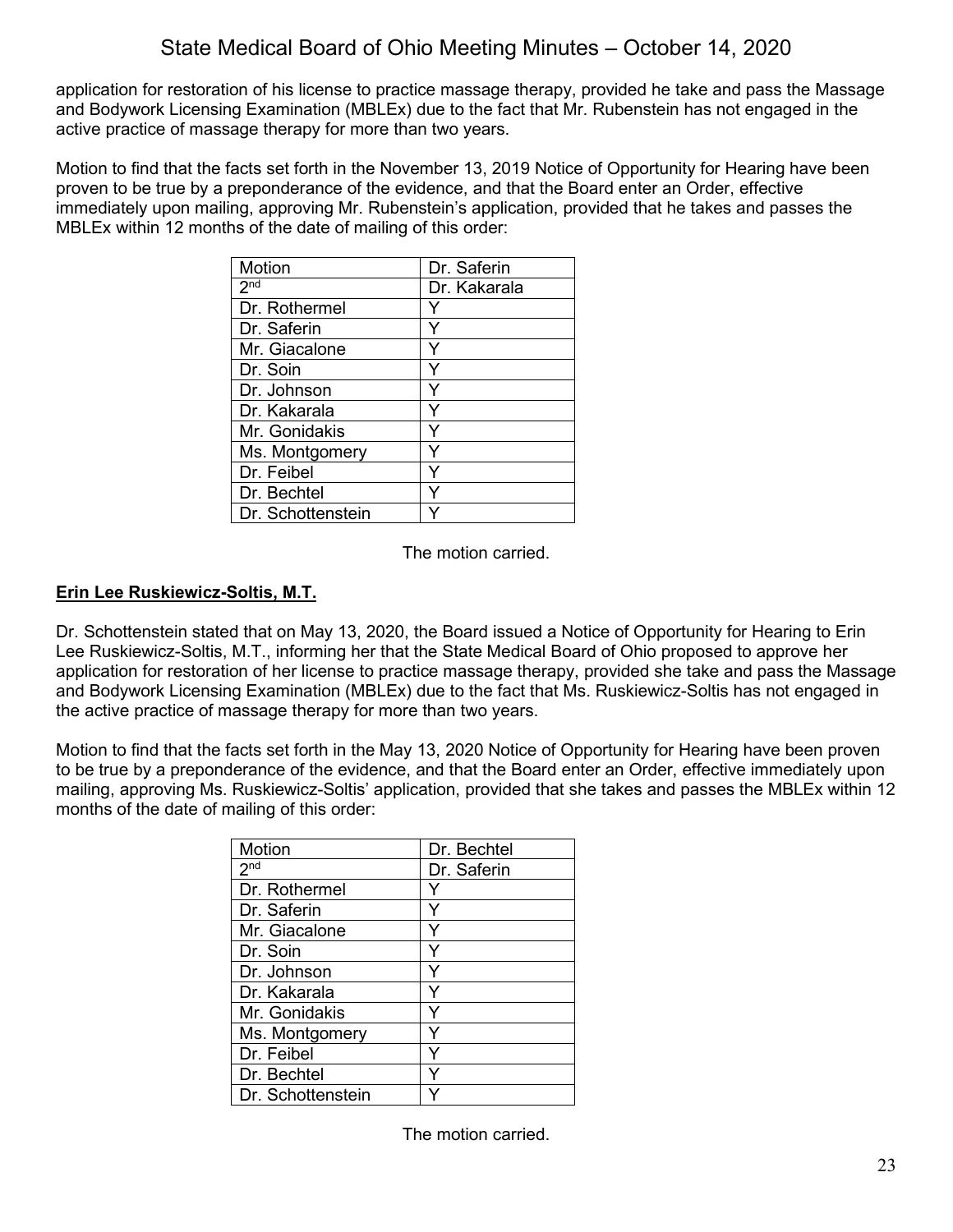application for restoration of his license to practice massage therapy, provided he take and pass the Massage and Bodywork Licensing Examination (MBLEx) due to the fact that Mr. Rubenstein has not engaged in the active practice of massage therapy for more than two years.

Motion to find that the facts set forth in the November 13, 2019 Notice of Opportunity for Hearing have been proven to be true by a preponderance of the evidence, and that the Board enter an Order, effective immediately upon mailing, approving Mr. Rubenstein's application, provided that he takes and passes the MBLEx within 12 months of the date of mailing of this order:

| Motion            | Dr. Saferin  |
|-------------------|--------------|
| 2 <sub>nd</sub>   | Dr. Kakarala |
| Dr. Rothermel     |              |
| Dr. Saferin       |              |
| Mr. Giacalone     |              |
| Dr. Soin          | ٧            |
| Dr. Johnson       | Y            |
| Dr. Kakarala      | ٧            |
| Mr. Gonidakis     |              |
| Ms. Montgomery    |              |
| Dr. Feibel        |              |
| Dr. Bechtel       |              |
| Dr. Schottenstein |              |

The motion carried.

#### **Erin Lee Ruskiewicz-Soltis, M.T.**

Dr. Schottenstein stated that on May 13, 2020, the Board issued a Notice of Opportunity for Hearing to Erin Lee Ruskiewicz-Soltis, M.T., informing her that the State Medical Board of Ohio proposed to approve her application for restoration of her license to practice massage therapy, provided she take and pass the Massage and Bodywork Licensing Examination (MBLEx) due to the fact that Ms. Ruskiewicz-Soltis has not engaged in the active practice of massage therapy for more than two years.

Motion to find that the facts set forth in the May 13, 2020 Notice of Opportunity for Hearing have been proven to be true by a preponderance of the evidence, and that the Board enter an Order, effective immediately upon mailing, approving Ms. Ruskiewicz-Soltis' application, provided that she takes and passes the MBLEx within 12 months of the date of mailing of this order:

| Motion            | Dr. Bechtel |
|-------------------|-------------|
| 2 <sub>nd</sub>   | Dr. Saferin |
| Dr. Rothermel     | v           |
| Dr. Saferin       | Y           |
| Mr. Giacalone     | Y           |
| Dr. Soin          | Y           |
| Dr. Johnson       |             |
| Dr. Kakarala      | Y           |
| Mr. Gonidakis     | Y           |
| Ms. Montgomery    | Y           |
| Dr. Feibel        | ٧           |
| Dr. Bechtel       |             |
| Dr. Schottenstein |             |

The motion carried.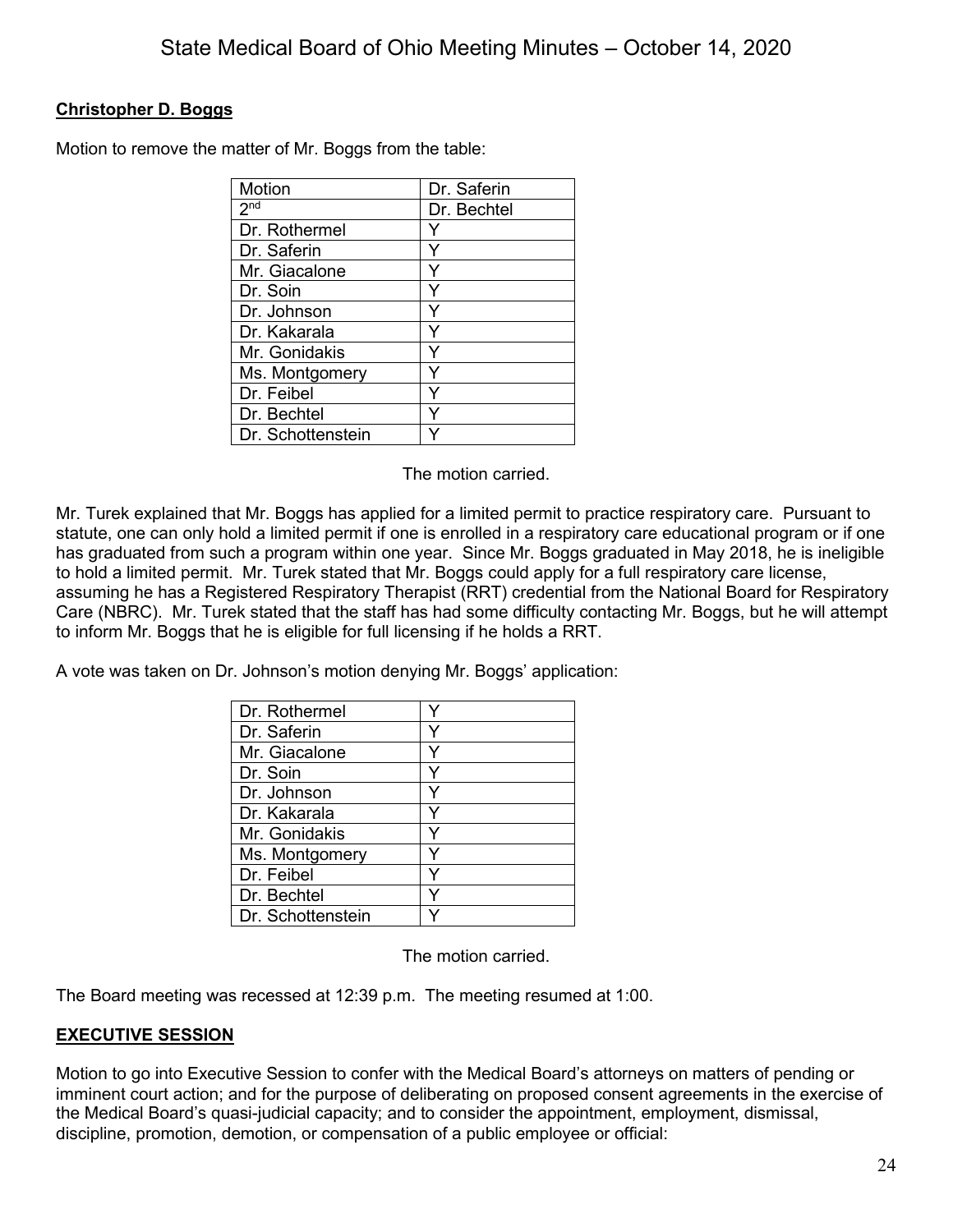## **Christopher D. Boggs**

Motion to remove the matter of Mr. Boggs from the table:

| Motion            | Dr. Saferin |
|-------------------|-------------|
| 2 <sup>nd</sup>   | Dr. Bechtel |
| Dr. Rothermel     | Y           |
| Dr. Saferin       | Y           |
| Mr. Giacalone     | Y           |
| Dr. Soin          | Υ           |
| Dr. Johnson       | Y           |
| Dr. Kakarala      | Y           |
| Mr. Gonidakis     | Y           |
| Ms. Montgomery    |             |
| Dr. Feibel        | Υ           |
| Dr. Bechtel       | ٧           |
| Dr. Schottenstein |             |

The motion carried.

Mr. Turek explained that Mr. Boggs has applied for a limited permit to practice respiratory care. Pursuant to statute, one can only hold a limited permit if one is enrolled in a respiratory care educational program or if one has graduated from such a program within one year. Since Mr. Boggs graduated in May 2018, he is ineligible to hold a limited permit. Mr. Turek stated that Mr. Boggs could apply for a full respiratory care license, assuming he has a Registered Respiratory Therapist (RRT) credential from the National Board for Respiratory Care (NBRC). Mr. Turek stated that the staff has had some difficulty contacting Mr. Boggs, but he will attempt to inform Mr. Boggs that he is eligible for full licensing if he holds a RRT.

A vote was taken on Dr. Johnson's motion denying Mr. Boggs' application:

| Dr. Rothermel     |   |
|-------------------|---|
| Dr. Saferin       |   |
| Mr. Giacalone     | v |
| Dr. Soin          |   |
| Dr. Johnson       | Y |
| Dr. Kakarala      | Y |
| Mr. Gonidakis     |   |
| Ms. Montgomery    |   |
| Dr. Feibel        |   |
| Dr. Bechtel       |   |
| Dr. Schottenstein |   |

The motion carried.

The Board meeting was recessed at 12:39 p.m. The meeting resumed at 1:00.

## **EXECUTIVE SESSION**

Motion to go into Executive Session to confer with the Medical Board's attorneys on matters of pending or imminent court action; and for the purpose of deliberating on proposed consent agreements in the exercise of the Medical Board's quasi-judicial capacity; and to consider the appointment, employment, dismissal, discipline, promotion, demotion, or compensation of a public employee or official: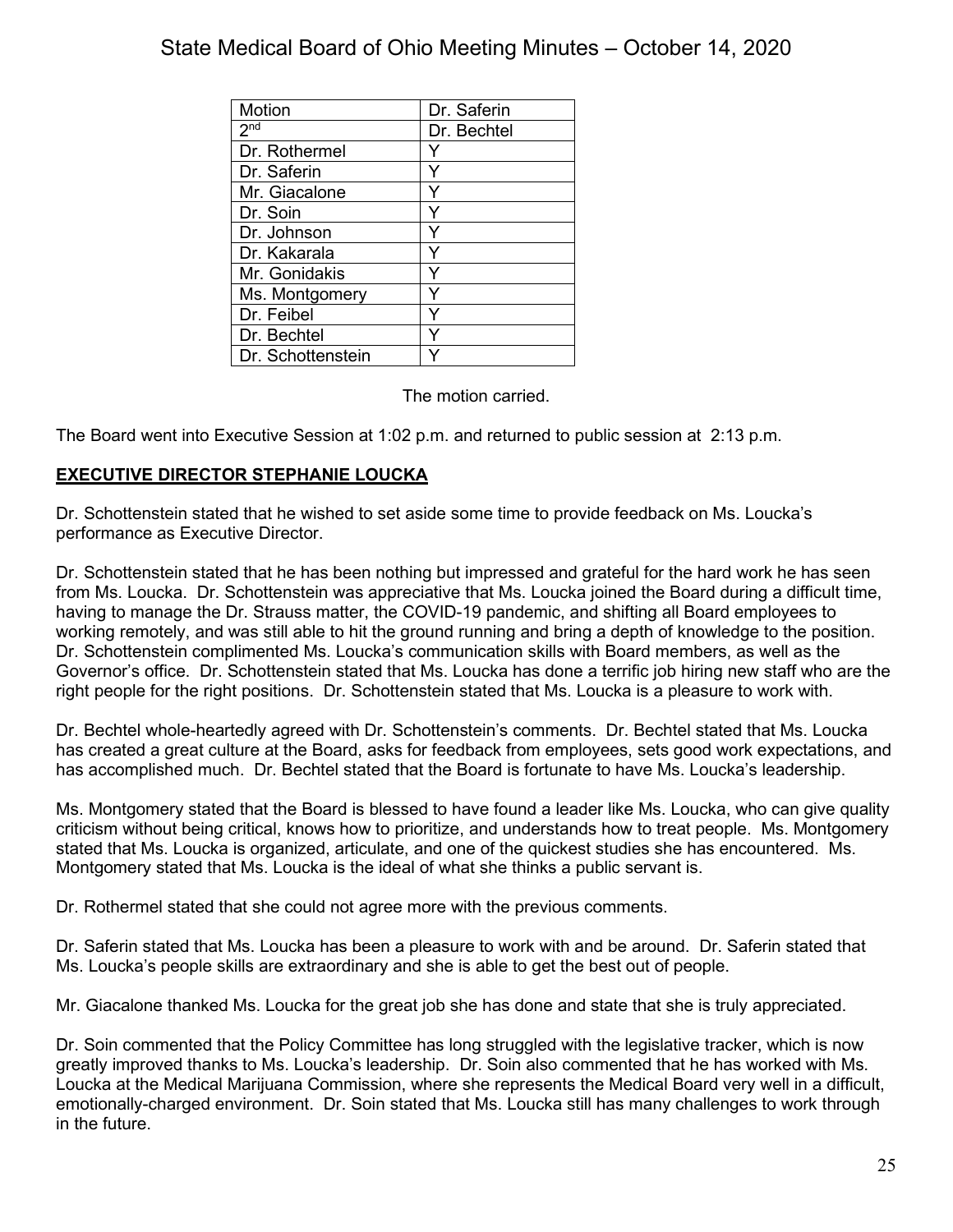| Motion            | Dr. Saferin |
|-------------------|-------------|
| 2 <sub>nd</sub>   | Dr. Bechtel |
| Dr. Rothermel     |             |
| Dr. Saferin       | v           |
| Mr. Giacalone     | ٧           |
| Dr. Soin          |             |
| Dr. Johnson       |             |
| Dr. Kakarala      |             |
| Mr. Gonidakis     |             |
| Ms. Montgomery    |             |
| Dr. Feibel        |             |
| Dr. Bechtel       |             |
| Dr. Schottenstein |             |

The motion carried.

The Board went into Executive Session at 1:02 p.m. and returned to public session at 2:13 p.m.

## **EXECUTIVE DIRECTOR STEPHANIE LOUCKA**

Dr. Schottenstein stated that he wished to set aside some time to provide feedback on Ms. Loucka's performance as Executive Director.

Dr. Schottenstein stated that he has been nothing but impressed and grateful for the hard work he has seen from Ms. Loucka. Dr. Schottenstein was appreciative that Ms. Loucka joined the Board during a difficult time, having to manage the Dr. Strauss matter, the COVID-19 pandemic, and shifting all Board employees to working remotely, and was still able to hit the ground running and bring a depth of knowledge to the position. Dr. Schottenstein complimented Ms. Loucka's communication skills with Board members, as well as the Governor's office. Dr. Schottenstein stated that Ms. Loucka has done a terrific job hiring new staff who are the right people for the right positions. Dr. Schottenstein stated that Ms. Loucka is a pleasure to work with.

Dr. Bechtel whole-heartedly agreed with Dr. Schottenstein's comments. Dr. Bechtel stated that Ms. Loucka has created a great culture at the Board, asks for feedback from employees, sets good work expectations, and has accomplished much. Dr. Bechtel stated that the Board is fortunate to have Ms. Loucka's leadership.

Ms. Montgomery stated that the Board is blessed to have found a leader like Ms. Loucka, who can give quality criticism without being critical, knows how to prioritize, and understands how to treat people. Ms. Montgomery stated that Ms. Loucka is organized, articulate, and one of the quickest studies she has encountered. Ms. Montgomery stated that Ms. Loucka is the ideal of what she thinks a public servant is.

Dr. Rothermel stated that she could not agree more with the previous comments.

Dr. Saferin stated that Ms. Loucka has been a pleasure to work with and be around. Dr. Saferin stated that Ms. Loucka's people skills are extraordinary and she is able to get the best out of people.

Mr. Giacalone thanked Ms. Loucka for the great job she has done and state that she is truly appreciated.

Dr. Soin commented that the Policy Committee has long struggled with the legislative tracker, which is now greatly improved thanks to Ms. Loucka's leadership. Dr. Soin also commented that he has worked with Ms. Loucka at the Medical Marijuana Commission, where she represents the Medical Board very well in a difficult, emotionally-charged environment. Dr. Soin stated that Ms. Loucka still has many challenges to work through in the future.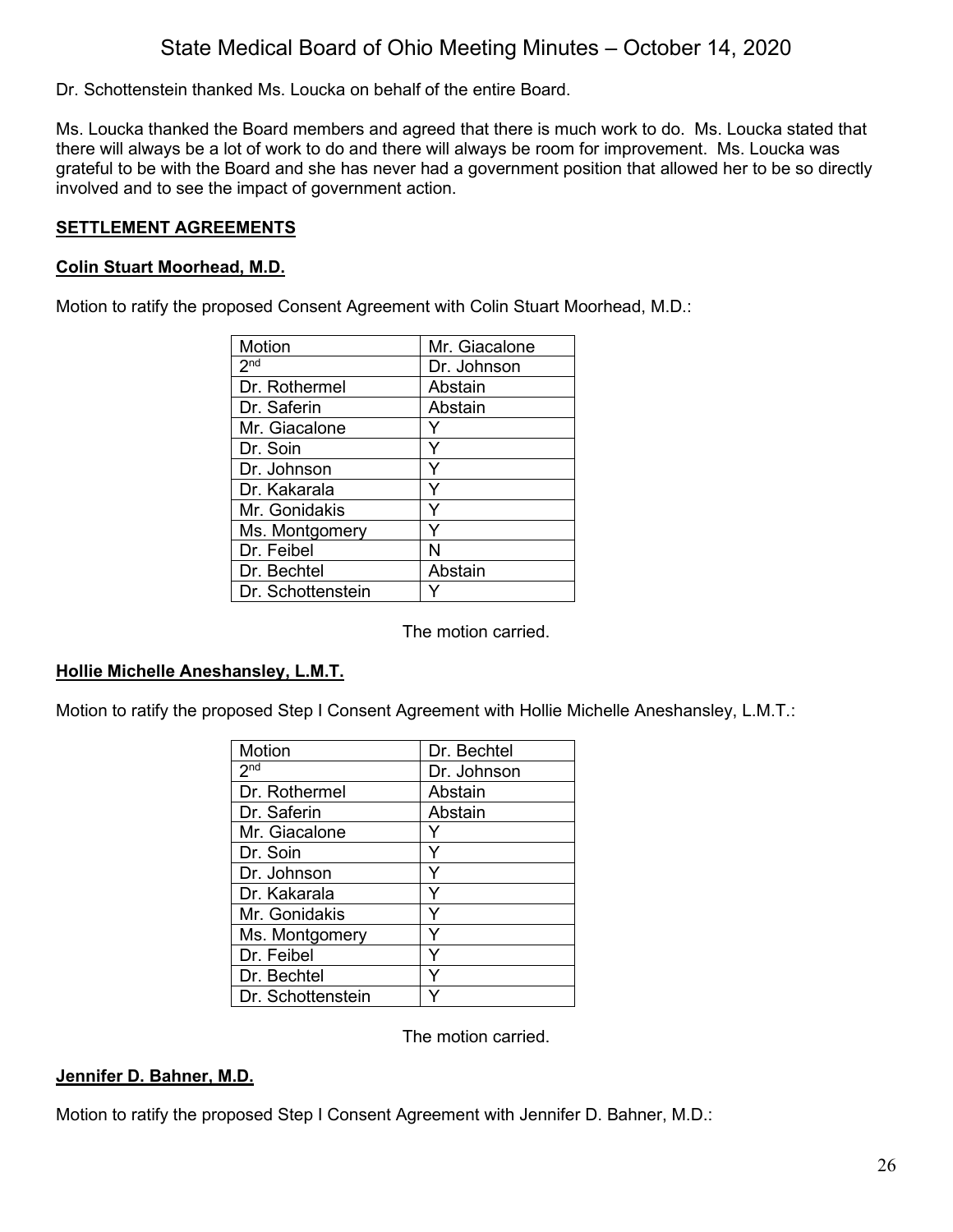Dr. Schottenstein thanked Ms. Loucka on behalf of the entire Board.

Ms. Loucka thanked the Board members and agreed that there is much work to do. Ms. Loucka stated that there will always be a lot of work to do and there will always be room for improvement. Ms. Loucka was grateful to be with the Board and she has never had a government position that allowed her to be so directly involved and to see the impact of government action.

## **SETTLEMENT AGREEMENTS**

#### **Colin Stuart Moorhead, M.D.**

Motion to ratify the proposed Consent Agreement with Colin Stuart Moorhead, M.D.:

| Motion                     | Mr. Giacalone |
|----------------------------|---------------|
| $2^{\overline{\text{nd}}}$ | Dr. Johnson   |
| Dr. Rothermel              | Abstain       |
| Dr. Saferin                | Abstain       |
| Mr. Giacalone              |               |
| Dr. Soin                   |               |
| Dr. Johnson                | Y             |
| Dr. Kakarala               | Y             |
| Mr. Gonidakis              | Y             |
| Ms. Montgomery             | Y             |
| Dr. Feibel                 | N             |
| Dr. Bechtel                | Abstain       |
| Dr. Schottenstein          |               |

The motion carried.

#### **Hollie Michelle Aneshansley, L.M.T.**

Motion to ratify the proposed Step I Consent Agreement with Hollie Michelle Aneshansley, L.M.T.:

| Motion            | Dr. Bechtel |
|-------------------|-------------|
| 2 <sub>nd</sub>   | Dr. Johnson |
| Dr. Rothermel     | Abstain     |
| Dr. Saferin       | Abstain     |
| Mr. Giacalone     |             |
| Dr. Soin          | Y           |
| Dr. Johnson       | Υ           |
| Dr. Kakarala      | Y           |
| Mr. Gonidakis     | Y           |
| Ms. Montgomery    | ٧           |
| Dr. Feibel        | ٧           |
| Dr. Bechtel       |             |
| Dr. Schottenstein |             |

The motion carried.

#### **Jennifer D. Bahner, M.D.**

Motion to ratify the proposed Step I Consent Agreement with Jennifer D. Bahner, M.D.: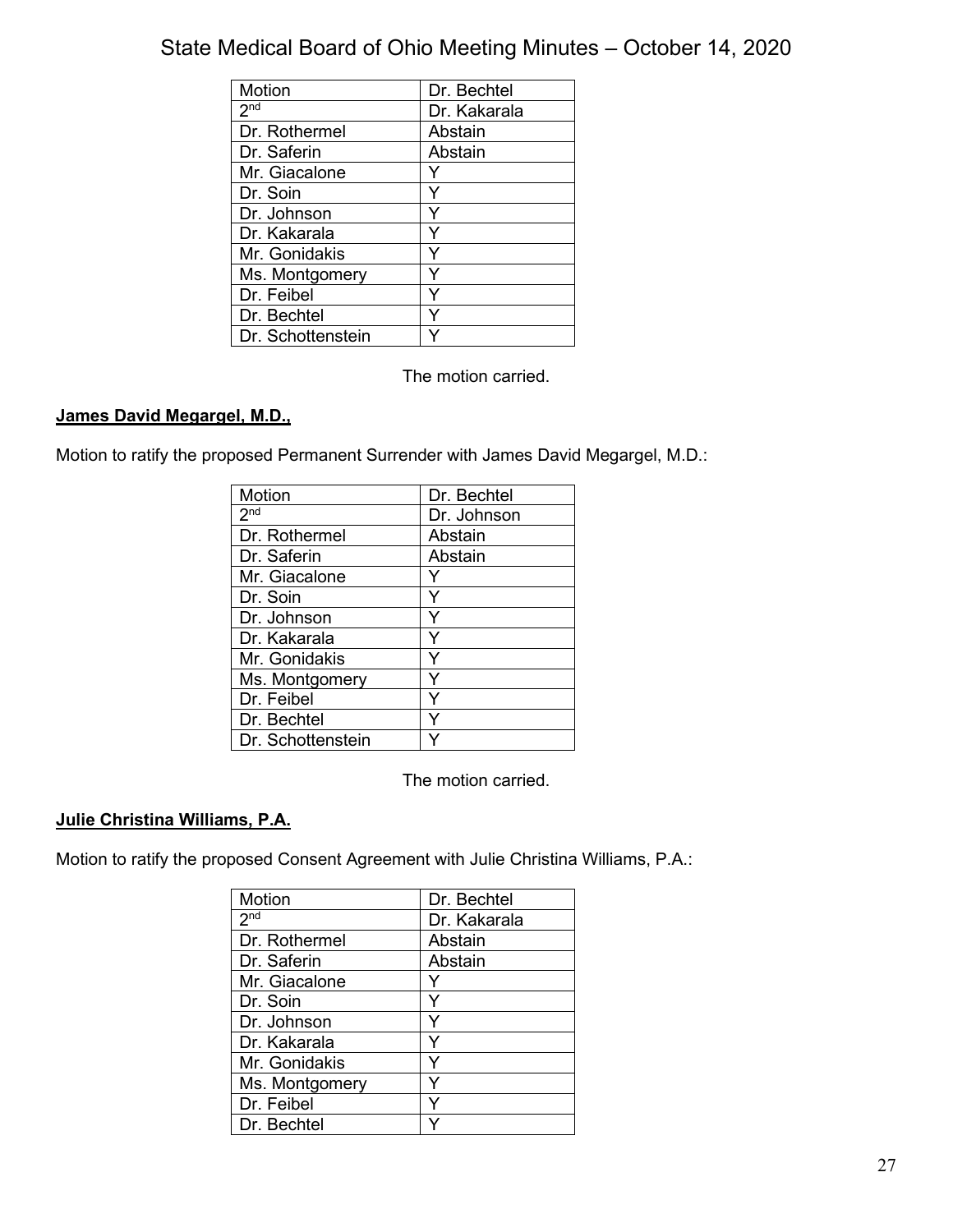| Motion            | Dr. Bechtel  |
|-------------------|--------------|
| 2 <sub>nd</sub>   | Dr. Kakarala |
| Dr. Rothermel     | Abstain      |
| Dr. Saferin       | Abstain      |
| Mr. Giacalone     |              |
| Dr. Soin          | Y            |
| Dr. Johnson       |              |
| Dr. Kakarala      | ٧            |
| Mr. Gonidakis     | Y            |
| Ms. Montgomery    |              |
| Dr. Feibel        |              |
| Dr. Bechtel       |              |
| Dr. Schottenstein |              |

The motion carried.

## **James David Megargel, M.D.,**

Motion to ratify the proposed Permanent Surrender with James David Megargel, M.D.:

| Motion            | Dr. Bechtel |
|-------------------|-------------|
| 2 <sub>nd</sub>   | Dr. Johnson |
| Dr. Rothermel     | Abstain     |
| Dr. Saferin       | Abstain     |
| Mr. Giacalone     |             |
| Dr. Soin          |             |
| Dr. Johnson       |             |
| Dr. Kakarala      | Y           |
| Mr. Gonidakis     | Y           |
| Ms. Montgomery    |             |
| Dr. Feibel        |             |
| Dr. Bechtel       |             |
| Dr. Schottenstein |             |

The motion carried.

## **Julie Christina Williams, P.A.**

Motion to ratify the proposed Consent Agreement with Julie Christina Williams, P.A.:

| Motion          | Dr. Bechtel  |
|-----------------|--------------|
| 2 <sub>nd</sub> | Dr. Kakarala |
| Dr. Rothermel   | Abstain      |
| Dr. Saferin     | Abstain      |
| Mr. Giacalone   |              |
| Dr. Soin        |              |
| Dr. Johnson     | Y            |
| Dr. Kakarala    | Y            |
| Mr. Gonidakis   |              |
| Ms. Montgomery  |              |
| Dr. Feibel      |              |
| Dr. Bechtel     |              |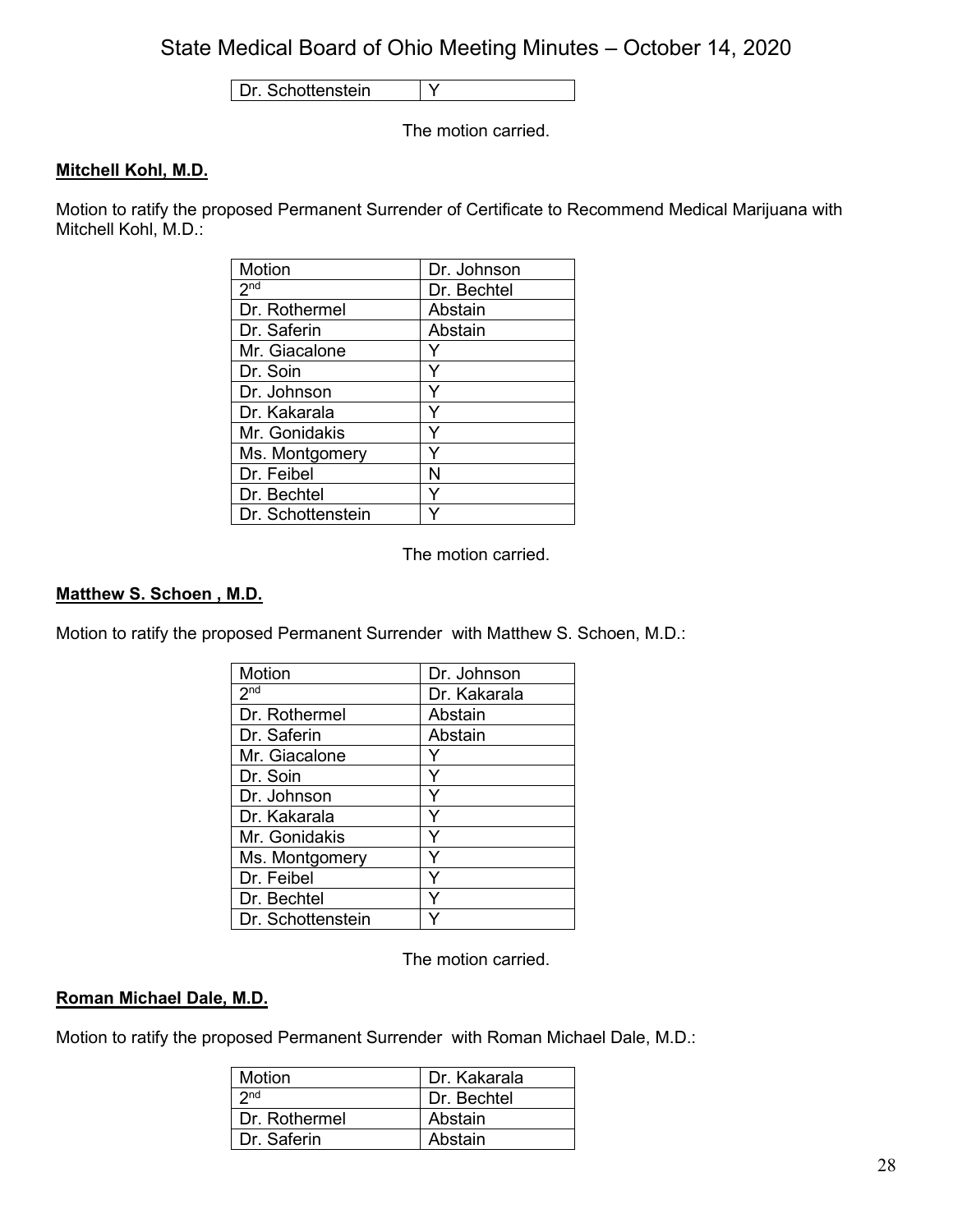Dr. Schottenstein Y

The motion carried.

## **Mitchell Kohl, M.D.**

Motion to ratify the proposed Permanent Surrender of Certificate to Recommend Medical Marijuana with Mitchell Kohl, M.D.:

| Motion            | Dr. Johnson |
|-------------------|-------------|
| 2 <sub>nd</sub>   | Dr. Bechtel |
| Dr. Rothermel     | Abstain     |
| Dr. Saferin       | Abstain     |
| Mr. Giacalone     |             |
| Dr. Soin          | Y           |
| Dr. Johnson       | Y           |
| Dr. Kakarala      | Y           |
| Mr. Gonidakis     | Y           |
| Ms. Montgomery    |             |
| Dr. Feibel        | N           |
| Dr. Bechtel       | Y           |
| Dr. Schottenstein |             |

The motion carried.

## **Matthew S. Schoen , M.D.**

Motion to ratify the proposed Permanent Surrender with Matthew S. Schoen, M.D.:

| Motion                     | Dr. Johnson  |
|----------------------------|--------------|
| $2^{\overline{\text{nd}}}$ | Dr. Kakarala |
| Dr. Rothermel              | Abstain      |
| Dr. Saferin                | Abstain      |
| Mr. Giacalone              |              |
| Dr. Soin                   |              |
| Dr. Johnson                | Y            |
| Dr. Kakarala               | Y            |
| Mr. Gonidakis              |              |
| Ms. Montgomery             | Υ            |
| Dr. Feibel                 | ٧            |
| Dr. Bechtel                |              |
| Dr. Schottenstein          |              |

The motion carried.

#### **Roman Michael Dale, M.D.**

Motion to ratify the proposed Permanent Surrender with Roman Michael Dale, M.D.:

| Motion          | Dr. Kakarala |
|-----------------|--------------|
| 2 <sub>nd</sub> | Dr. Bechtel  |
| Dr. Rothermel   | Abstain      |
| Dr. Saferin     | Abstain      |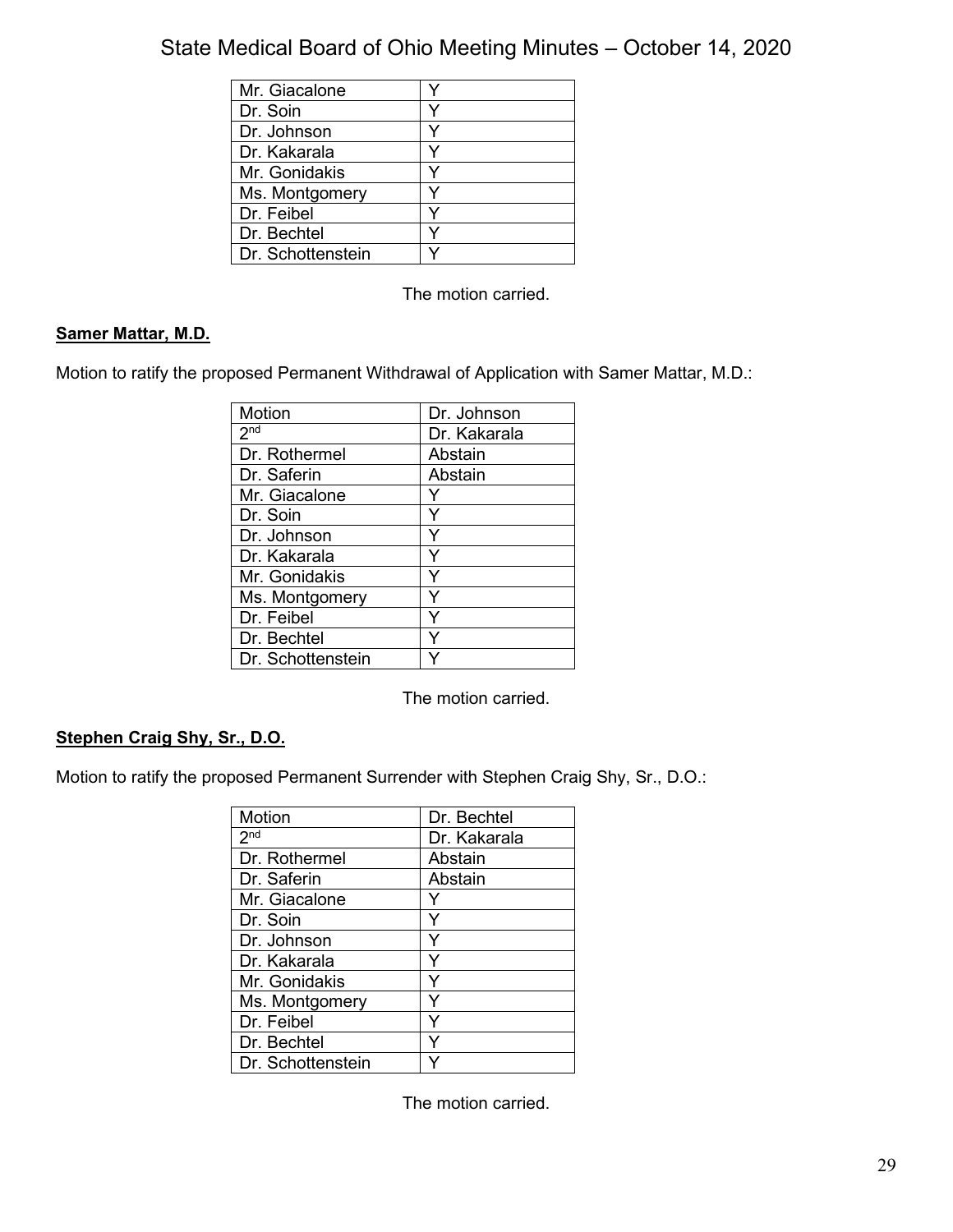| Mr. Giacalone     |  |
|-------------------|--|
| Dr. Soin          |  |
| Dr. Johnson       |  |
| Dr. Kakarala      |  |
| Mr. Gonidakis     |  |
| Ms. Montgomery    |  |
| Dr. Feibel        |  |
| Dr. Bechtel       |  |
| Dr. Schottenstein |  |

The motion carried.

## **Samer Mattar, M.D.**

Motion to ratify the proposed Permanent Withdrawal of Application with Samer Mattar, M.D.:

| Motion            | Dr. Johnson  |
|-------------------|--------------|
| 2 <sup>nd</sup>   | Dr. Kakarala |
| Dr. Rothermel     | Abstain      |
| Dr. Saferin       | Abstain      |
| Mr. Giacalone     |              |
| Dr. Soin          | Y            |
| Dr. Johnson       | Y            |
| Dr. Kakarala      | v            |
| Mr. Gonidakis     | v            |
| Ms. Montgomery    |              |
| Dr. Feibel        |              |
| Dr. Bechtel       |              |
| Dr. Schottenstein |              |

The motion carried.

## **Stephen Craig Shy, Sr., D.O.**

Motion to ratify the proposed Permanent Surrender with Stephen Craig Shy, Sr., D.O.:

| Motion            | Dr. Bechtel  |
|-------------------|--------------|
| 2 <sup>nd</sup>   | Dr. Kakarala |
| Dr. Rothermel     | Abstain      |
| Dr. Saferin       | Abstain      |
| Mr. Giacalone     |              |
| Dr. Soin          | Y            |
| Dr. Johnson       |              |
| Dr. Kakarala      |              |
| Mr. Gonidakis     | Y            |
| Ms. Montgomery    | v            |
| Dr. Feibel        | ٧            |
| Dr. Bechtel       |              |
| Dr. Schottenstein |              |

The motion carried.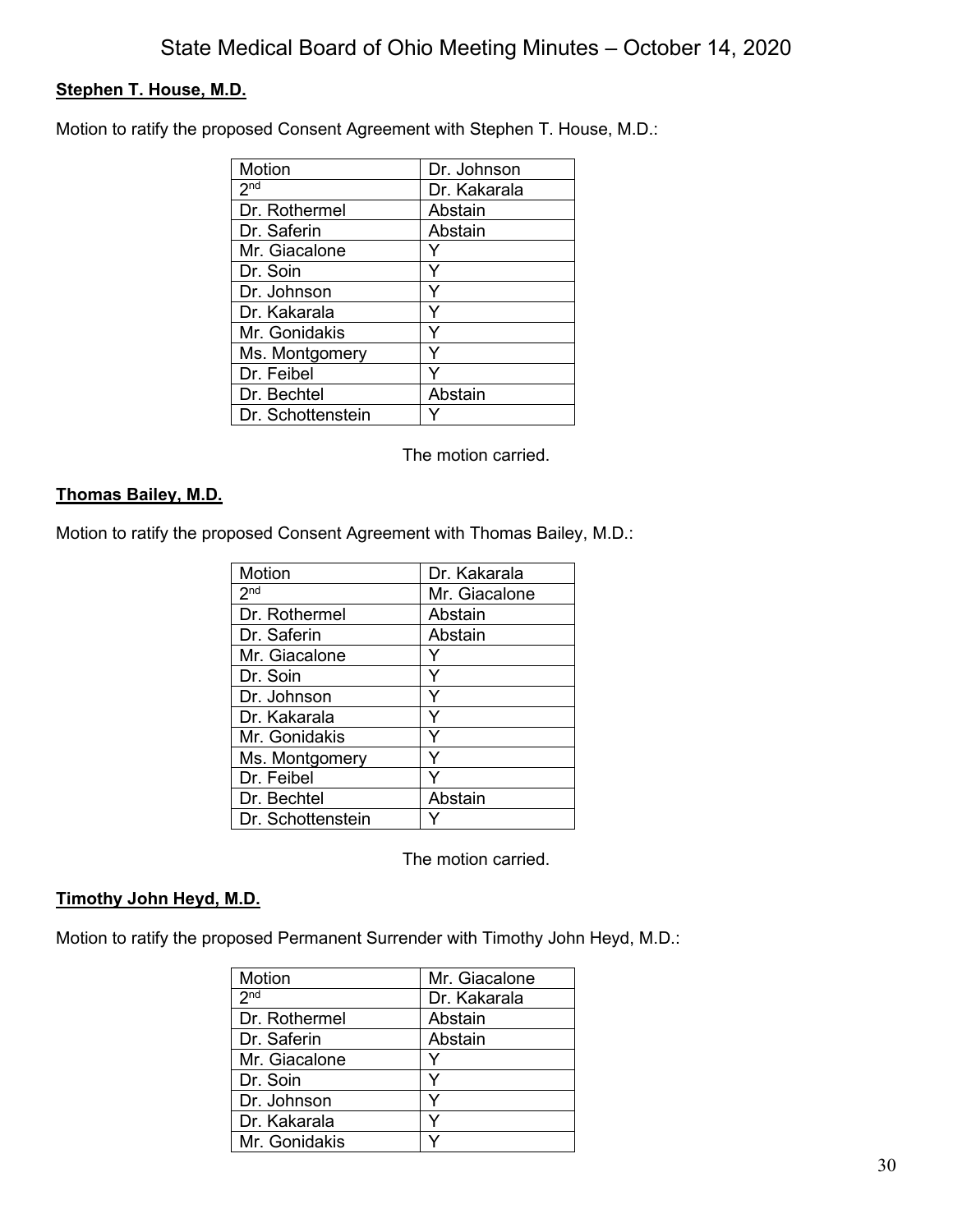## **Stephen T. House, M.D.**

Motion to ratify the proposed Consent Agreement with Stephen T. House, M.D.:

| Motion            | Dr. Johnson  |
|-------------------|--------------|
| 2 <sub>nd</sub>   | Dr. Kakarala |
| Dr. Rothermel     | Abstain      |
| Dr. Saferin       | Abstain      |
| Mr. Giacalone     |              |
| Dr. Soin          |              |
| Dr. Johnson       | Y            |
| Dr. Kakarala      | Υ            |
| Mr. Gonidakis     | Y            |
| Ms. Montgomery    |              |
| Dr. Feibel        |              |
| Dr. Bechtel       | Abstain      |
| Dr. Schottenstein |              |

The motion carried.

## **Thomas Bailey, M.D.**

Motion to ratify the proposed Consent Agreement with Thomas Bailey, M.D.:

| Motion            | Dr. Kakarala  |
|-------------------|---------------|
| 2 <sub>nd</sub>   | Mr. Giacalone |
| Dr. Rothermel     | Abstain       |
| Dr. Saferin       | Abstain       |
| Mr. Giacalone     |               |
| Dr. Soin          | Y             |
| Dr. Johnson       | Y             |
| Dr. Kakarala      | Y             |
| Mr. Gonidakis     | Y             |
| Ms. Montgomery    | ٧             |
| Dr. Feibel        |               |
| Dr. Bechtel       | Abstain       |
| Dr. Schottenstein |               |

The motion carried.

## **Timothy John Heyd, M.D.**

Motion to ratify the proposed Permanent Surrender with Timothy John Heyd, M.D.:

| Motion          | Mr. Giacalone |
|-----------------|---------------|
| 2 <sub>nd</sub> | Dr. Kakarala  |
| Dr. Rothermel   | Abstain       |
| Dr. Saferin     | Abstain       |
| Mr. Giacalone   |               |
| Dr. Soin        |               |
| Dr. Johnson     |               |
| Dr. Kakarala    |               |
| Mr. Gonidakis   |               |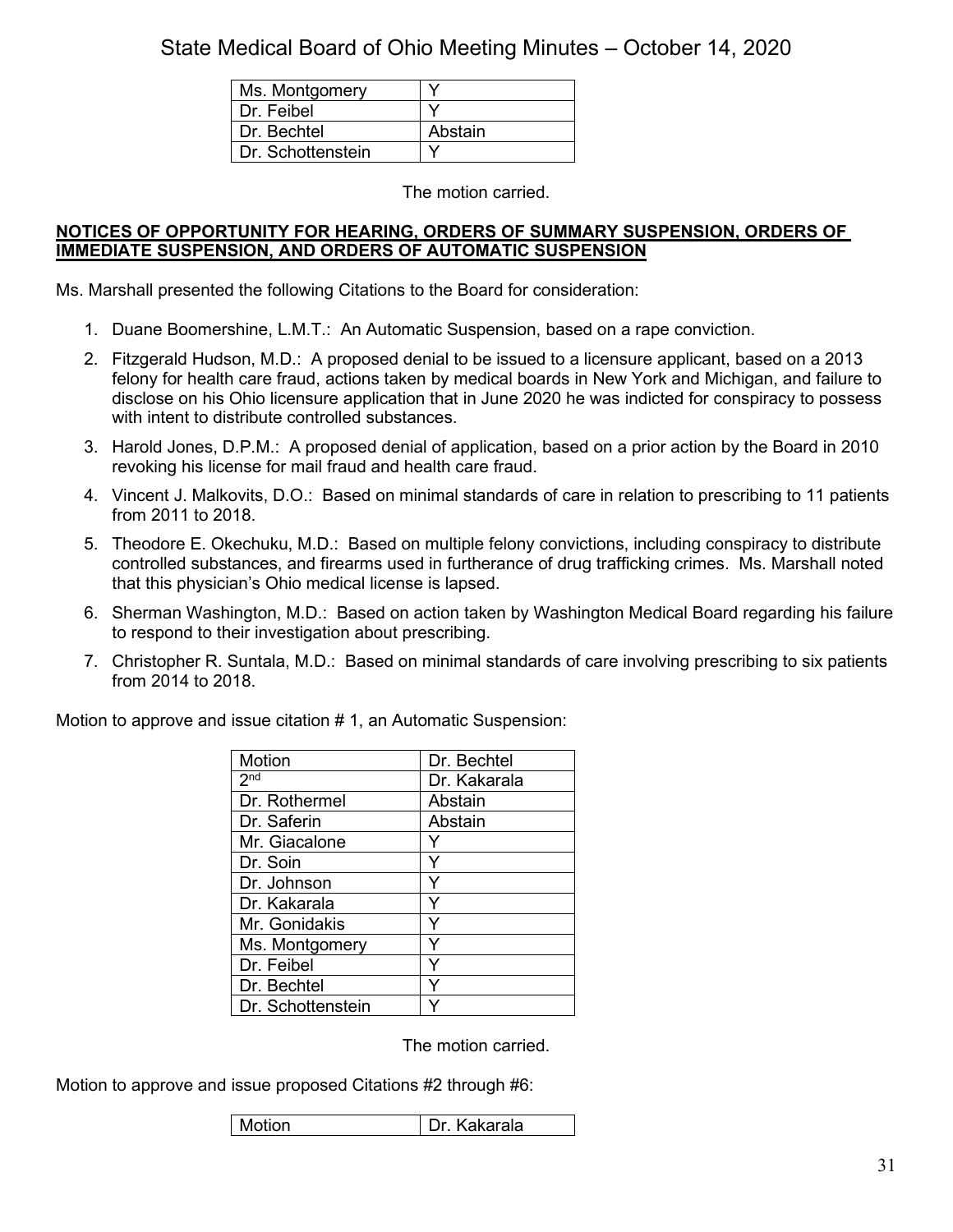| Ms. Montgomery    |         |
|-------------------|---------|
| Dr. Feibel        |         |
| Dr. Bechtel       | Abstain |
| Dr. Schottenstein |         |

The motion carried.

#### **NOTICES OF OPPORTUNITY FOR HEARING, ORDERS OF SUMMARY SUSPENSION, ORDERS OF IMMEDIATE SUSPENSION, AND ORDERS OF AUTOMATIC SUSPENSION**

Ms. Marshall presented the following Citations to the Board for consideration:

- 1. Duane Boomershine, L.M.T.: An Automatic Suspension, based on a rape conviction.
- 2. Fitzgerald Hudson, M.D.: A proposed denial to be issued to a licensure applicant, based on a 2013 felony for health care fraud, actions taken by medical boards in New York and Michigan, and failure to disclose on his Ohio licensure application that in June 2020 he was indicted for conspiracy to possess with intent to distribute controlled substances.
- 3. Harold Jones, D.P.M.: A proposed denial of application, based on a prior action by the Board in 2010 revoking his license for mail fraud and health care fraud.
- 4. Vincent J. Malkovits, D.O.: Based on minimal standards of care in relation to prescribing to 11 patients from 2011 to 2018.
- 5. Theodore E. Okechuku, M.D.: Based on multiple felony convictions, including conspiracy to distribute controlled substances, and firearms used in furtherance of drug trafficking crimes. Ms. Marshall noted that this physician's Ohio medical license is lapsed.
- 6. Sherman Washington, M.D.: Based on action taken by Washington Medical Board regarding his failure to respond to their investigation about prescribing.
- 7. Christopher R. Suntala, M.D.: Based on minimal standards of care involving prescribing to six patients from 2014 to 2018.

Motion to approve and issue citation # 1, an Automatic Suspension:

| <b>Motion</b>       | Dr. Bechtel  |
|---------------------|--------------|
| $2^{\overline{nd}}$ | Dr. Kakarala |
| Dr. Rothermel       | Abstain      |
| Dr. Saferin         | Abstain      |
| Mr. Giacalone       |              |
| Dr. Soin            |              |
| Dr. Johnson         |              |
| Dr. Kakarala        |              |
| Mr. Gonidakis       |              |
| Ms. Montgomery      |              |
| Dr. Feibel          |              |
| Dr. Bechtel         |              |
| Dr. Schottenstein   |              |

The motion carried.

Motion to approve and issue proposed Citations #2 through #6:

| Motion | Kakarala<br>Dr |
|--------|----------------|
|--------|----------------|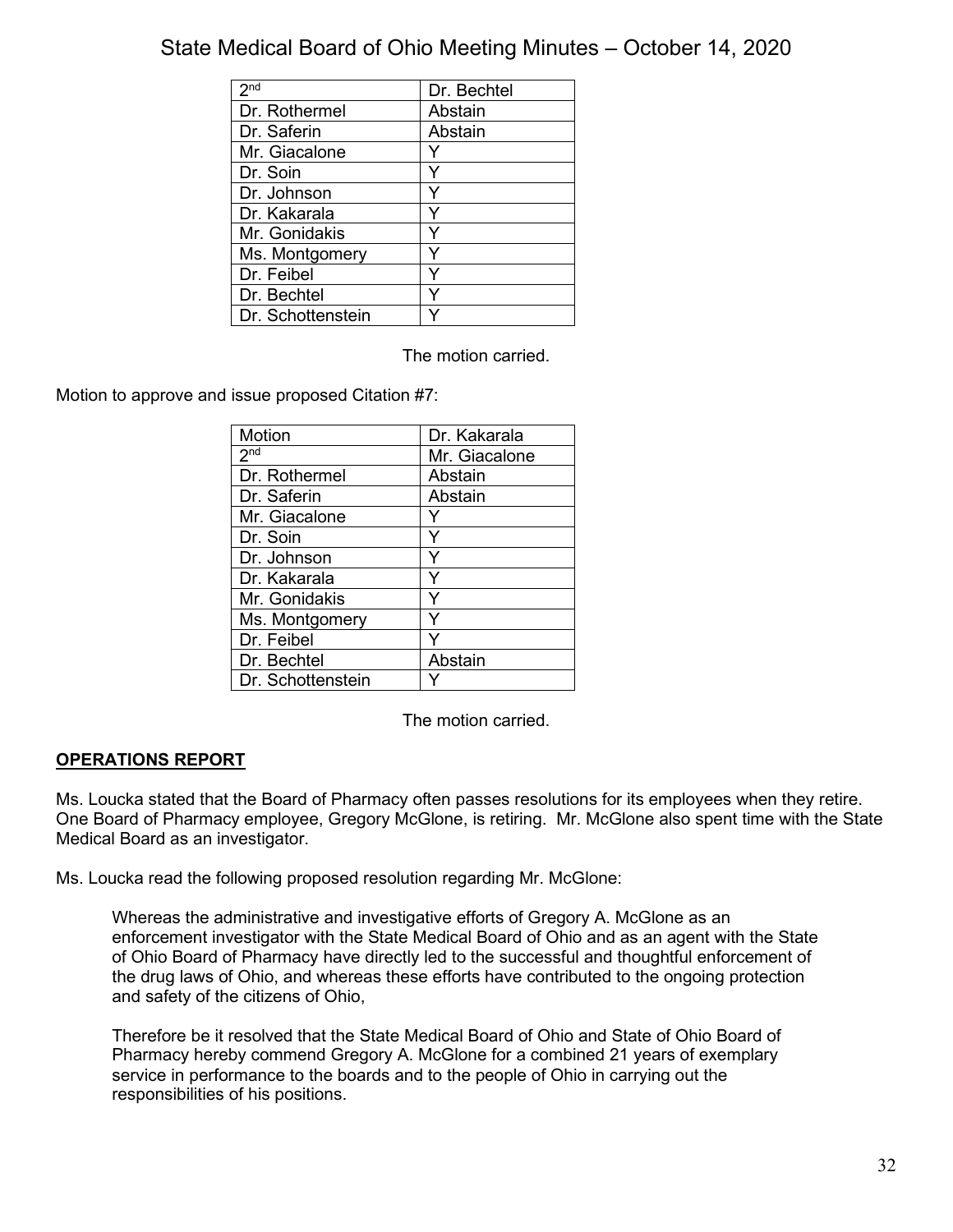| 2 <sub>nd</sub>   | Dr. Bechtel |
|-------------------|-------------|
| Dr. Rothermel     | Abstain     |
| Dr. Saferin       | Abstain     |
| Mr. Giacalone     |             |
| Dr. Soin          |             |
| Dr. Johnson       |             |
| Dr. Kakarala      |             |
| Mr. Gonidakis     |             |
| Ms. Montgomery    |             |
| Dr. Feibel        |             |
| Dr. Bechtel       |             |
| Dr. Schottenstein |             |

The motion carried.

Motion to approve and issue proposed Citation #7:

| Motion            | Dr. Kakarala  |
|-------------------|---------------|
| 2 <sub>nd</sub>   | Mr. Giacalone |
| Dr. Rothermel     | Abstain       |
| Dr. Saferin       | Abstain       |
| Mr. Giacalone     |               |
| Dr. Soin          | Y             |
| Dr. Johnson       |               |
| Dr. Kakarala      | Y             |
| Mr. Gonidakis     | Υ             |
| Ms. Montgomery    |               |
| Dr. Feibel        |               |
| Dr. Bechtel       | Abstain       |
| Dr. Schottenstein |               |

The motion carried.

## **OPERATIONS REPORT**

Ms. Loucka stated that the Board of Pharmacy often passes resolutions for its employees when they retire. One Board of Pharmacy employee, Gregory McGlone, is retiring. Mr. McGlone also spent time with the State Medical Board as an investigator.

Ms. Loucka read the following proposed resolution regarding Mr. McGlone:

Whereas the administrative and investigative efforts of Gregory A. McGlone as an enforcement investigator with the State Medical Board of Ohio and as an agent with the State of Ohio Board of Pharmacy have directly led to the successful and thoughtful enforcement of the drug laws of Ohio, and whereas these efforts have contributed to the ongoing protection and safety of the citizens of Ohio,

Therefore be it resolved that the State Medical Board of Ohio and State of Ohio Board of Pharmacy hereby commend Gregory A. McGlone for a combined 21 years of exemplary service in performance to the boards and to the people of Ohio in carrying out the responsibilities of his positions.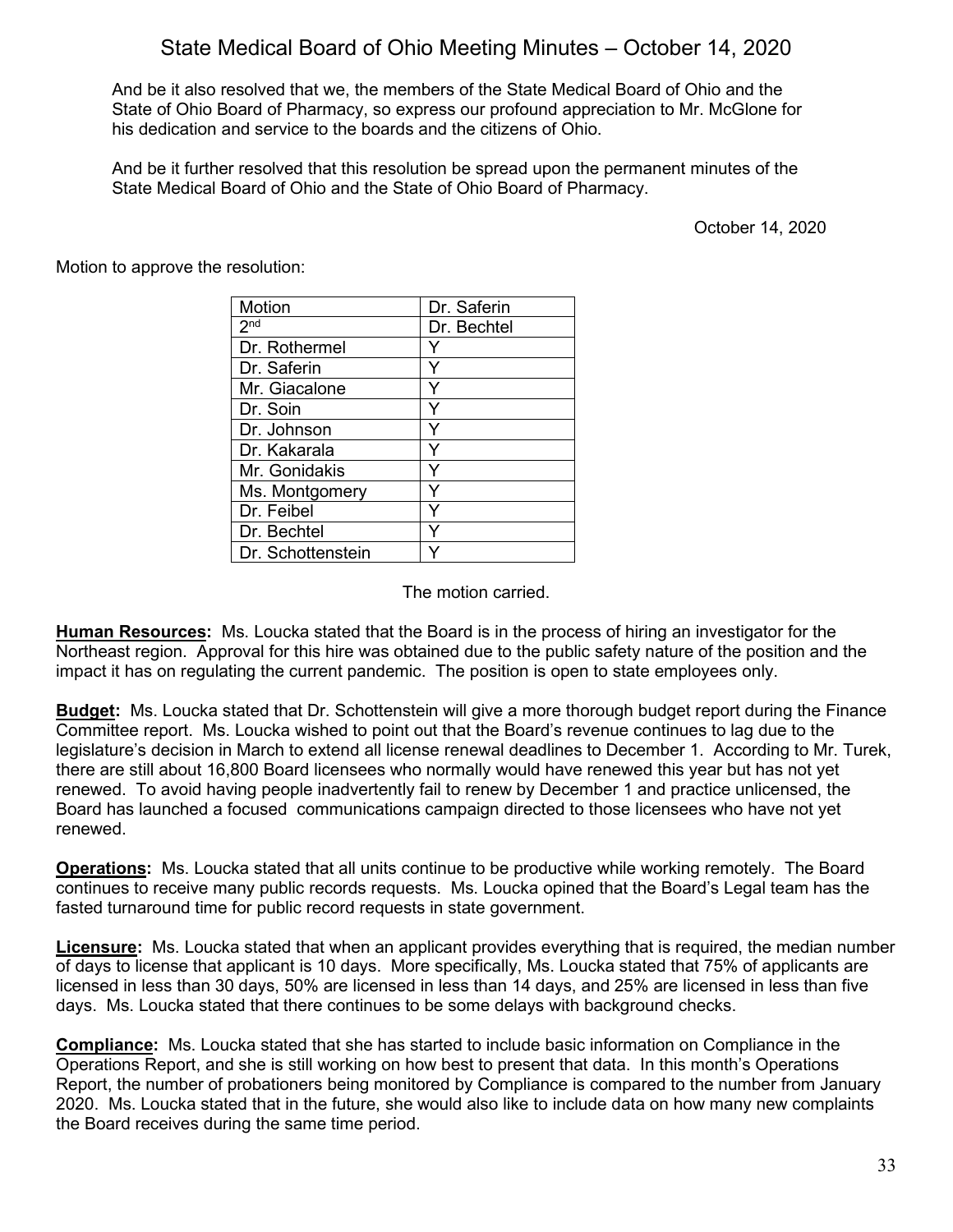And be it also resolved that we, the members of the State Medical Board of Ohio and the State of Ohio Board of Pharmacy, so express our profound appreciation to Mr. McGlone for his dedication and service to the boards and the citizens of Ohio.

And be it further resolved that this resolution be spread upon the permanent minutes of the State Medical Board of Ohio and the State of Ohio Board of Pharmacy.

October 14, 2020

Motion to approve the resolution:

| Motion            | Dr. Saferin |
|-------------------|-------------|
| 2 <sup>nd</sup>   | Dr. Bechtel |
| Dr. Rothermel     |             |
| Dr. Saferin       | Y           |
| Mr. Giacalone     | Y           |
| Dr. Soin          | Υ           |
| Dr. Johnson       | Y           |
| Dr. Kakarala      | Y           |
| Mr. Gonidakis     |             |
| Ms. Montgomery    |             |
| Dr. Feibel        | ٧           |
| Dr. Bechtel       |             |
| Dr. Schottenstein |             |

The motion carried.

**Human Resources:** Ms. Loucka stated that the Board is in the process of hiring an investigator for the Northeast region. Approval for this hire was obtained due to the public safety nature of the position and the impact it has on regulating the current pandemic. The position is open to state employees only.

**Budget:** Ms. Loucka stated that Dr. Schottenstein will give a more thorough budget report during the Finance Committee report. Ms. Loucka wished to point out that the Board's revenue continues to lag due to the legislature's decision in March to extend all license renewal deadlines to December 1. According to Mr. Turek, there are still about 16,800 Board licensees who normally would have renewed this year but has not yet renewed. To avoid having people inadvertently fail to renew by December 1 and practice unlicensed, the Board has launched a focused communications campaign directed to those licensees who have not yet renewed.

**Operations:** Ms. Loucka stated that all units continue to be productive while working remotely. The Board continues to receive many public records requests. Ms. Loucka opined that the Board's Legal team has the fasted turnaround time for public record requests in state government.

**Licensure:** Ms. Loucka stated that when an applicant provides everything that is required, the median number of days to license that applicant is 10 days. More specifically, Ms. Loucka stated that 75% of applicants are licensed in less than 30 days, 50% are licensed in less than 14 days, and 25% are licensed in less than five days. Ms. Loucka stated that there continues to be some delays with background checks.

**Compliance:** Ms. Loucka stated that she has started to include basic information on Compliance in the Operations Report, and she is still working on how best to present that data. In this month's Operations Report, the number of probationers being monitored by Compliance is compared to the number from January 2020. Ms. Loucka stated that in the future, she would also like to include data on how many new complaints the Board receives during the same time period.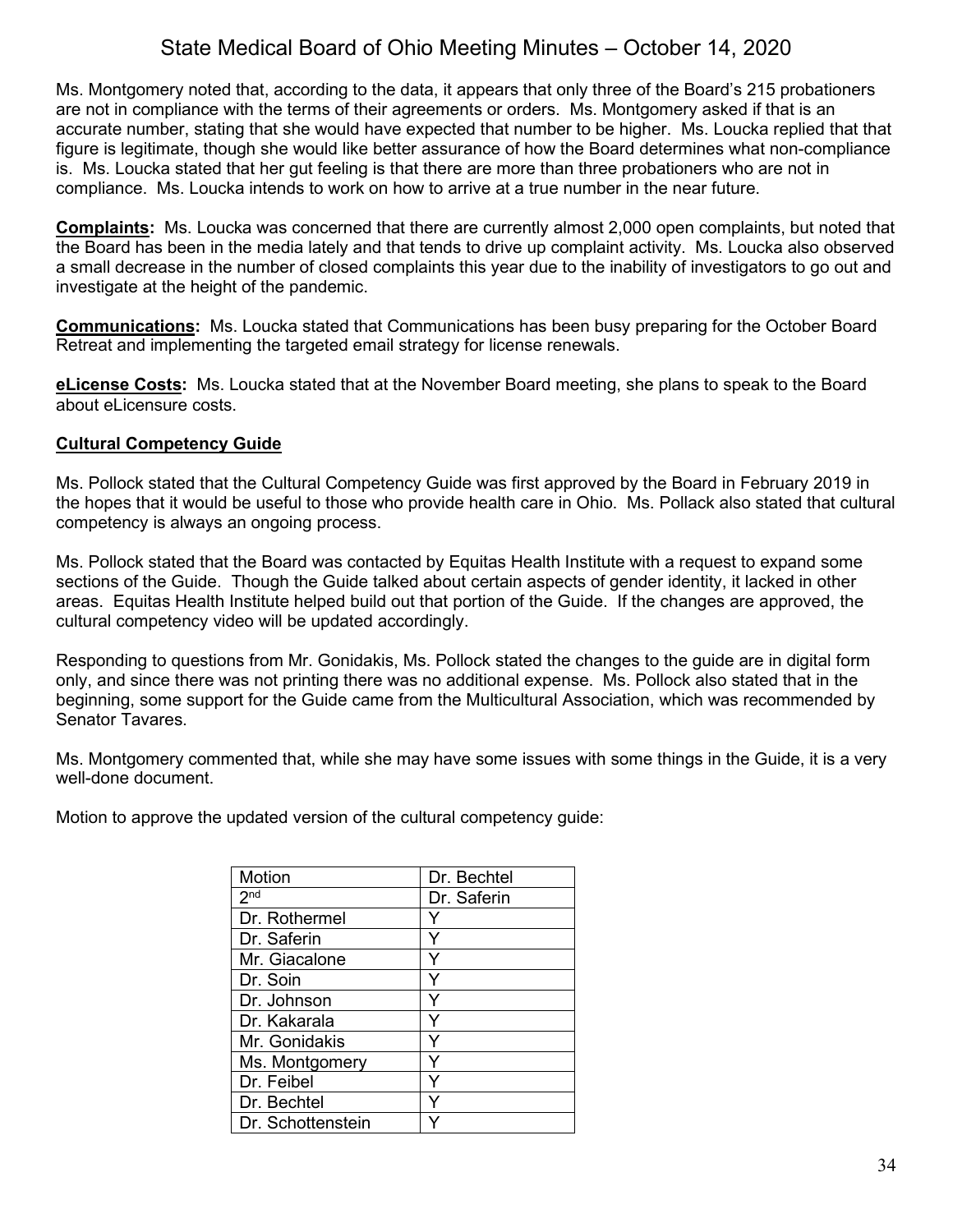Ms. Montgomery noted that, according to the data, it appears that only three of the Board's 215 probationers are not in compliance with the terms of their agreements or orders. Ms. Montgomery asked if that is an accurate number, stating that she would have expected that number to be higher. Ms. Loucka replied that that figure is legitimate, though she would like better assurance of how the Board determines what non-compliance is. Ms. Loucka stated that her gut feeling is that there are more than three probationers who are not in compliance. Ms. Loucka intends to work on how to arrive at a true number in the near future.

**Complaints:** Ms. Loucka was concerned that there are currently almost 2,000 open complaints, but noted that the Board has been in the media lately and that tends to drive up complaint activity. Ms. Loucka also observed a small decrease in the number of closed complaints this year due to the inability of investigators to go out and investigate at the height of the pandemic.

**Communications:** Ms. Loucka stated that Communications has been busy preparing for the October Board Retreat and implementing the targeted email strategy for license renewals.

**eLicense Costs:** Ms. Loucka stated that at the November Board meeting, she plans to speak to the Board about eLicensure costs.

## **Cultural Competency Guide**

Ms. Pollock stated that the Cultural Competency Guide was first approved by the Board in February 2019 in the hopes that it would be useful to those who provide health care in Ohio. Ms. Pollack also stated that cultural competency is always an ongoing process.

Ms. Pollock stated that the Board was contacted by Equitas Health Institute with a request to expand some sections of the Guide. Though the Guide talked about certain aspects of gender identity, it lacked in other areas. Equitas Health Institute helped build out that portion of the Guide. If the changes are approved, the cultural competency video will be updated accordingly.

Responding to questions from Mr. Gonidakis, Ms. Pollock stated the changes to the guide are in digital form only, and since there was not printing there was no additional expense. Ms. Pollock also stated that in the beginning, some support for the Guide came from the Multicultural Association, which was recommended by Senator Tavares.

Ms. Montgomery commented that, while she may have some issues with some things in the Guide, it is a very well-done document.

Motion to approve the updated version of the cultural competency guide:

| Motion            | Dr. Bechtel |
|-------------------|-------------|
| 2 <sub>nd</sub>   | Dr. Saferin |
| Dr. Rothermel     |             |
| Dr. Saferin       |             |
| Mr. Giacalone     |             |
| Dr. Soin          |             |
| Dr. Johnson       |             |
| Dr. Kakarala      |             |
| Mr. Gonidakis     |             |
| Ms. Montgomery    |             |
| Dr. Feibel        |             |
| Dr. Bechtel       |             |
| Dr. Schottenstein |             |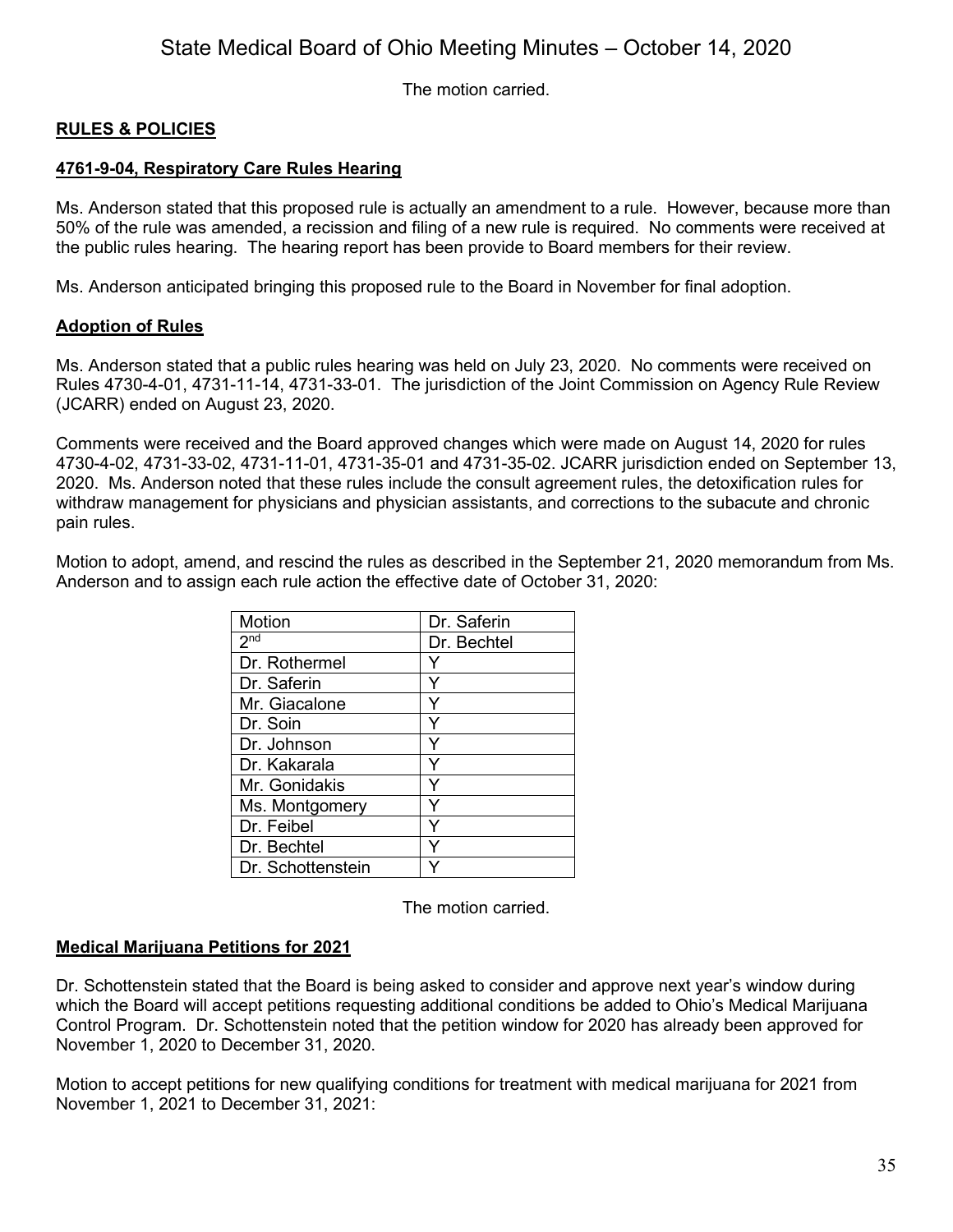The motion carried.

## **RULES & POLICIES**

## **4761-9-04, Respiratory Care Rules Hearing**

Ms. Anderson stated that this proposed rule is actually an amendment to a rule. However, because more than 50% of the rule was amended, a recission and filing of a new rule is required. No comments were received at the public rules hearing. The hearing report has been provide to Board members for their review.

Ms. Anderson anticipated bringing this proposed rule to the Board in November for final adoption.

## **Adoption of Rules**

Ms. Anderson stated that a public rules hearing was held on July 23, 2020. No comments were received on Rules 4730-4-01, 4731-11-14, 4731-33-01. The jurisdiction of the Joint Commission on Agency Rule Review (JCARR) ended on August 23, 2020.

Comments were received and the Board approved changes which were made on August 14, 2020 for rules 4730-4-02, 4731-33-02, 4731-11-01, 4731-35-01 and 4731-35-02. JCARR jurisdiction ended on September 13, 2020. Ms. Anderson noted that these rules include the consult agreement rules, the detoxification rules for withdraw management for physicians and physician assistants, and corrections to the subacute and chronic pain rules.

Motion to adopt, amend, and rescind the rules as described in the September 21, 2020 memorandum from Ms. Anderson and to assign each rule action the effective date of October 31, 2020:

| Motion            | Dr. Saferin |
|-------------------|-------------|
| 2 <sup>nd</sup>   | Dr. Bechtel |
| Dr. Rothermel     | Y           |
| Dr. Saferin       | Y           |
| Mr. Giacalone     |             |
| Dr. Soin          |             |
| Dr. Johnson       | Y           |
| Dr. Kakarala      | Υ           |
| Mr. Gonidakis     |             |
| Ms. Montgomery    | ٧           |
| Dr. Feibel        |             |
| Dr. Bechtel       |             |
| Dr. Schottenstein |             |

The motion carried.

#### **Medical Marijuana Petitions for 2021**

Dr. Schottenstein stated that the Board is being asked to consider and approve next year's window during which the Board will accept petitions requesting additional conditions be added to Ohio's Medical Marijuana Control Program. Dr. Schottenstein noted that the petition window for 2020 has already been approved for November 1, 2020 to December 31, 2020.

Motion to accept petitions for new qualifying conditions for treatment with medical marijuana for 2021 from November 1, 2021 to December 31, 2021: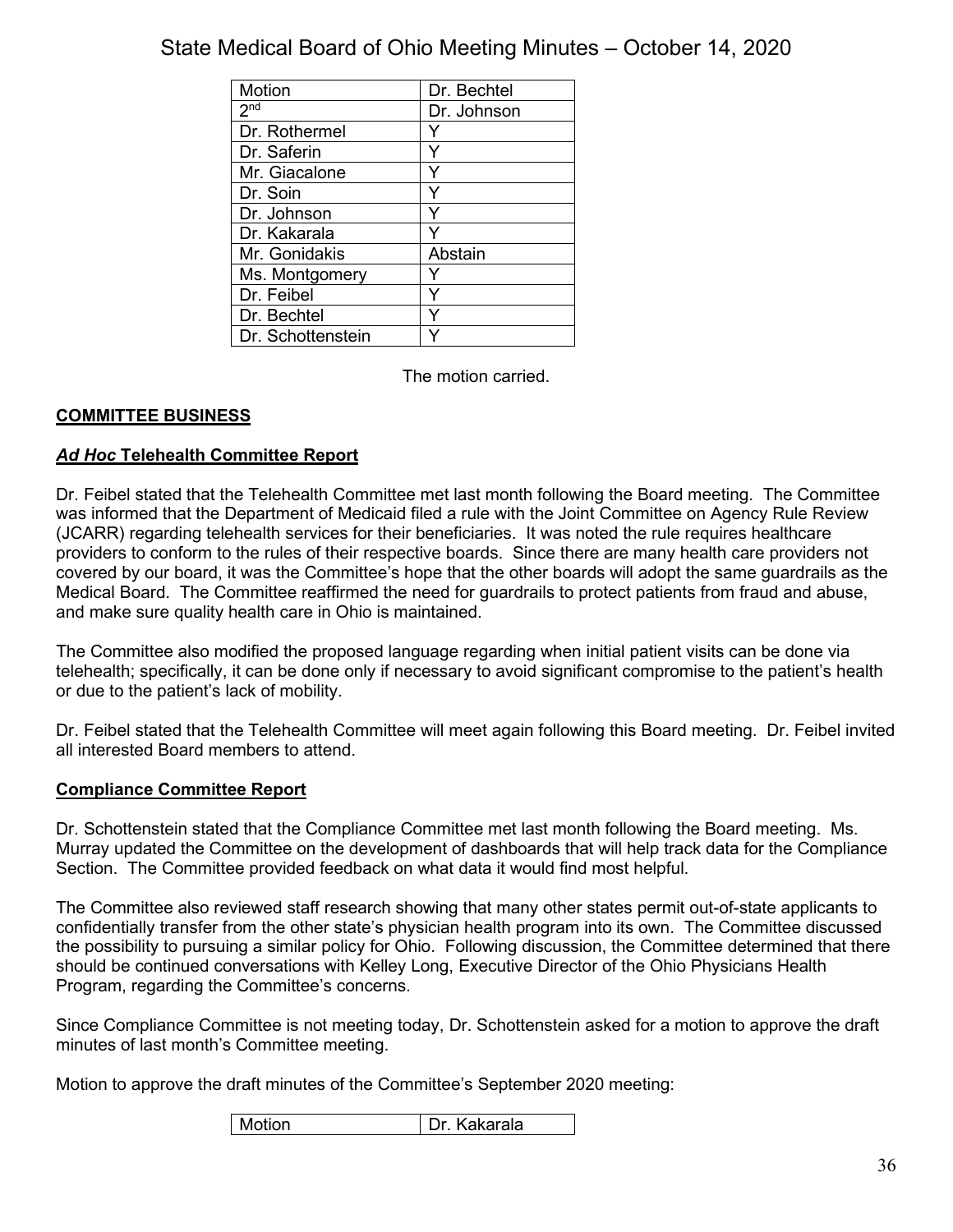| Motion            | Dr. Bechtel |
|-------------------|-------------|
| 2 <sub>nd</sub>   | Dr. Johnson |
| Dr. Rothermel     |             |
| Dr. Saferin       | ٧           |
| Mr. Giacalone     |             |
| Dr. Soin          |             |
| Dr. Johnson       |             |
| Dr. Kakarala      |             |
| Mr. Gonidakis     | Abstain     |
| Ms. Montgomery    |             |
| Dr. Feibel        |             |
| Dr. Bechtel       |             |
| Dr. Schottenstein |             |

The motion carried.

## **COMMITTEE BUSINESS**

## *Ad Hoc* **Telehealth Committee Report**

Dr. Feibel stated that the Telehealth Committee met last month following the Board meeting. The Committee was informed that the Department of Medicaid filed a rule with the Joint Committee on Agency Rule Review (JCARR) regarding telehealth services for their beneficiaries. It was noted the rule requires healthcare providers to conform to the rules of their respective boards. Since there are many health care providers not covered by our board, it was the Committee's hope that the other boards will adopt the same guardrails as the Medical Board. The Committee reaffirmed the need for guardrails to protect patients from fraud and abuse, and make sure quality health care in Ohio is maintained.

The Committee also modified the proposed language regarding when initial patient visits can be done via telehealth; specifically, it can be done only if necessary to avoid significant compromise to the patient's health or due to the patient's lack of mobility.

Dr. Feibel stated that the Telehealth Committee will meet again following this Board meeting. Dr. Feibel invited all interested Board members to attend.

#### **Compliance Committee Report**

Dr. Schottenstein stated that the Compliance Committee met last month following the Board meeting. Ms. Murray updated the Committee on the development of dashboards that will help track data for the Compliance Section. The Committee provided feedback on what data it would find most helpful.

The Committee also reviewed staff research showing that many other states permit out-of-state applicants to confidentially transfer from the other state's physician health program into its own. The Committee discussed the possibility to pursuing a similar policy for Ohio. Following discussion, the Committee determined that there should be continued conversations with Kelley Long, Executive Director of the Ohio Physicians Health Program, regarding the Committee's concerns.

Since Compliance Committee is not meeting today, Dr. Schottenstein asked for a motion to approve the draft minutes of last month's Committee meeting.

Motion to approve the draft minutes of the Committee's September 2020 meeting:

| Motion | . Kakarala<br>Dr |
|--------|------------------|
|--------|------------------|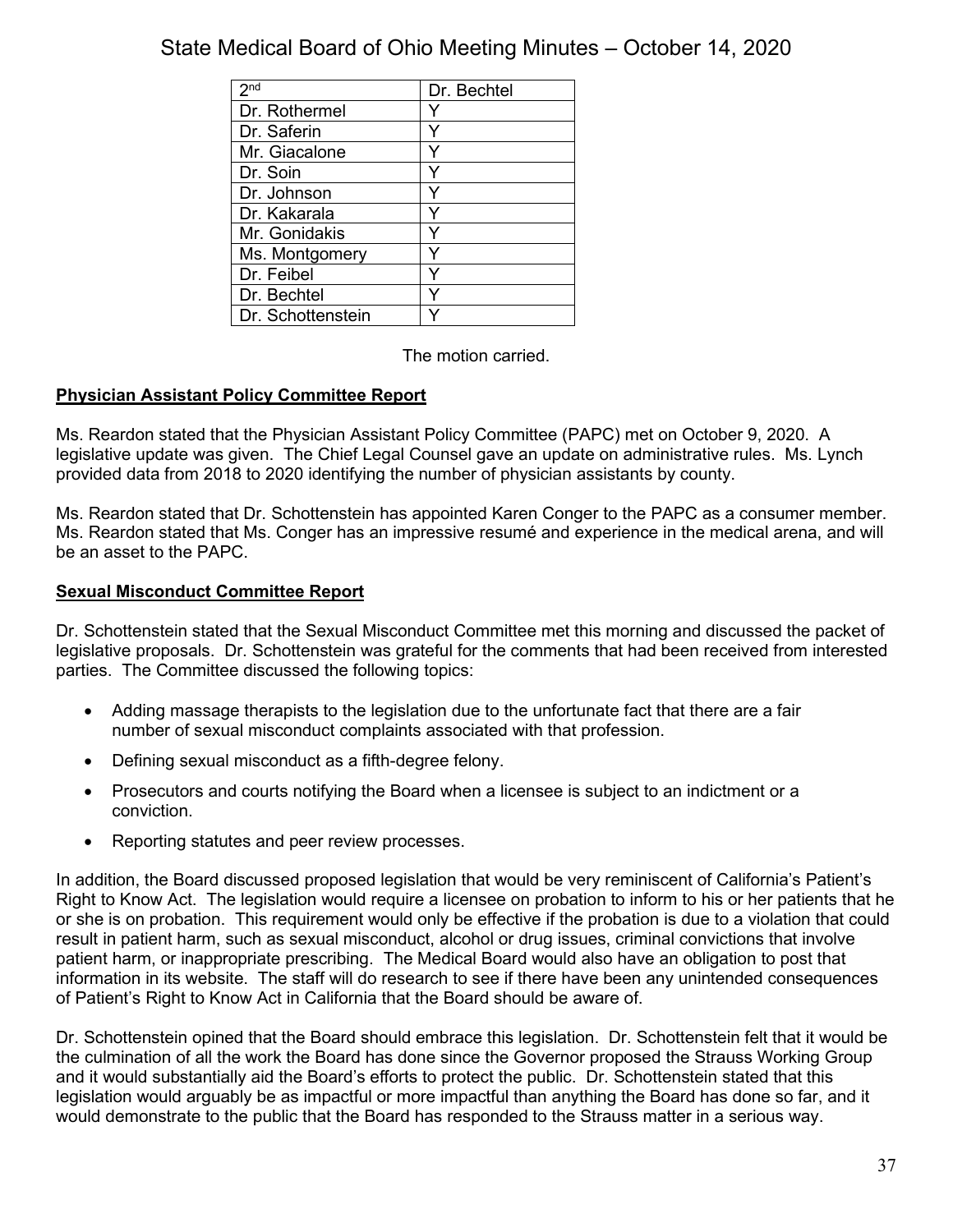| 2 <sub>nd</sub>   | Dr. Bechtel |
|-------------------|-------------|
| Dr. Rothermel     |             |
| Dr. Saferin       |             |
| Mr. Giacalone     |             |
| Dr. Soin          |             |
| Dr. Johnson       |             |
| Dr. Kakarala      |             |
| Mr. Gonidakis     |             |
| Ms. Montgomery    |             |
| Dr. Feibel        |             |
| Dr. Bechtel       |             |
| Dr. Schottenstein |             |

The motion carried.

## **Physician Assistant Policy Committee Report**

Ms. Reardon stated that the Physician Assistant Policy Committee (PAPC) met on October 9, 2020. A legislative update was given. The Chief Legal Counsel gave an update on administrative rules. Ms. Lynch provided data from 2018 to 2020 identifying the number of physician assistants by county.

Ms. Reardon stated that Dr. Schottenstein has appointed Karen Conger to the PAPC as a consumer member. Ms. Reardon stated that Ms. Conger has an impressive resumé and experience in the medical arena, and will be an asset to the PAPC.

## **Sexual Misconduct Committee Report**

Dr. Schottenstein stated that the Sexual Misconduct Committee met this morning and discussed the packet of legislative proposals. Dr. Schottenstein was grateful for the comments that had been received from interested parties. The Committee discussed the following topics:

- Adding massage therapists to the legislation due to the unfortunate fact that there are a fair number of sexual misconduct complaints associated with that profession.
- Defining sexual misconduct as a fifth-degree felony.
- Prosecutors and courts notifying the Board when a licensee is subject to an indictment or a conviction.
- Reporting statutes and peer review processes.

In addition, the Board discussed proposed legislation that would be very reminiscent of California's Patient's Right to Know Act. The legislation would require a licensee on probation to inform to his or her patients that he or she is on probation. This requirement would only be effective if the probation is due to a violation that could result in patient harm, such as sexual misconduct, alcohol or drug issues, criminal convictions that involve patient harm, or inappropriate prescribing. The Medical Board would also have an obligation to post that information in its website. The staff will do research to see if there have been any unintended consequences of Patient's Right to Know Act in California that the Board should be aware of.

Dr. Schottenstein opined that the Board should embrace this legislation. Dr. Schottenstein felt that it would be the culmination of all the work the Board has done since the Governor proposed the Strauss Working Group and it would substantially aid the Board's efforts to protect the public. Dr. Schottenstein stated that this legislation would arguably be as impactful or more impactful than anything the Board has done so far, and it would demonstrate to the public that the Board has responded to the Strauss matter in a serious way.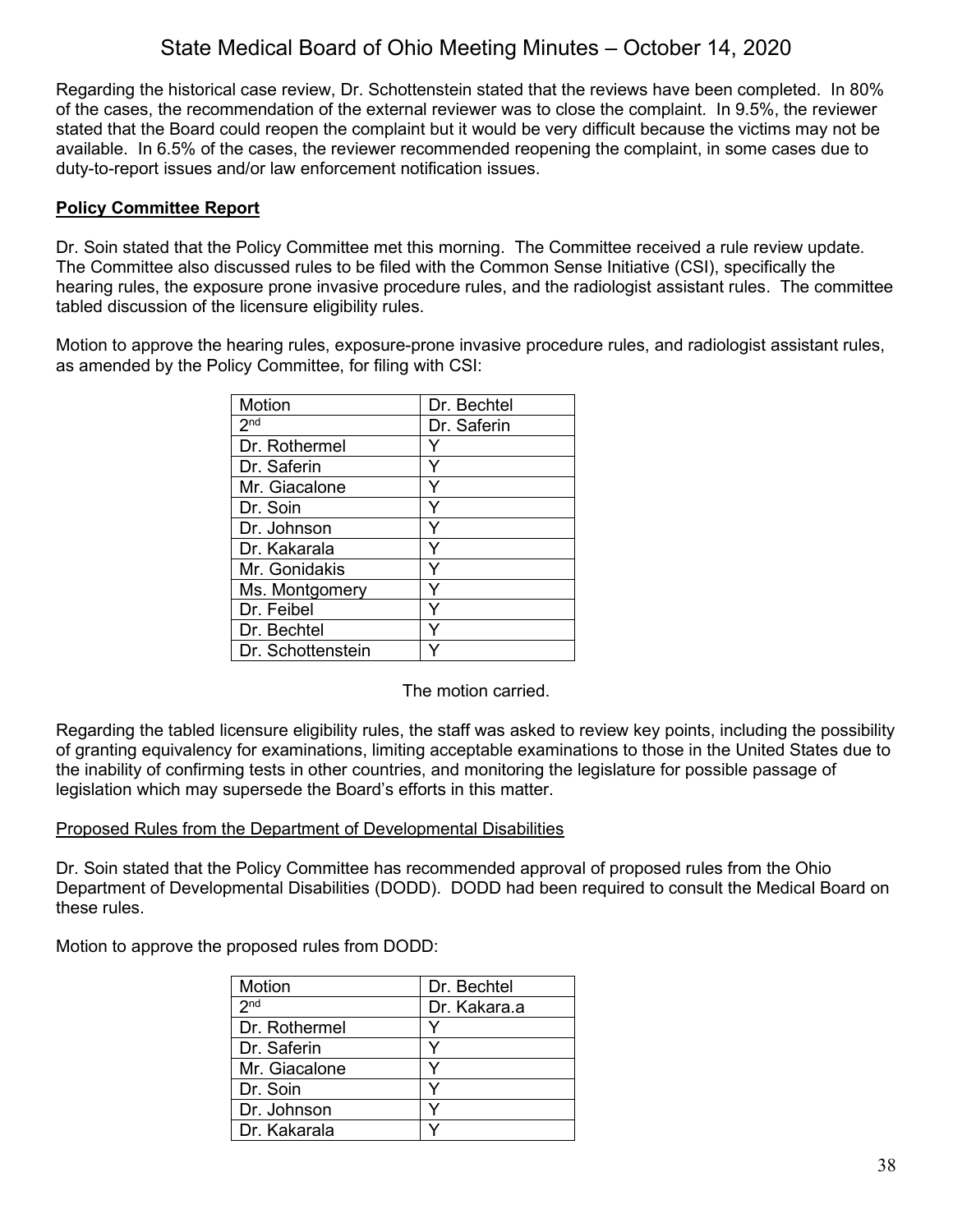Regarding the historical case review, Dr. Schottenstein stated that the reviews have been completed. In 80% of the cases, the recommendation of the external reviewer was to close the complaint. In 9.5%, the reviewer stated that the Board could reopen the complaint but it would be very difficult because the victims may not be available. In 6.5% of the cases, the reviewer recommended reopening the complaint, in some cases due to duty-to-report issues and/or law enforcement notification issues.

## **Policy Committee Report**

Dr. Soin stated that the Policy Committee met this morning. The Committee received a rule review update. The Committee also discussed rules to be filed with the Common Sense Initiative (CSI), specifically the hearing rules, the exposure prone invasive procedure rules, and the radiologist assistant rules. The committee tabled discussion of the licensure eligibility rules.

Motion to approve the hearing rules, exposure-prone invasive procedure rules, and radiologist assistant rules, as amended by the Policy Committee, for filing with CSI:

| Motion            | Dr. Bechtel |
|-------------------|-------------|
| 2 <sub>nd</sub>   | Dr. Saferin |
| Dr. Rothermel     |             |
| Dr. Saferin       |             |
| Mr. Giacalone     |             |
| Dr. Soin          |             |
| Dr. Johnson       |             |
| Dr. Kakarala      | Y           |
| Mr. Gonidakis     | ٧           |
| Ms. Montgomery    |             |
| Dr. Feibel        |             |
| Dr. Bechtel       |             |
| Dr. Schottenstein |             |

The motion carried.

Regarding the tabled licensure eligibility rules, the staff was asked to review key points, including the possibility of granting equivalency for examinations, limiting acceptable examinations to those in the United States due to the inability of confirming tests in other countries, and monitoring the legislature for possible passage of legislation which may supersede the Board's efforts in this matter.

#### Proposed Rules from the Department of Developmental Disabilities

Dr. Soin stated that the Policy Committee has recommended approval of proposed rules from the Ohio Department of Developmental Disabilities (DODD). DODD had been required to consult the Medical Board on these rules.

Motion to approve the proposed rules from DODD:

| Motion          | Dr. Bechtel  |
|-----------------|--------------|
| 2 <sub>nd</sub> | Dr. Kakara.a |
| Dr. Rothermel   |              |
| Dr. Saferin     | v            |
| Mr. Giacalone   |              |
| Dr. Soin        | V            |
| Dr. Johnson     |              |
| Dr. Kakarala    |              |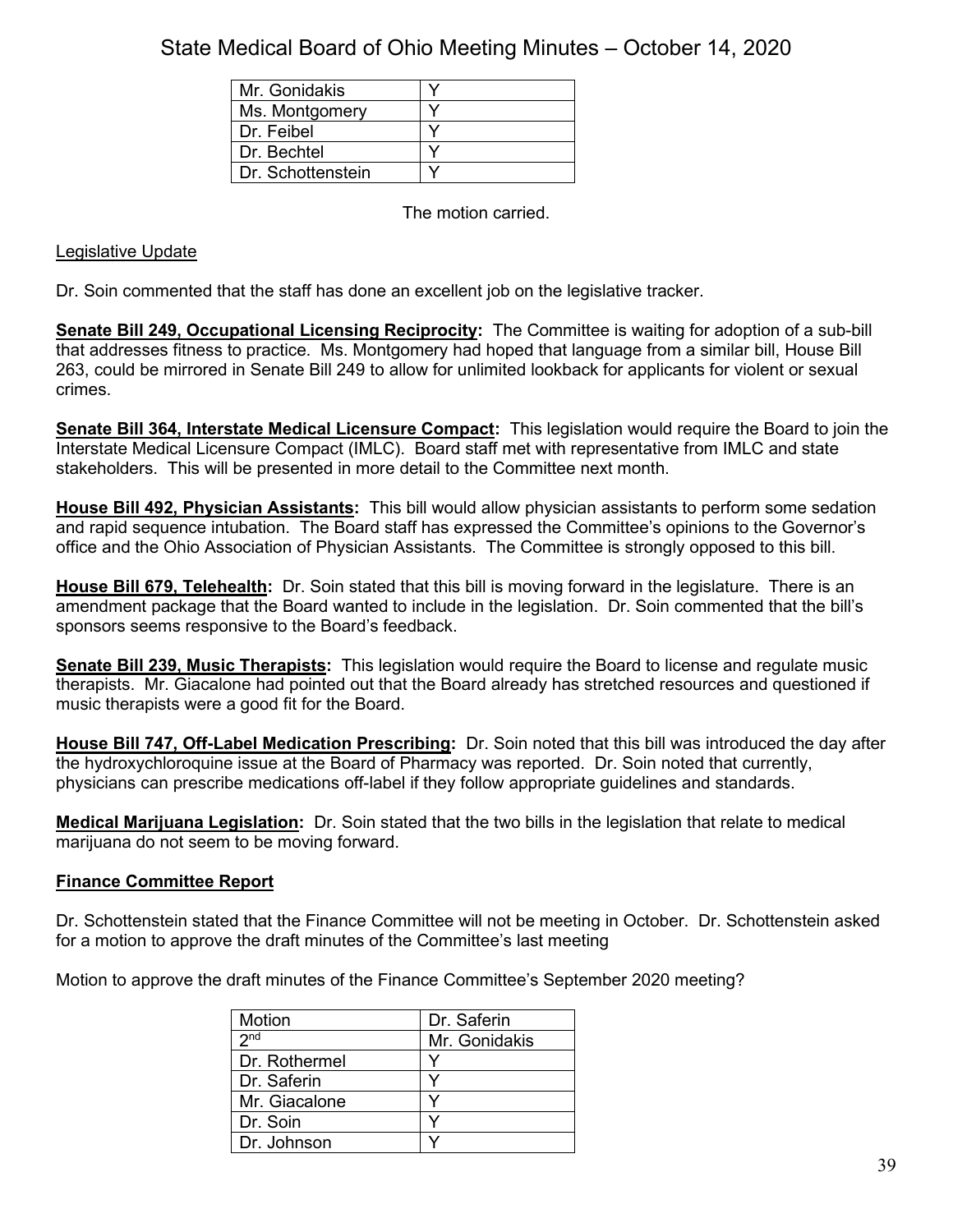| Mr. Gonidakis     |  |
|-------------------|--|
| Ms. Montgomery    |  |
| Dr. Feibel        |  |
| Dr. Bechtel       |  |
| Dr. Schottenstein |  |

The motion carried.

## Legislative Update

Dr. Soin commented that the staff has done an excellent job on the legislative tracker.

**Senate Bill 249, Occupational Licensing Reciprocity:** The Committee is waiting for adoption of a sub-bill that addresses fitness to practice. Ms. Montgomery had hoped that language from a similar bill, House Bill 263, could be mirrored in Senate Bill 249 to allow for unlimited lookback for applicants for violent or sexual crimes.

**Senate Bill 364, Interstate Medical Licensure Compact:** This legislation would require the Board to join the Interstate Medical Licensure Compact (IMLC). Board staff met with representative from IMLC and state stakeholders. This will be presented in more detail to the Committee next month.

**House Bill 492, Physician Assistants:** This bill would allow physician assistants to perform some sedation and rapid sequence intubation. The Board staff has expressed the Committee's opinions to the Governor's office and the Ohio Association of Physician Assistants. The Committee is strongly opposed to this bill.

**House Bill 679, Telehealth:** Dr. Soin stated that this bill is moving forward in the legislature. There is an amendment package that the Board wanted to include in the legislation. Dr. Soin commented that the bill's sponsors seems responsive to the Board's feedback.

**Senate Bill 239, Music Therapists:** This legislation would require the Board to license and regulate music therapists. Mr. Giacalone had pointed out that the Board already has stretched resources and questioned if music therapists were a good fit for the Board.

**House Bill 747, Off-Label Medication Prescribing:** Dr. Soin noted that this bill was introduced the day after the hydroxychloroquine issue at the Board of Pharmacy was reported. Dr. Soin noted that currently, physicians can prescribe medications off-label if they follow appropriate guidelines and standards.

**Medical Marijuana Legislation:** Dr. Soin stated that the two bills in the legislation that relate to medical marijuana do not seem to be moving forward.

#### **Finance Committee Report**

Dr. Schottenstein stated that the Finance Committee will not be meeting in October. Dr. Schottenstein asked for a motion to approve the draft minutes of the Committee's last meeting

Motion to approve the draft minutes of the Finance Committee's September 2020 meeting?

| Motion          | Dr. Saferin   |
|-----------------|---------------|
| 2 <sub>nd</sub> | Mr. Gonidakis |
| Dr. Rothermel   |               |
| Dr. Saferin     |               |
| Mr. Giacalone   |               |
| Dr. Soin        |               |
| Dr. Johnson     |               |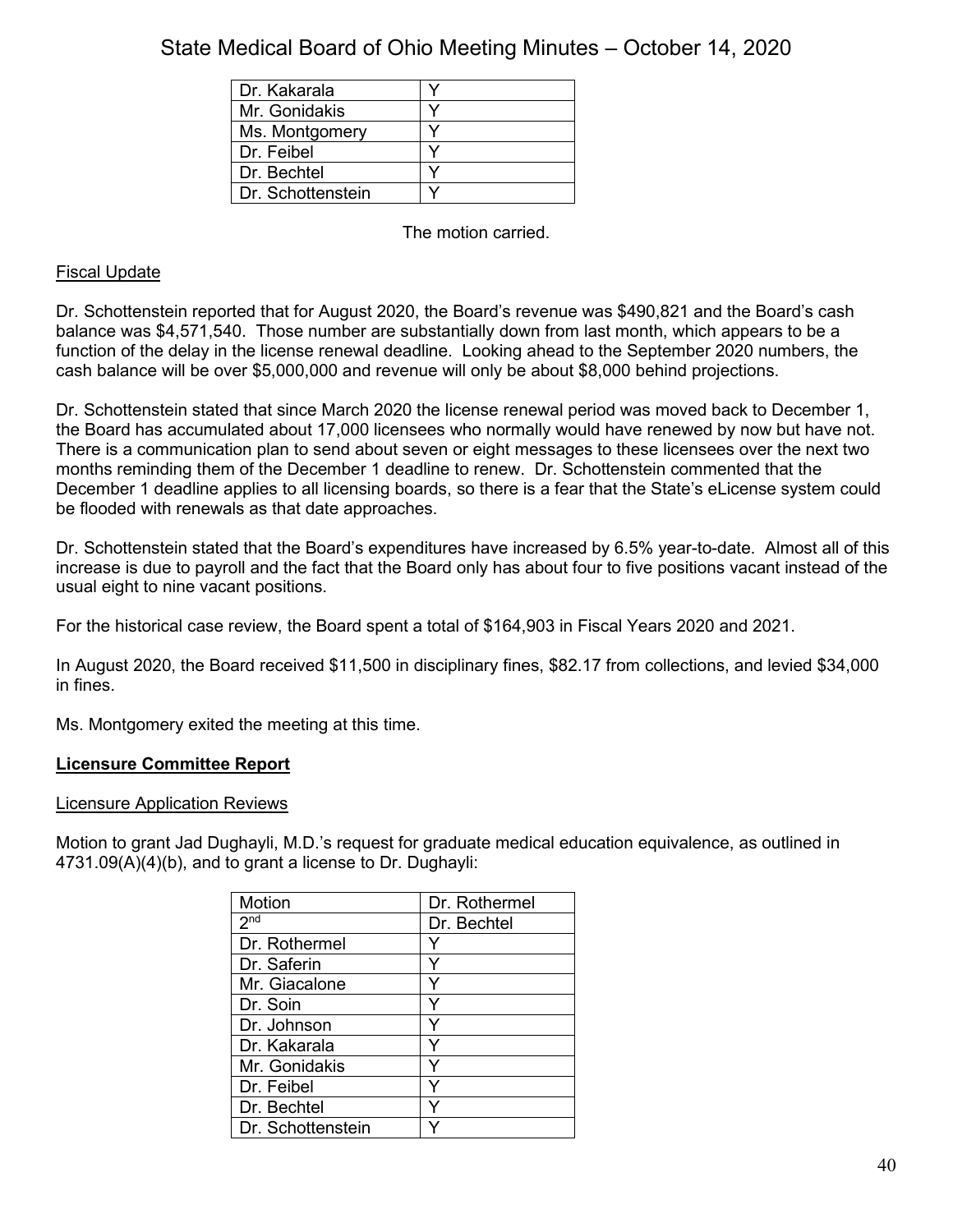| Dr. Kakarala      |  |
|-------------------|--|
| Mr. Gonidakis     |  |
| Ms. Montgomery    |  |
| Dr. Feibel        |  |
| Dr. Bechtel       |  |
| Dr. Schottenstein |  |

The motion carried.

## Fiscal Update

Dr. Schottenstein reported that for August 2020, the Board's revenue was \$490,821 and the Board's cash balance was \$4,571,540. Those number are substantially down from last month, which appears to be a function of the delay in the license renewal deadline. Looking ahead to the September 2020 numbers, the cash balance will be over \$5,000,000 and revenue will only be about \$8,000 behind projections.

Dr. Schottenstein stated that since March 2020 the license renewal period was moved back to December 1, the Board has accumulated about 17,000 licensees who normally would have renewed by now but have not. There is a communication plan to send about seven or eight messages to these licensees over the next two months reminding them of the December 1 deadline to renew. Dr. Schottenstein commented that the December 1 deadline applies to all licensing boards, so there is a fear that the State's eLicense system could be flooded with renewals as that date approaches.

Dr. Schottenstein stated that the Board's expenditures have increased by 6.5% year-to-date. Almost all of this increase is due to payroll and the fact that the Board only has about four to five positions vacant instead of the usual eight to nine vacant positions.

For the historical case review, the Board spent a total of \$164,903 in Fiscal Years 2020 and 2021.

In August 2020, the Board received \$11,500 in disciplinary fines, \$82.17 from collections, and levied \$34,000 in fines.

Ms. Montgomery exited the meeting at this time.

#### **Licensure Committee Report**

#### Licensure Application Reviews

Motion to grant Jad Dughayli, M.D.'s request for graduate medical education equivalence, as outlined in 4731.09(A)(4)(b), and to grant a license to Dr. Dughayli:

| Motion            | Dr. Rothermel |
|-------------------|---------------|
| 2 <sub>nd</sub>   | Dr. Bechtel   |
| Dr. Rothermel     |               |
| Dr. Saferin       |               |
| Mr. Giacalone     |               |
| Dr. Soin          |               |
| Dr. Johnson       |               |
| Dr. Kakarala      |               |
| Mr. Gonidakis     |               |
| Dr. Feibel        | v             |
| Dr. Bechtel       |               |
| Dr. Schottenstein |               |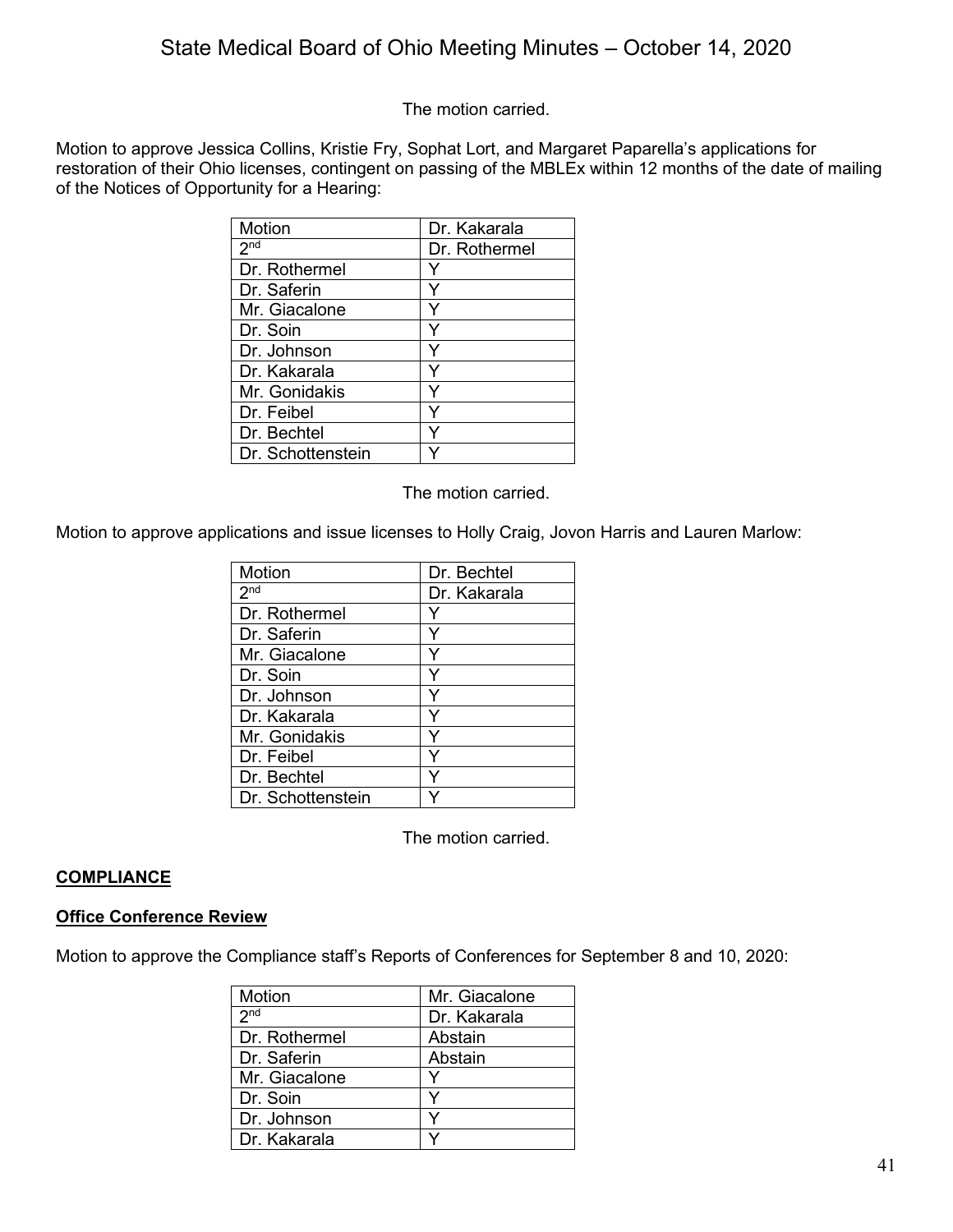The motion carried.

Motion to approve Jessica Collins, Kristie Fry, Sophat Lort, and Margaret Paparella's applications for restoration of their Ohio licenses, contingent on passing of the MBLEx within 12 months of the date of mailing of the Notices of Opportunity for a Hearing:

| Motion            | Dr. Kakarala  |
|-------------------|---------------|
| 2 <sup>nd</sup>   | Dr. Rothermel |
| Dr. Rothermel     |               |
| Dr. Saferin       |               |
| Mr. Giacalone     |               |
| Dr. Soin          |               |
| Dr. Johnson       |               |
| Dr. Kakarala      |               |
| Mr. Gonidakis     |               |
| Dr. Feibel        |               |
| Dr. Bechtel       |               |
| Dr. Schottenstein |               |

The motion carried.

Motion to approve applications and issue licenses to Holly Craig, Jovon Harris and Lauren Marlow:

| Motion            | Dr. Bechtel  |
|-------------------|--------------|
| 2 <sup>nd</sup>   | Dr. Kakarala |
| Dr. Rothermel     |              |
| Dr. Saferin       |              |
| Mr. Giacalone     |              |
| Dr. Soin          |              |
| Dr. Johnson       |              |
| Dr. Kakarala      | ٧            |
| Mr. Gonidakis     |              |
| Dr. Feibel        | ٧            |
| Dr. Bechtel       |              |
| Dr. Schottenstein |              |

The motion carried.

#### **COMPLIANCE**

#### **Office Conference Review**

Motion to approve the Compliance staff's Reports of Conferences for September 8 and 10, 2020:

| <b>Motion</b>   | Mr. Giacalone |
|-----------------|---------------|
| 2 <sub>nd</sub> | Dr. Kakarala  |
| Dr. Rothermel   | Abstain       |
| Dr. Saferin     | Abstain       |
| Mr. Giacalone   |               |
| Dr. Soin        | ٧             |
| Dr. Johnson     | v             |
| Dr. Kakarala    |               |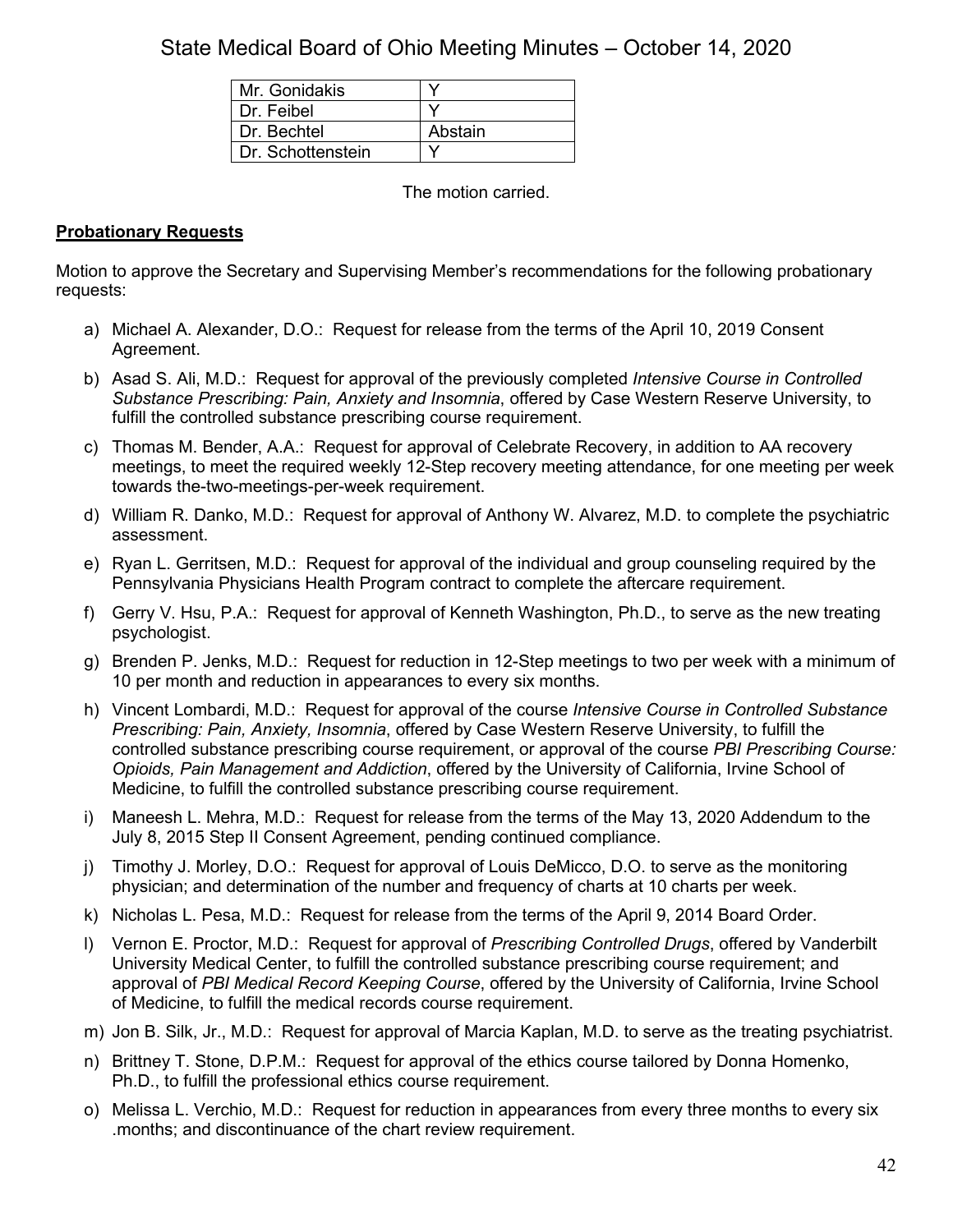| Mr. Gonidakis     |         |
|-------------------|---------|
| Dr. Feibel        |         |
| Dr. Bechtel       | Abstain |
| Dr. Schottenstein |         |

The motion carried.

## **Probationary Requests**

Motion to approve the Secretary and Supervising Member's recommendations for the following probationary requests:

- a) Michael A. Alexander, D.O.: Request for release from the terms of the April 10, 2019 Consent Agreement.
- b) Asad S. Ali, M.D.: Request for approval of the previously completed *Intensive Course in Controlled Substance Prescribing: Pain, Anxiety and Insomnia*, offered by Case Western Reserve University, to fulfill the controlled substance prescribing course requirement.
- c) Thomas M. Bender, A.A.: Request for approval of Celebrate Recovery, in addition to AA recovery meetings, to meet the required weekly 12-Step recovery meeting attendance, for one meeting per week towards the-two-meetings-per-week requirement.
- d) William R. Danko, M.D.: Request for approval of Anthony W. Alvarez, M.D. to complete the psychiatric assessment.
- e) Ryan L. Gerritsen, M.D.: Request for approval of the individual and group counseling required by the Pennsylvania Physicians Health Program contract to complete the aftercare requirement.
- f) Gerry V. Hsu, P.A.: Request for approval of Kenneth Washington, Ph.D., to serve as the new treating psychologist.
- g) Brenden P. Jenks, M.D.: Request for reduction in 12-Step meetings to two per week with a minimum of 10 per month and reduction in appearances to every six months.
- h) Vincent Lombardi, M.D.: Request for approval of the course *Intensive Course in Controlled Substance Prescribing: Pain, Anxiety, Insomnia*, offered by Case Western Reserve University, to fulfill the controlled substance prescribing course requirement, or approval of the course *PBI Prescribing Course: Opioids, Pain Management and Addiction*, offered by the University of California, Irvine School of Medicine, to fulfill the controlled substance prescribing course requirement.
- i) Maneesh L. Mehra, M.D.: Request for release from the terms of the May 13, 2020 Addendum to the July 8, 2015 Step II Consent Agreement, pending continued compliance.
- j) Timothy J. Morley, D.O.: Request for approval of Louis DeMicco, D.O. to serve as the monitoring physician; and determination of the number and frequency of charts at 10 charts per week.
- k) Nicholas L. Pesa, M.D.: Request for release from the terms of the April 9, 2014 Board Order.
- l) Vernon E. Proctor, M.D.: Request for approval of *Prescribing Controlled Drugs*, offered by Vanderbilt University Medical Center, to fulfill the controlled substance prescribing course requirement; and approval of *PBI Medical Record Keeping Course*, offered by the University of California, Irvine School of Medicine, to fulfill the medical records course requirement.
- m) Jon B. Silk, Jr., M.D.: Request for approval of Marcia Kaplan, M.D. to serve as the treating psychiatrist.
- n) Brittney T. Stone, D.P.M.: Request for approval of the ethics course tailored by Donna Homenko, Ph.D., to fulfill the professional ethics course requirement.
- o) Melissa L. Verchio, M.D.: Request for reduction in appearances from every three months to every six .months; and discontinuance of the chart review requirement.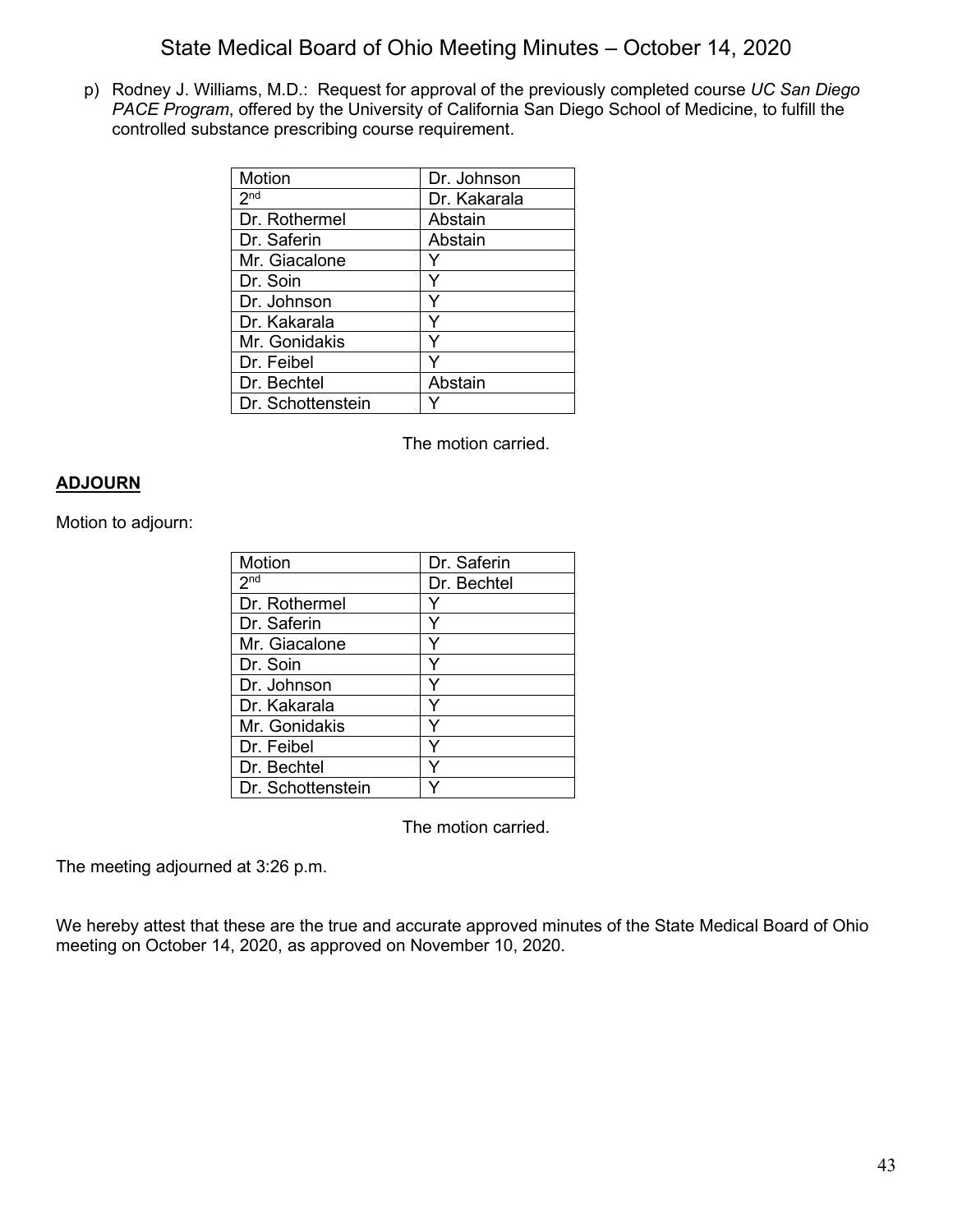p) Rodney J. Williams, M.D.: Request for approval of the previously completed course *UC San Diego PACE Program*, offered by the University of California San Diego School of Medicine, to fulfill the controlled substance prescribing course requirement.

| Motion            | Dr. Johnson  |
|-------------------|--------------|
| 2 <sub>nd</sub>   | Dr. Kakarala |
| Dr. Rothermel     | Abstain      |
| Dr. Saferin       | Abstain      |
| Mr. Giacalone     |              |
| Dr. Soin          |              |
| Dr. Johnson       |              |
| Dr. Kakarala      | Y            |
| Mr. Gonidakis     | Y            |
| Dr. Feibel        |              |
| Dr. Bechtel       | Abstain      |
| Dr. Schottenstein |              |

The motion carried.

#### **ADJOURN**

Motion to adjourn:

| Motion            | Dr. Saferin |
|-------------------|-------------|
| 2 <sup>nd</sup>   | Dr. Bechtel |
| Dr. Rothermel     | Y           |
| Dr. Saferin       | Y           |
| Mr. Giacalone     |             |
| Dr. Soin          |             |
| Dr. Johnson       |             |
| Dr. Kakarala      |             |
| Mr. Gonidakis     | Y           |
| Dr. Feibel        | Y           |
| Dr. Bechtel       | Y           |
| Dr. Schottenstein |             |

The motion carried.

The meeting adjourned at 3:26 p.m.

We hereby attest that these are the true and accurate approved minutes of the State Medical Board of Ohio meeting on October 14, 2020, as approved on November 10, 2020.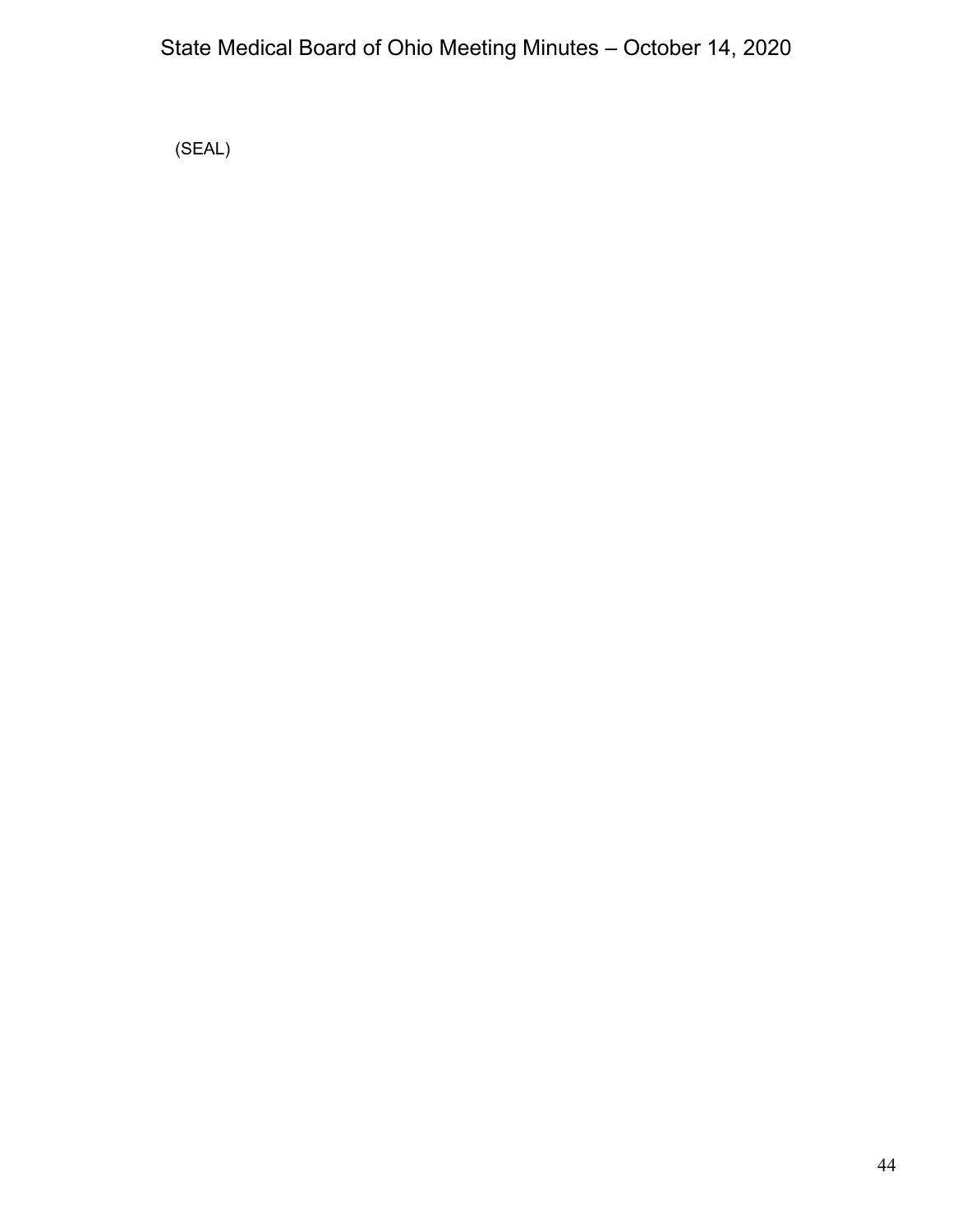(SEAL)